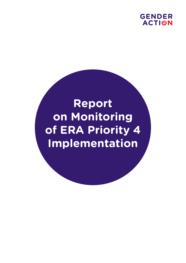

# **Report on Monitoring of ERA Priority 4 Implementation**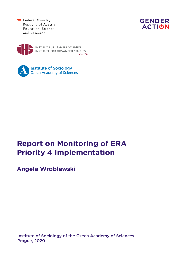Federal Ministry Republic of Austria Education, Science and Research







## **Report on Monitoring of ERA Priority 4 Implementation**

- - - - -<br>Vienna

**Angela Wroblewski**

Institute of Sociology of the Czech Academy of Sciences Prague, 2020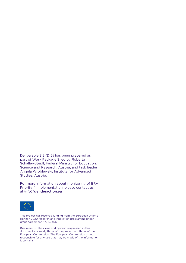Deliverable 3.2 (D 5) has been prepared as part of Work Package 3 led by Roberta Schaller-Steidl, Federal Ministry for Education, Science and Research, Austria, and task leader Angela Wroblewski, Institute for Advanced Studies, Austria.

For more information about monitoring of ERA Priority 4 implementation, please contact us at **info@genderaction.eu**



This project has received funding from the European Union's Horizon 2020 research and innovation programme under grant agreement No. 741466.

Disclaimer — The views and opinions expressed in this document are solely those of the project, not those of the European Commission. The European Commission is not responsible for any use that may be made of the information it contains.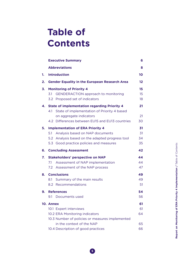## **Table of Contents**

|    | <b>Executive Summary</b>                                                                                                                                                                   |                      |  |  |  |  |  |  |
|----|--------------------------------------------------------------------------------------------------------------------------------------------------------------------------------------------|----------------------|--|--|--|--|--|--|
|    | <b>Abbreviations</b>                                                                                                                                                                       |                      |  |  |  |  |  |  |
| 1. | <b>Introduction</b>                                                                                                                                                                        |                      |  |  |  |  |  |  |
| 2. | <b>Gender Equality in the European Research Area</b>                                                                                                                                       |                      |  |  |  |  |  |  |
| 3. | <b>Monitoring of Priority 4</b><br><b>GENDERACTION approach to monitoring</b><br>3.1<br>Proposed set of indicators<br>3.2 <sub>1</sub>                                                     |                      |  |  |  |  |  |  |
| 4. | <b>State of implementation regarding Priority 4</b><br>4.1<br>State of implementation of Priority 4 based<br>on aggregate indicators<br>Differences between EU15 and EU13 countries<br>4.2 | 21<br>21<br>30       |  |  |  |  |  |  |
| 5. | <b>Implementation of ERA Priority 4</b><br>Analysis based on NAP documents<br>5.1<br>5.2 Analysis based on the adapted progress tool<br>5.3 Good practice policies and measures            | 31<br>31<br>34<br>35 |  |  |  |  |  |  |
| 6. | <b>Concluding Assessment</b>                                                                                                                                                               | 42                   |  |  |  |  |  |  |
| 7. | <b>Stakeholders' perspective on NAP</b><br>Assessment of NAP implementation<br>7.1<br>Assessment of the NAP process<br>7.2                                                                 | 44<br>44<br>47       |  |  |  |  |  |  |
| 8. | <b>Conclusions</b><br>Summary of the main results<br>8.1<br>8.2 Recommendations                                                                                                            | 49<br>49<br>51       |  |  |  |  |  |  |
| 9. | <b>References</b><br>Documents used<br>9.1                                                                                                                                                 | 54<br>56             |  |  |  |  |  |  |
|    | 10. Annex<br>10.1 Expert interviews<br>10.2 ERA Monitoring indicators<br>10.3 Number of policies or measures implemented                                                                   | 61<br>61<br>64       |  |  |  |  |  |  |
|    | in the context of the NAP<br>10.4 Description of good practices                                                                                                                            | 65<br>66             |  |  |  |  |  |  |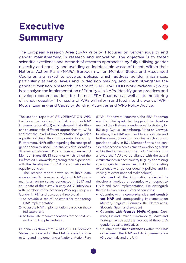## <span id="page-4-0"></span>**Executive Summary**

The European Research Area (ERA) Priority 4 focuses on gender equality and gender mainstreaming in research and innovation. The objective is to foster scientific excellence and breadth of research approaches by fully utilising gender diversity and equality and avoiding an indefensible waste of talent. Within their National Action Plans (NAPs), European Union Member States and Associated Countries are asked to develop policies which address gender imbalances, particularly at senior levels and in decision making, and which strengthen the gender dimension in research. The aim of GENDERACTION Work Package 3 (WP3) is to analyse the implementation of Priority 4 in NAPs, identify good practices and develop recommendations for the next ERA Roadmap as well as its monitoring of gender equality. The results of WP3 will inform and feed into the work of WP4 Mutual Learning and Capacity Building Activities and WP5 Policy Advice.

The second report of GENDERACTION WP3 builds on the results of the first report on NAP implementation (D3.1) which showed that different countries take different approaches to NAPs and that the level of implementation of gender equality policies differs from country to country. Furthermore, NAPs differ regarding the concept of gender equality used. The analysis also identifies differences between EU15 countries and newer EU Member States (EU13 countries which joined the EU from 2004 onwards) regarding their experience with the development of NAPs and their gender equality policies.

The present report draws on multiple data sources (results from an analysis of NAP documents, an online survey conducted in 2017 and an update of the survey in early 2019, interviews with members of the Standing Working Group on Gender in R&I) and pursues a threefold aim:

- 1) to provide a set of indicators for monitoring NAP implementation,
- 2) to assess NAP implementation based on these indicators, and
- 3) to formulate recommendations for the next period of ERA implementation.

Our analysis shows that 26 of the 28 EU Member States participated in the ERA process by submitting and implementing a National Action Plan (NAP). For several countries, the ERA Roadmap was the initial spark that triggered the development of their first-ever gender equality strategy for R&I (e.g. Cyprus, Luxembourg, Malta or Norway). In others, the NAP was used to consolidate and further develop existing policies which support gender equality in R&I. Member States had considerable scope when it came to developing a NAP within the framework of the ERA Roadmap. This allowed the NAPs to be aligned with the actual circumstances in each country (e.g. by addressing specific gender inequalities, building on existing experience with gender equality policies and involving relevant national stakeholders).

We used all the information collected to develop a typology of countries with respect to NAPs and NAP implementation. We distinguish therein between six clusters of countries:

- • Countries with a comprehensive and consistent NAP and corresponding implementation (Austria, Belgium, Germany, the Netherlands, Slovenia, Spain and Sweden)
- Countries with focused NAPs (Cyprus, Denmark, Finland, Ireland, Luxembourg, Malta and Portugal) which address two out of three ERA gender equality objectives
- Countries with *inconsistencies* within the NAP or between the NAP and its implementation (Greece, Italy and the UK)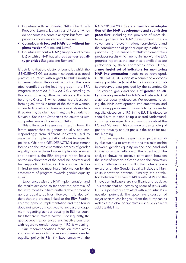- Countries with **actionistic** NAPs (the Czech Republic, Estonia, Lithuania and Poland) which do not contain a context analysis but formulate priorities and/or implement measures
- Countries with focused NAPs but without implementation (Croatia and Latvia)
- • Countries without a NAP (Hungary and Slovakia) or with a NAP but without gender equality priorities (Bulgaria and Romania).

It is striking that the cluster of countries which the GENDERACTION assessment categorises as good practice countries with regard to NAP Priority 4 implementation differs significantly from the countries identified as the leading group in the ERA Progress Report 2018 (EC 2019a). According to this report, Croatia, Lithuania, Latvia and Romania belong to Cluster 1, which contains the best-performing countries in terms of the share of women in Grade A positions. However, our analysis identified Austria, Belgium, Germany, the Netherlands, Slovenia, Spain and Sweden as the countries with comprehensive and consistent NAPs.

This difference in assessment results from different approaches to gender equality and correspondingly, from different indicators used to measure the implementation of gender equality policies. While the GENDERACTION assessment focuses on the implementation process of gender equality policies based on multiple data sources and indicators, the ERA progress report focuses on the development of the headline indicator and two supporting indicators. This approach is too limited to provide meaningful information for the assessment of progress towards gender equality in R&I.

Experiences with the NAP implementation and the results achieved so far show the potential of the instrument to initiate (further) development of gender equality policies. However, it is also evident that the process linked to the ERA Roadmap development, implementation and monitoring does not provide incentives to increase engagement regarding gender equality in R&I for countries that are relatively inactive. Consequently, the gap between experienced and inactive countries with regard to gender equality in R&I is widening.

Our recommendations focus on three areas and aim at supporting a more coherent gender equality policy in R&I. (1) Experiences with the

NAPs 2015-2020 indicate a need for an **adapta**tion of the NAP development and submission procedure, including the provision of more detailed guidance for NAP development, the involvement of relevant national stakeholders and the consideration of gender equality in other ERA priorities. (2) The analysis of NAP implementation produces results which are not in line with the ERA progress report as the countries identified as top performers by these approaches differ. Hence, a meaningful set of indicators for monitoring NAP implementation needs to be developed. GENDERACTION suggests a combined approach using quantitative (available) indicators and qualitative/survey data provided by the countries. (3) The varying goals and focus of **gender equali**ty policies presented in NAPs indicate a lack of a gender equality discourse. We recommend using the NAP development, implementation and monitoring processes for consolidating a gender equality discourse for R&I in the EU. This discourse should aim at establishing a shared understanding of gender equality and common goals at the EC and MS level. This common understanding of gender equality and its goals is the basis for mutual learning.

Another important aspect of a gender equality discourse is to stress the positive relationship between gender equality on the one hand and innovation and excellence on the other hand. The analysis shows no positive correlation between the share of women in Grade A and the innovation and excellence indicators. But the higher a country scores on the Gender Equality Index, the higher its innovation potential. Similarly, the correlation between the share of RPOs with GEPs and the innovation indicators are significant and positive. This means that an increasing share of RPOs with GEPs is positively correlated with a countries' innovation potential. The upcoming discussion of major societal challenges – from the European as well as the global perspectives – should explicitly address this link.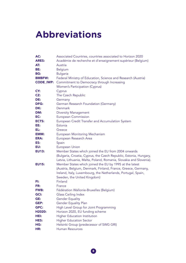## <span id="page-6-0"></span>**Abbreviations**

| AC:              | Associated Countries, countries associated to Horizon 2020                                                               |
|------------------|--------------------------------------------------------------------------------------------------------------------------|
| <b>ARES:</b>     | Académie de recherche et d'enseignement supérieur (Belgium)                                                              |
| AT:              | Austria                                                                                                                  |
| BE:              | Belgium                                                                                                                  |
| BG:              | <b>Bulgaria</b>                                                                                                          |
| <b>BMBFW:</b>    | Federal Ministry of Education, Science and Research (Austria)                                                            |
| <b>CODE_IWP:</b> | Commitment to Democracy through Increasing                                                                               |
|                  | <b>Women's Participation (Cyprus)</b>                                                                                    |
| CY:              | Cyprus                                                                                                                   |
| CZ:              | The Czech Republic                                                                                                       |
| DE:              | Germany                                                                                                                  |
| <b>DFG:</b>      | German Research Foundation (Germany)                                                                                     |
| DK:              | Denmark                                                                                                                  |
| DM:              | <b>Diversity Management</b>                                                                                              |
| EC:              | <b>European Commission</b>                                                                                               |
| <b>ECTS:</b>     | European Credit Transfer and Accumulation System                                                                         |
| EE:              | Estonia                                                                                                                  |
| EL:              | Greece                                                                                                                   |
| EMM:             | <b>European Monitoring Mechanism</b>                                                                                     |
| ERA:             | European Research Area                                                                                                   |
| ES:              | Spain                                                                                                                    |
| EU:              | <b>European Union</b>                                                                                                    |
| <b>EU13:</b>     | Member States which joined the EU from 2004 onwards<br>(Bulgaria, Croatia, Cyprus, the Czech Republic, Estonia, Hungary, |
|                  | Latvia, Lithuania, Malta, Poland, Romania, Slovakia and Slovenia).                                                       |
| <b>EU15:</b>     | Member States which joined the EU by 1995 at the latest                                                                  |
|                  | (Austria, Belgium, Denmark, Finland, France, Greece, Germany,                                                            |
|                  | Ireland, Italy, Luxembourg, the Netherlands, Portugal, Spain,                                                            |
|                  | Sweden, the United Kingdom)                                                                                              |
| FI:              | Finland                                                                                                                  |
| FR:              | France                                                                                                                   |
| <b>FWB:</b>      | Fédération Wallonie-Bruxelles (Belgium)                                                                                  |
| GCI:             | <b>Glass Ceiling Index</b>                                                                                               |
| GE:              | <b>Gender Equality</b>                                                                                                   |
| GEP:             | <b>Gender Equality Plan</b>                                                                                              |
| GPC:             | High Level Group for Joint Programming                                                                                   |
| H2020:           | Horizon 2020, EU funding scheme                                                                                          |
| HEI:             | <b>Higher Education Institution</b>                                                                                      |
| HES:             | <b>Higher Education Sector</b>                                                                                           |
| HG:              | Helsinki Group (predecessor of SWG GRI)                                                                                  |
| HR:              | <b>Human Resources</b>                                                                                                   |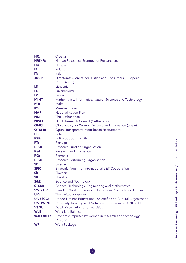| HR:             | Croatia                                                          |
|-----------------|------------------------------------------------------------------|
| HRS4R:          | Human Resources Strategy for Researchers                         |
| HU:             | Hungary                                                          |
| IE:             | Ireland                                                          |
| IT:             | Italy                                                            |
| <b>JUST:</b>    | Directorate-General for Justice and Consumers (European          |
|                 | Commission)                                                      |
| LT:             | Lithuania                                                        |
| LU:             | Luxembourg                                                       |
| LV:             | Latvia                                                           |
| <b>MINT:</b>    | Mathematics, Informatics, Natural Sciences and Technology        |
| MT:             | Malta                                                            |
| MS:             | <b>Member States</b>                                             |
| <b>NAP:</b>     | <b>National Action Plan</b>                                      |
| NL:             | The Netherlands                                                  |
| <b>NWO:</b>     | Dutch Research Council (Netherlands)                             |
| <b>OMCI:</b>    | Observatory for Women, Science and Innovation (Spain)            |
| OTM-R:          | Open, Transparent, Merit-based Recruitment                       |
| PL:             | Poland                                                           |
| <b>PSF:</b>     | <b>Policy Support Facility</b>                                   |
| PT:             | Portugal                                                         |
| <b>RFO:</b>     | Research Funding Organisation                                    |
| <b>R&amp;I:</b> | Research and Innovation                                          |
| RO:             | Romania                                                          |
| RPO:            | Research Performing Organisation                                 |
| SE:             | Sweden                                                           |
| <b>SFIC:</b>    | Strategic Forum for international S&T Cooperation                |
| SI:             | Slovenia                                                         |
| SK:             | Slovakia                                                         |
| <b>S&amp;T:</b> | Science and Technology                                           |
| <b>STEM:</b>    | Science, Technology, Engineering and Mathematics                 |
| <b>SWG GRI:</b> | Standing Working Group on Gender in Research and Innovation      |
| UK:             | The United Kingdom                                               |
| <b>UNESCO:</b>  | United Nations Educational, Scientific and Cultural Organization |
| <b>UNITWIN:</b> | University Twinning and Networking Programme (UNESCO)            |
| <b>VSNU:</b>    | Dutch Association of Universities                                |
| WLB:            | Work-Life Balance                                                |
| w-fFORTE:       | Economic impulses by women in research and technology            |
|                 | (Austria)                                                        |
| WP:             | <b>Work Package</b>                                              |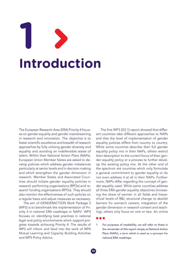# <span id="page-8-0"></span>**Introduction 1**

The European Research Area (ERA) Priority 4 focuses on gender equality and gender mainstreaming in research and innovation. The objective is to foster scientific excellence and breadth of research approaches by fully utilising gender diversity and equality and avoiding an indefensible waste of talent. Within their National Action Plans (NAPs), European Union Member States are asked to develop policies which address gender imbalances particularly at senior levels and in decision making and which strengthen the gender dimension in research. Member States and Associated Countries should initiate gender equality policies in research performing organisations (RPOs) and research funding organisations (RFOs). They should also monitor the effectiveness of such policies on a regular basis and adjust measures as necessary.

The aim of GENDERACTION Work Package 3 (WP3) is to benchmark the implementation of Priority 4 in national ERA roadmaps or NAPs<sup>1</sup>. WP3 focuses on identifying best practices in national legal and policy environments which support progress towards achieving Priority 4. The results of WP3 will inform and feed into the work of WP4 Mutual Learning and Capacity Building Activities and WP5 Policy Advice.

The first WP3 (D3.1) report showed that different countries take different approaches to NAPs and that the level of implementation of gender equality policies differs from country to country. While some countries describe their full gender equality policy mix in their NAPs, others restrict their description to the current focus of their gender equality policy or a process to further develop the existing policy mix. At the other end of the spectrum are countries which only formulate a general commitment to gender equality or do not even address it at all in their NAPs. Furthermore, NAPs differ regarding the concept of gender equality used. While some countries address all three ERA gender equality objectives (increasing the share of women in all fields and hierarchical levels of R&I; structural change to abolish barriers for women's careers; integration of the gender dimension in research content and teaching), others only focus on one or two. An online

1 For purposes of readability, we will refer to these in the remainder of this report simply as National Action Plans (NAPs), a term which is used as a synonym for national ERA roadmaps.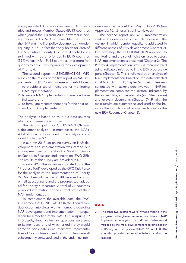survey revealed differences between EU15 countries and newer Member States (EU13 countries which joined the EU from 2004 onwards) in several respects. For 57% of newer Member States the NAP was the first policy document on gender equality in R&I, a fact that only holds for 25% of EU15 countries. Priority 4 is more likely to be interlinked with other priorities in EU15 countries (39% versus 14%). EU13 countries refer more frequently to difficulties regarding the development of Priority 4.

The second report in GENDERACTION WP3 builds on the results of the first report on NAP implementation (D3.1) and pursues a threefold aim:

- 1) to provide a set of indicators for monitoring NAP implementation,
- 2) to assess NAP implementation based on these indicators, and
- 3) to formulate recommendations for the next period of ERA implementation.

The analysis is based on multiple data sources which complement each other:

The starting point for GENDERACTION was a document analysis – in most cases, the NAPs. A list of documents included in the analysis is provided in chapter 9.1.

In autumn 2017, an online survey on NAP development and implementation was carried out among members of the Standing Working Group on Gender in Research and Innovation (SWG GRI). The results of this survey are provided in D3.1.

In early 2019, the survey was updated using the "Progress Tool" developed by the GPC Task Force for the analysis of the implementation of Priority 2a. Members of the SWG GRI received a short e-mail questionnaire and the progress tool adapted for Priority 4 measures. A total of 21 countries provided information on the current state of their NAP implementation.

To complement the available data, the SWG GRI agreed that GENDERACTION WP3 could conduct expert interviews with its members regarding NAP development and implementation. In preparation for a meeting of the SWG GRI in April 2019 in Brussels, three preliminary questions were sent to its members, one of which asked if they would agree to participate in an interview.<sup>2</sup> Representatives of 12 countries agreed to do so. They were all subsequently contacted, and in the end, nine interviews were carried out from May to July 2019 (see Appendix 10.1.3 for a list of interviewees).

The second report on NAP implementation starts with a description of the ERA process and the manner in which gender equality is addressed in different phases of ERA development (Chapter 2). In a next step, the GENDERACTION approach to monitoring and the set of indicators used to assess NAP implementation is presented (Chapter 3). The Priority 4 implementation status is then analysed using indicators referred to in the ERA progress reports (Chapter 4). This is followed by an analysis of NAP implementation based on the data collected in GENDERACTION (Chapter 5). Expert interviews conducted with stakeholders involved in NAP implementation complete the picture indicated by the survey data, aggregate data (e.g. She Figures) and relevant documents (Chapter 7). Finally, the main results are summarised and used as the basis for the formulation of recommendations for the next ERA Roadmap (Chapter 8).

#### . . .

2 The other two questions were "What is missing in the progress tool to give a comprehensive picture of NAP implementation in your country?" and "What would you see as the main development regarding gender in R&I in your country since 2016?". 12 out of 30 ERA countries provided information before or after the meeting.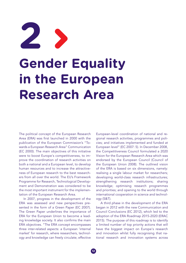# <span id="page-10-0"></span>**Gender Equality in the European Research Area 2**

The political concept of the European Research Area (ERA) was first launched in 2000 with the publication of the European Commission's "Towards a European Research Area" Communication (EC 2000). The main objectives of this initiative were to boost Europe's competitiveness, to improve the coordination of research activities on both a national and a European level, to develop human resources and to increase the attractiveness of European research to the best researchers from all over the world. The EU's Framework Programme for Research, Technological Development and Demonstration was considered to be the most important instrument for the implementation of the European Research Area.

In 2007, progress in the development of the ERA was assessed and new perspectives presented in the form of a Green Paper (EC 2007). The Green Paper underlines the importance of ERA for the European Union to become a leading knowledge society. It also confirms the main ERA objectives. "The ERA concept encompasses three inter-related aspects: a European 'internal market' for research, where researchers, technology and knowledge can freely circulate; effective

European-level coordination of national and regional research activities, programmes and policies; and initiatives implemented and funded at European level" (EC 2007: 5). In December 2008, the Competitiveness Council formulated a 2020 Vision for the European Research Area which was endorsed by the European Council (Council of the European Union 2008). The outlined vision of the ERA is based on six dimensions, namely: realising a single labour market for researchers; developing world-class research infrastructures; strengthening research institutions; sharing knowledge; optimising research programmes and priorities; and opening to the world through international cooperation in science and technology (S&T).

A third phase in the development of the ERA began in 2012 with the new Communication and Council Conclusions (EC 2012), which led to the adoption of the ERA Roadmap 2015-2020 (ERAC 2015). The purpose of this roadmap is to identify a limited number of top priority actions that will have the biggest impact on Europe's research and innovation whilst fully recognising that national research and innovation systems across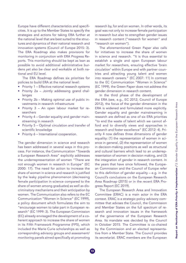Europe have different characteristics and specificities. It is up to the Member States to specify the strategies and actions for taking ERA further at the national level that are best suited to the structures and dynamics of their national research and innovation systems (Council of Europe 2015: 3). The ERA Roadmap also makes provisions for monitoring in conjunction with ERA Progress Reports. This monitoring should be kept as lean as possible to avoid additional administrative burdens yet also be clear and workable at both national and EU level.

The ERA Roadmap defines six priorities for policies to build ERA at the national level:

- Priority 1 Effective national research systems
- Priority 2a Jointly addressing grand challenges
- Priority 2b Making optimal use of public investments in research infrastructure
- Priority 3 An open labour market for researchers
- Priority 4 Gender equality and gender mainstreaming in research
- Priority 5 Optimal circulation and transfer of scientific knowledge
- Priority 6 International cooperation.

The gender dimension in science and research has been addressed in several ways in this process. For instance, the Communication "Towards a European Research Area" explicitly addresses the underrepresentation of women "There are not enough women in research in Europe" (EC 2000: 17). The need for action to increase the share of women in science and research is justified by the leaky pipeline phenomenon (decreasing female participation in science compared to the share of women among graduates) as well as discriminatory mechanisms and their anticipation by women. The Communication also refers to the EC Communication "Women in Science" (EC 1999), a policy document which formulates the aim to "encourage women to take part in European research" (EC 1999: 3). The European Commission (EC) already envisaged the development of a coherent approach to increase the share of women in its Fifth Framework Programme (FP5), which included the Marie Curie scholarships as well as corresponding advisory groups and assessment/ monitoring panels aimed specifically at promoting research by, for and on women. In other words, its goal was not only to increase female participation in research but also to strengthen gender issues in research content ("research for women" and "research on women").

The aforementioned Green Paper also calls for initiatives to increase the share of women in science and research. "It is thus essential to establish a single and open European labour market for researchers, ensuring effective 'brain circulation' within Europe and with partner countries and attracting young talent and women into research careers." (EC 2007: 11) In contrast to the EC Communication "Women in Science" (EC 1999), the Green Paper does not address the gender dimension in research content.

In the third phase of the development of the ERA (see, e.g., EC 2012; Council of Europe 2012), the focus of the gender dimension in the ERA is widened and formulated more explicitly. Gender equality and gender mainstreaming in research are defined as one of six ERA priorities "to end the waste of talent which we cannot afford and to diversify views and approaches in research and foster excellence" (EC 2012: 4). Priority 4 now defines three dimensions of gender equality: (1) the representation of women in science in general, (2) the representation of women in decision-making positions as well as structural and cultural barriers which lead to an underrepresentation of women in decision making, and (3) the integration of gender in research content. In the years that have since followed, the European Commission and the Council of Europe refer to this definition of gender equality – e.g. in the Council's conclusions on the European Research Area Roadmap (2015) or in the recent ERA Progress Report (EC 2019).

The European Research Area and Innovation Committee (ERAC) is a main actor in the ERA context. ERAC is a strategic policy advisory committee that advises the Council, the Commission and Member States on the full spectrum of research and innovation issues in the framework of the governance of the European Research Area. Its mandate was decided by the Council in October 2015. The Committee is co-chaired by the Commission and an elected representative from a Member State. The Council provides its secretariat. ERAC members are the European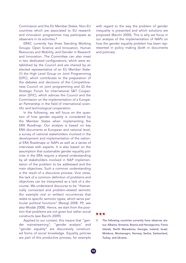Commission and the EU Member States. Non-EU countries which are associated to EU research and innovation programmes may participate as observers in its activities.<sup>3</sup>

ERAC currently has three Standing Working Groups: Open Science and Innovation, Human Resources and Mobility, and Gender in Research and Innovation. The Committee can also meet in two dedicated configurations, which were established by the Council and are chaired by an elected representative of an EU Member State: (1) the High Level Group on Joint Programming (GPC), which contributes to the preparation of the debates and decisions of the Competitiveness Council on joint programming and (2) the Strategic Forum for International S&T Cooperation (SFIC), which advices the Council and the Commission on the implementation of a European Partnership in the field of international scientific and technological cooperation.

In the following, we will focus on the question of how gender equality is considered by the Member States when implementing the ERA Roadmap. Our analysis is based on key ERA documents at European and national level, a survey of national stakeholders involved in the development and implementation of the national ERA Roadmaps or NAPs as well as a series of interviews with experts. It is also based on the assumption that sustainable gender equality policies in the ERA require a shared understanding by all stakeholders involved in NAP implementation of the problem to be addressed and the main objectives. Such a common understanding is the result of a discursive process. Vice versa, the lack of a common definition of problems and objectives can be interpreted as a lack of a discourse. We understand discourse to be "thematically connected and problem-related semiotic (for example oral or written) occurrences that relate to specific semiotic types, which serve particular political functions" (Reisigl 2008: 99; see also Wodak 2008). Hence, we start from the position that problems are not given but rather social constructs (see Bacchi 2009).

Applied to our context, this means that "gender mainstreaming", "gender analysis" and "gender equality" are discursively constructed forms of social knowledge. Equality policies are part of this productive process, for example

with regard to the way the problem of gender inequality is presented and which solutions are proposed (Bacchi 2000). This is why we focus in our analysis of the implementation of NAPs on how the gender equality problem has been represented in policy making (both in documents and policies).

3 The following countries currently have observer status: Albania, Armenia, Bosnia and Herzegovina, Faroe Islands, North Macedonia, Georgia, Iceland, Israel, Moldova, Montenegro, Norway, Serbia, Switzerland, Turkey, and Ukraine.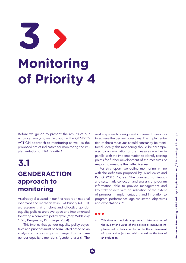# <span id="page-13-0"></span>**Monitoring of Priority 4 3**

Before we go on to present the results of our empirical analysis, we first outline the GENDER-ACTION approach to monitoring as well as the proposed set of indicators for monitoring the implementation of ERA Priority 4.

## **3.1 GENDERACTION approach to monitoring**

As already discussed in our first report on national roadmaps and mechanisms in ERA Priority 4 (D3.1), we assume that efficient and effective gender equality policies are developed and implemented following a complete policy cycle (May, Wildavsky 1978; Bergmann, Pimminger 2004).

 This implies that gender equality policy objectives and priorities must be formulated based on an analysis of the status quo with regard to the three gender equality dimensions (gender analysis). The

next steps are to design and implement measures to achieve the desired objectives. The implementation of these measures should constantly be monitored. Ideally, this monitoring should be accompanied by an evaluation of the measures – either in parallel with the implementation to identify starting points for further development of the measures or ex-post to measure their effectiveness.

For this report, we define monitoring in line with the definition proposed by Markiewicz and Patrick (2016: 12) as: "the planned, continuous and systematic collection and analysis of program information able to provide management and key stakeholders with an indication of the extent of progress in implementation, and in relation to program performance against stated objectives and expectations."<sup>4</sup>

4 This does not include a systematic determination of the quality and value of the policies or measures implemented or their contribution to the achievement of goals and objectives, which would be the task of an evaluation.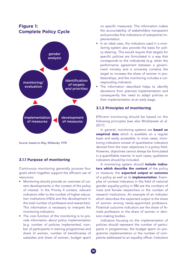#### **Figure 1: Complete Policy Cycle**



Source: based on May, Wildavsky 1978

#### **3.1.1 Purpose of monitoring**

Continuous monitoring generally pursues four goals which together support the efficient use of resources:

- Monitoring should provide an overview of current developments in the context of the policy of interest. In the Priority 4 context, relevant indicators refer to the number of higher education institutions (HEIs) and the development in the total number of professors and researchers. This information is necessary to interpret the monitoring indicators.
- The core function of the monitoring is to provide information about policy implementation (e.g. number of policies implemented, number of participants in training programmes and share of women, number of beneficiaries of subsidies and share of women, budget spent

on specific measures). This information makes the accountability of stakeholders transparent and provides first indications of suboptimal implementation.

- In an ideal case, the indicators used in a monitoring system also provide the basis for policy steering. This would require that targets for specific policies are formulated in a way that corresponds to the indicator(s) (e.g. when the performance agreement between a government ministry and a university contains the target to increase the share of women in professorships, and the monitoring includes a corresponding indicator).
- The information described helps to identify deviations from planned implementation and consequently the need to adapt policies or their implementation at an early stage.

#### **3.1.2 Principles of monitoring**

Efficient monitoring should be based on the following principles (see also Wroblewski et al. 2017).

In general, monitoring systems are **based on** empirical data which is available on a regular basis and easily accessible. In most cases, monitoring indicators consist of quantitative indicators derived from the main objectives in a policy field. However, objectives cannot always be formulated in a quantifiable manner. In such cases, qualitative indicators should be included.

A monitoring system should include indicators which describe the context of the policy or measure, the expected output or outcome of a policy as well as its *implementation*. Examples of context indicators in the field of national gender equality policy in R&I are the numbers of male and female researchers or the number of research institutions. An example of an indicator which describes the expected output is the share of women among newly-appointed professors. Potential outcome indicators are the share of female professors or the share of women in decision-making bodies.

Indicators focusing on the implementation of policies should represent the number of participants in programmes, the budget spent on programme implementation or the number of complaints addressed to an equality officer. Indicators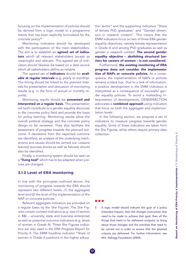focusing on the implementation of policies should be derived from a logic model or a programme theory that has been explicitly formulated for the concrete policy.<sup>5</sup>

Monitoring indicators should be developed with the participation of the main stakeholders. The aim is to establish an **agreed set of indica**tors which all relevant stakeholders accept as meaningful and relevant. This agreed set of indicators should likewise be based on a data source which all stakeholders define as reliable.

The agreed set of *indicators* should be available at regular intervals (e.g. yearly or monthly). The timing should be linked to the planned intervals for presentation and discussion of monitoring results (e.g. in the form of annual or monthly reports).

Monitoring results should be **presented and** interpreted on a regular basis. This presentation will both contribute to a gender equality discourse in the concrete policy field and provide the basis for policy learning. Monitoring results allow the overall political strategy and the concrete policy design to be reviewed. They also facilitate the assessment of progress towards the planned outcome. If deviations from the expected outcome are identified, an analysis of the underlying mechanisms and causes should be carried out. Lessons learned (success stories as well as failures) should also be identified.

Finally, a monitoring system should be seen as a "living tool" which has to be adapted when policies are changed.

#### **3.1.3 Level of ERA monitoring**

In line with the principles outlined above, the monitoring of progress towards the ERA should represent two different levels: (1) the aggregate level and (2) the level of the implementation of the NAP or concrete policies.

Relevant aggregate indicators are provided on a regular basis by the She Figures. The She Figures contain context indicators (e.g. size of sectors in R&I – university, state and business enterprise) as well as potential outcome indicators (e.g. share of women in Grade A). Three She Figures indicators are also used in the ERA Progress Report for Priority 4: The EMM headline indicator "Share of women in Grade A positions in the higher education sector" and the supporting indicators "Share of female PhD graduates" and "Gender dimension in research content". This means that the EMM indicators focus on two of three ERA gender equality objectives, namely female representation in Grade A and among PhD graduates as well as gender in research content. The second gender equality objective – abolishing structural barriers for careers of women – is not considered.

Furthermore, the existing monitoring of ERA progress does not consider the implementation of NAPs or concrete policies. As a consequence, the implementation of NAPs or policies remains a black box. Due to a lack of information, a positive development in the EMM indicators is interpreted as a consequence of successful gender equality policies. To avoid a misleading interpretation of developments, GENDERACTION advocates a **combined approach** using indicators that focus on both the aggregate and implementation levels.

In the following section, we propose a set of indicators to measure progress towards gender equality. Some of these indicators are taken from the She Figures, while others require primary data collection.

5 A logic model should indicate the goal of a policy (intended impact), then the changes (outcomes) that need to be made to achieve that goal, then all the things that need to be delivered (outputs) to bring about those changes and the activities that need to be carried out in order to ensure that the planned outputs are delivered. For further information, see W.K. Kellogg Foundation (2004).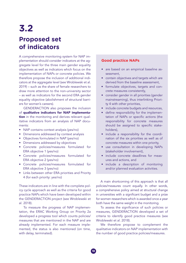## <span id="page-16-0"></span>**3.2 Proposed set of indicators**

A comprehensive monitoring system for NAP implementation should consider indicators at the aggregate level for the three main gender equality objectives as well as indicators which focus on the implementation of NAPs or concrete policies. We therefore propose the inclusion of additional indicators at the aggregate level (see Wroblewski et al. 2019) – such as the share of female researchers to draw more attention to the non-university sector – as well as indicators for the second ERA gender equality objective (abolishment of structural barriers for women's careers).

GENDERACTION also proposes the inclusion of qualitative indicators for NAP implementation in the monitoring and derives relevant qualitative indicators from an analysis of NAP documents:

- NAP contains context analysis (yes/no)
- Dimensions addressed by context analysis
- Objectives formulated in NAP (yes/no)
- Dimensions addressed by objectives
- • Concrete policies/measures formulated for ERA objective 1 (yes/no)
- • Concrete policies/measures formulated for ERA objective 2 (yes/no)
- • Concrete policies/measures formulated for ERA objective 3 (yes/no)
- Links between other ERA priorities and Priority 4 (for each priority: yes/no)

These indicators are in line with the complete policy cycle approach as well as the criteria for good practice NAPs which have been developed within the GENDERACTION project (see Wroblewski et al. 2018).

To measure the progress of NAP implementation, the ERAC Working Group on Priority 2a developed a progress tool which counts policies/ measures that are mentioned in the NAP and are already implemented. For each measure implemented, the status is also mentioned (on time, with delay, terminated).

#### **Good practice NAPs**

- are based on an empirical baseline assessment,
- contain objectives and targets which are derived from the baseline assessment,
- formulate objectives, targets and concrete measures consistently,
- consider gender in all priorities (gender mainstreaming), thus interlinking Priority 4 with other priorities,
- include concrete budgets and resources,
- define responsibility for the implementation of NAPs or specific actions (the responsibility for concrete measures should be assigned to specific stakeholders),
- include a responsibility for the coordination of the six priorities as well as of concrete measures within one priority,
- use consultation in developing NAPs (stakeholder involvement),
- include concrete deadlines for measures and actions, and
- include a description of monitoring and/or planned evaluation activities.

A main shortcoming of this approach is that all policies/measures count equally. In other words, a comprehensive policy aimed at structural change in universities with a significant budget and a prize for women researchers which is awarded once a year both have the same weight in the monitoring.

To assess the significance of such policies or measures, GENDERACTION developed a set of criteria to identify good practice measures (see Wroblewski et al. 2018).

We therefore propose to complement the qualitative indicators on NAP implementation with the number of good practice policies/measures.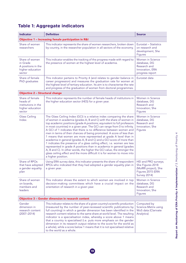## **Table 1: Aggregate indicators**

| <b>Indicator</b>                                                                 | <b>Definition</b>                                                                                                                                                                                                                                                                                                                                                                                                                                                                                                                                                                                                                                                                                                                                                                                                                                                                                                                | <b>Source</b>                                                                                                |  |  |  |  |  |  |  |
|----------------------------------------------------------------------------------|----------------------------------------------------------------------------------------------------------------------------------------------------------------------------------------------------------------------------------------------------------------------------------------------------------------------------------------------------------------------------------------------------------------------------------------------------------------------------------------------------------------------------------------------------------------------------------------------------------------------------------------------------------------------------------------------------------------------------------------------------------------------------------------------------------------------------------------------------------------------------------------------------------------------------------|--------------------------------------------------------------------------------------------------------------|--|--|--|--|--|--|--|
| Objective 1 - Increasing female participation in R&I                             |                                                                                                                                                                                                                                                                                                                                                                                                                                                                                                                                                                                                                                                                                                                                                                                                                                                                                                                                  |                                                                                                              |  |  |  |  |  |  |  |
| Share of women<br>researchers                                                    | This indicator represents the share of women researchers, broken down<br>by country, in the researcher population in all sectors of the economy.                                                                                                                                                                                                                                                                                                                                                                                                                                                                                                                                                                                                                                                                                                                                                                                 | Eurostat - Statistics<br>on research and<br>development, She<br><b>Figures</b>                               |  |  |  |  |  |  |  |
| Share of women<br>in Grade<br>A positions in the<br>higher education<br>sector   | This indicator enables the tracking of the progress made with regard to<br>the presence of women at the highest level of academia.                                                                                                                                                                                                                                                                                                                                                                                                                                                                                                                                                                                                                                                                                                                                                                                               | <b>Women in Science</b><br>database, DG<br>Research and<br>Innovation, ERA<br>progress report                |  |  |  |  |  |  |  |
| Share of female<br>PhD graduates                                                 | This indicator pertains to Priority 4 (and relates to gender balance in<br>career progression) and measures the graduation rate for women at<br>the highest level of tertiary education. Its aim is to characterise the rate<br>and progress of the graduation of women from doctoral programmes.                                                                                                                                                                                                                                                                                                                                                                                                                                                                                                                                                                                                                                | Eurostat data                                                                                                |  |  |  |  |  |  |  |
| <b>Objective 2 - Structural change</b>                                           |                                                                                                                                                                                                                                                                                                                                                                                                                                                                                                                                                                                                                                                                                                                                                                                                                                                                                                                                  |                                                                                                              |  |  |  |  |  |  |  |
| Share of female<br>heads of<br>institutions in the<br>higher education<br>sector | This indicator represents the number of female heads of institutions in<br>the higher education sector (HES) for a given year.                                                                                                                                                                                                                                                                                                                                                                                                                                                                                                                                                                                                                                                                                                                                                                                                   | <b>Women in Science</b><br>database, DG<br>Research and<br>Innovation: She<br>Figures                        |  |  |  |  |  |  |  |
| <b>Glass Ceiling</b><br>Index                                                    | The Glass Ceiling Index (GCI) is a relative index comparing the share<br>of women in academia (grades A, B and C) with the share of women in<br>top academic positions (grade A positions; equivalent to full professors<br>in most countries) in a given year. The GCI can range from 0 to infinity.<br>A GCI of 1 indicates that there is no difference between women and<br>men in terms of their chances of being promoted. A score of less than<br>1 means that women are more represented at grade A level than in<br>academia in general (grades A, B and C) and a GCI score of more than<br>1 indicates the presence of a glass ceiling effect, i.e. women are less<br>represented in grade A positions than in academia in general (grades<br>A, B and C). In other words, the higher the GCI value, the stronger the<br>glass ceiling effect and the more difficult it is for women to move into<br>a higher position. | <b>Women in Science</b><br>database, DG<br>Research and<br>Innovation: She<br><b>Figures</b>                 |  |  |  |  |  |  |  |
| Share of RPOs<br>that have adopted<br>a gender equality<br>plan                  | Using ERA survey data, this indicator presents the share of respondent<br>RPOs who indicated that they had adopted a gender equality plan in<br>a given year.                                                                                                                                                                                                                                                                                                                                                                                                                                                                                                                                                                                                                                                                                                                                                                    | HEI and PRO surveys;<br>She Figures 2018<br>(MoRRI project), She<br>Figures 2015 (ERA<br><b>Survey 2014)</b> |  |  |  |  |  |  |  |
| Share of women<br>on boards,<br>members and<br>leaders                           | This indicator shows the extent to which women are involved in top<br>decision-making committees which have a crucial impact on the<br>orientation of research in a given year.                                                                                                                                                                                                                                                                                                                                                                                                                                                                                                                                                                                                                                                                                                                                                  | <b>Women in Science</b><br>database, DG<br>Research and<br>Innovation; She<br><b>Figures</b>                 |  |  |  |  |  |  |  |
| Objective 3 - Gender dimension in research content                               |                                                                                                                                                                                                                                                                                                                                                                                                                                                                                                                                                                                                                                                                                                                                                                                                                                                                                                                                  |                                                                                                              |  |  |  |  |  |  |  |
| Gender<br>dimension in<br>research content<br>$(2007 - 2014)$                    | This indicator relates to the share of a given country's scientific production<br>(measured by the number of peer-reviewed scientific publications by<br>full counting) in which a gender dimension has been identified in the<br>research content relative to the same share at world level. The resulting<br>indicator is a specialisation index, whereby a score above 1 means<br>that a country is specialised (i.e. puts more emphasis on the gender<br>dimension in its research output relative to the score for the world as<br>a whole), while a score below 1 means that it is not specialised relative<br>to the world as a whole.                                                                                                                                                                                                                                                                                    | Computed by<br>Science-Metrix using<br>WoS data (Clarivate<br>Analytics)                                     |  |  |  |  |  |  |  |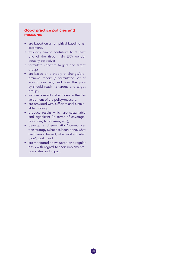#### **Good practice policies and measures**

- are based on an empirical baseline assessment,
- • explicitly aim to contribute to at least one of the three main ERA gender equality objectives,
- • formulate concrete targets and target groups,
- are based on a theory of change/programme theory (a formulated set of assumptions why and how the policy should reach its targets and target groups),
- involve relevant stakeholders in the development of the policy/measure,
- are provided with sufficient and sustainable funding,
- • produce results which are sustainable and significant (in terms of coverage, resources, timeframes, etc.),
- • develop a dissemination/communication strategy (what has been done, what has been achieved, what worked, what didn't work), and
- are monitored or evaluated on a regular basis with regard to their implementation status and impact.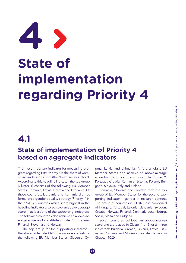<span id="page-19-0"></span>

## **4.1**

## **State of implementation of Priority 4 based on aggregate indicators**

The most important indicator for measuring progress regarding ERA Priority 4 is the share of women in Grade A positions (the "headline indicator"). According to this headline indicator, the top group (Cluster 1) consists of the following EU Member States: Romania, Latvia, Croatia and Lithuania. Of these countries, Lithuania and Romania did not formulate a gender equality strategy (Priority 4) in their NAPs. Countries which score highest in the headline indicator also achieve an above-average score in at least one of the supporting indicators. The following countries also achieve an above-average score and constitute Cluster 2: Bulgaria, Finland, Slovenia and Norway.

The top group for the supporting indicator – the share of female PhD graduates – consists of the following EU Member States: Slovenia, Cyprus, Latvia and Lithuania. A further eight EU Member States also achieve an above-average score for this indicator and constitute Cluster 2: Portugal, Croatia, Romania, Estonia, Poland, Bulgaria, Slovakia, Italy and Finland.

Romania, Slovenia and Slovakia form the top group of EU Member States for the second supporting indicator – gender in research content. The group of countries in Cluster 2 is composed of Hungary, Portugal, Estonia, Lithuania, Sweden, Croatia, Norway, Finland, Denmark, Luxembourg, Spain, Malta and Bulgaria.

Seven countries achieve an above-average score and are placed in Cluster 1 or 2 for all three indicators: Bulgaria, Croatia, Finland, Latvia, Lithuania, Romania and Slovenia (see also Table 6 in Chapter 10.2).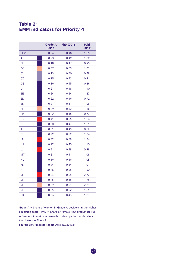### **Table 2: EMM indicators for Priority 4**

|             | <b>Grade A</b><br>(2016) | PhD (2016) | <b>Publ</b><br>(2014) |
|-------------|--------------------------|------------|-----------------------|
| <b>EU28</b> | 0.24                     | 0.48       | 1.05                  |
| AT          | 0.23                     | 0.42       | 1.02                  |
| BE          | 0.18                     | 0.47       | 0.95                  |
| <b>BG</b>   | 0.37                     | 0.53       | 1.07                  |
| <b>CY</b>   | 0.13                     | 0.60       | 0.88                  |
| <b>CZ</b>   | 0.15                     | 0.43       | 0.91                  |
| DE          | 0.19                     | 0.45       | 0.89                  |
| DK          | 0.21                     | 0.48       | 1.10                  |
| EE          | 0.24                     | 0.54       | 1.27                  |
| ΕL          | 0.22                     | 0.49       | 0.92                  |
| <b>ES</b>   | 0.21                     | 0.51       | 1.08                  |
| FI          | 0.29                     | 0.52       | 1.16                  |
| <b>FR</b>   | 0.22                     | 0.45       | 0.73                  |
| <b>HR</b>   | 0.41                     | 0.55       | 1.24                  |
| HU          | 0.20                     | 0.47       | 1.51                  |
| IE          | 0.21                     | 0.48       | 0.62                  |
| ΙT          | 0.22                     | 0.52       | 1.04                  |
| LT          | 0.39                     | 0.58       | 1.26                  |
| LU          | 0.17                     | 0.40       | 1.10                  |
| LV          | 0.41                     | 0.58       | 0.98                  |
| MT          | 0.21                     | 0.41       | 1.08                  |
| <b>NL</b>   | 0.19                     | 0.49       | 1.05                  |
| PL          | 0.24                     | 0.54       | 1.01                  |
| PT          | 0.26                     | 0.55       | 1.50                  |
| <b>RO</b>   | 0.54                     | 0.55       | 2.72                  |
| <b>SE</b>   | 0.25                     | 0.45       | 1.25                  |
| SI          | 0.29                     | 0.61       | 2.21                  |
| <b>SK</b>   | 0.25                     | 0.52       | 1.65                  |
| UK          | 0.26                     | 0.46       | 1.03                  |

Grade A = Share of women in Grade A positions in the higher education sector; PhD = Share of female PhD graduates; Publ = Gender dimension in research content; pattern code refers to the clusters in Figure 2.

Source: ERA Progress Report 2018 (EC 2019a)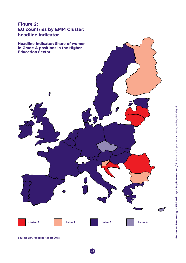

cluster 1 cluster 2 cluster 3 cluster 4 **Headline Indicator: Share of women in Grade A positions in the Higher Education Sector**

Source: ERA Progress Report 2018.

**23**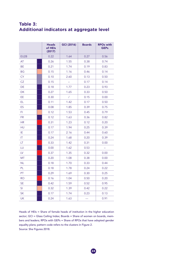#### **Table 3: Additional indicators at aggregate level**

|             | <b>Heads</b><br>of HEIs<br>(2017) | GCI (2016) | <b>Boards</b> | <b>RPOs with</b><br><b>GEPs</b> |
|-------------|-----------------------------------|------------|---------------|---------------------------------|
| <b>EU28</b> | 0.22                              | 1.64       | 0.27          | 0.56                            |
| AT          | 0.26                              | 1.55       | 0.38          | 0.74                            |
| <b>BE</b>   | 0.21                              | 1.74       | 0.19          | 0.83                            |
| <b>BG</b>   | 0.15                              | 1.16       | 0.46          | 0.14                            |
| <b>CY</b>   | 0.10                              | 2.60       | 0.13          | 0.50                            |
| CZ          | 0.15                              |            | 0.17          | 0.14                            |
| DE          | 0.18                              | 1.77       | 0.23          | 0.93                            |
| DK          | 0.27                              | 1.65       | 0.33          | 0.50                            |
| EE          | 0.30                              | 7          | 0.15          | 0.00                            |
| EL          | 0.11                              | 1.42       | 0.17          | 0.50                            |
| <b>ES</b>   | 0.08                              | 1.85       | 0.39          | 0.75                            |
| FI.         | 0.12                              | 1.53       | 0.45          | 0.79                            |
| <b>FR</b>   | 0.12                              | 1.63       | 0.36          | 0.82                            |
| <b>HR</b>   | 0.31                              | 1.23       | 0.12          | 0.20                            |
| HU          | 0.17                              | 1.94       | 0.25          | 0.39                            |
| ΙE          | 0.17                              | 2.16       | 0.44          | 0.60                            |
| IT          | 0.24                              | 1.68       | 0.20          | 0.39                            |
| LT          | 0.33                              | 1.42       | 0.31          | 0.00                            |
| LU          | 0.00                              | 1.62       | 0.53          |                                 |
| LV          | 0.37                              | 1.35       | 0.32          | 0.00                            |
| MT          | 0.20                              | 1.08       | 0.38          | 0.00                            |
| <b>NL</b>   | 0.18                              | 1.70       | 0.33          | 0.44                            |
| PL          | 0.18                              | 1.78       | 0.24          | 0.22                            |
| PT          | 0.29                              | 1.69       | 0.30          | 0.25                            |
| <b>RO</b>   | 0.16                              | 1.04       | 0.50          | 0.20                            |
| <b>SE</b>   | 0.42                              | 1.59       | 0.52          | 0.95                            |
| SI          | 0.32                              | 1.39       | 0.42          | 0.22                            |
| <b>SK</b>   | 0.17                              | 1.74       | 0.23          | 0.13                            |
| <b>UK</b>   | 0.24                              | 1.63       | ---           | 0.91                            |

Heads of HEIs = Share of female heads of institution in the higher education sector; GCI = Glass Ceiling Index; Boards = Share of women on boards, members and leaders; RPOs with GEPs = Share of RPOs that have adopted gender equality plans; pattern code refers to the clusters in Figure 2. Source: She Figures 2018.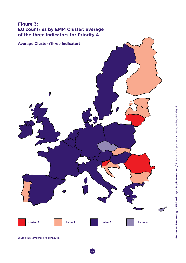### **Figure 3: EU countries by EMM Cluster: average of the three indicators for Priority 4**



Source: ERA Progress Report 2018.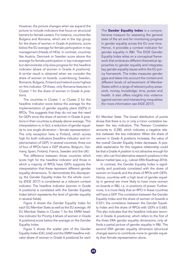However, the picture changes when we expand the picture to include indicators that focus on structural barriers for female careers. For instance, countries like Bulgaria and Romania, which are in the top group for the share of women in Grade A positions, score below the EU average for female participation in top management (Heads of HEIs). In contrast, countries like Austria, Denmark or Sweden score above the average for female participation in top management but demonstrate only slow progress for the headline indicator (share of women in Grade A positions). A similar result is obtained when we consider the share of women on boards. Luxembourg, Sweden, Romania, Bulgaria, Finland and Ireland score highest on this indicator. Of these, only Romania features in Cluster 1 for the share of women in Grade A positions.

The countries in Cluster 1 or Cluster 2 for the headline indicator score below the average for the implementation of gender equality plans (GEPs) in RPOs. This suggests that they do not see the need for GEPs since the share of women in Grade A positions in their countries is already above average. This interpretation is, in fact, a reduction of gender equality to one single dimension – female representation. The only exception here is Finland, which scores high for both indicators (headline indicator and implementation of GEP). In several countries, three out of four of RPOs have a GEP (Austria, Belgium, Germany, Spain, Finland, France, Sweden and the UK).

The difference between those countries which score high for the headline indicator and those in which a majority of RPOs have GEPs supports the interpretation that these represent different gender equality dimensions. To demonstrate this discrepancy, the Gender Equality Index for the whole country (EIGE 2017) is considered as a relevant context indicator. The headline indicator (women in Grade A positions) is correlated with the Gender Equality Index (which represents the level of gender equality in several fields).

Figure 4 shows the Gender Equality Index for each EU Member State as well as the EU average. All EU Member States in Cluster 1 for the EMM headline indicator for Priority 4 (share of women in Grade A positions) score below the average on the Gender Equality Index.

Figure 5 shows the scatter plot of the Gender Equality Index (GEI\_total) and the EMM headline indicator (share of women in Grade A positions) for each

The Gender Equality Index is a comprehensive measure for assessing the general state of the art and for monitoring progress in gender equality across the EU over time. Hence, it provides a context indicator for gender equality in R&I. The EIGE Gender Equality Index relies on a conceptual framework that embraces different theoretical approaches to gender equality and integrates key gender equality issues within the EU policy framework. The index measures gender gaps and takes into account the context and different levels of achievement of Member States within a range of relevant policy areas: work, money, knowledge, time, power and health. It also offers insights into violence against women and intersecting inequalities (for more information see EIGE 2017).

EU Member State. The broad distribution of points shows that there is no or only a minor correlation between the two indicators. The Pearson Correlation amounts to -0.280, which indicates a negative relation between the two indicators: When the share of women in Grade A positions increases, the value of the overall Gender Equality Index decreases. A possible explanation for this negative relationship could be that a Grade A position is not attractive enough for men, who can find alternative research positions in the labour market (see, e.g., Latvian ERA Roadmap 2016).

In contrast, the Gender Equality Index is significantly and positively correlated with the share of women on boards and the share of RPOs with GEPs. Hence, countries with a high level of gender equality in general are more likely to have more women on boards in R&I, i.e. in positions of power. Furthermore, it is more likely that an RPO in these countries will have a GEP. The correlation between the Gender Equality Index and the share of women on boards is 0.531; the correlation between the Gender Equality Index and the share of RPOs with GEPs is 0.683. This also indicates that the headline indicator (women in Grade A positions), which refers to the first of the three ERA gender equality dimensions, only affords a partial picture of gender equality in R&I. The second ERA gender equality dimension (structural change) seems to contribute more to gender equality than female representation alone.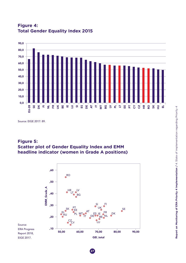

### **Figure 4: Total Gender Equality Index 2015**

Source: EIGE 2017: 89.

#### **Figure 5: Scatter plot of Gender Equality Index and EMM headline indicator (women in Grade A positions)**



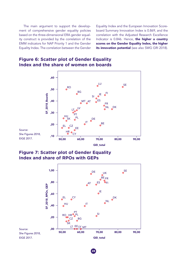The main argument to support the development of comprehensive gender equality policies based on the three-dimensional ERA gender equality construct is provided by the correlation of the EMM indicators for NAP Priority 1 and the Gender Equality Index. The correlation between the Gender

Equality Index and the European Innovation Scoreboard Summary Innovation Index is 0.869, and the correlation with the Adjusted Research Excellence Indicator is 0.846. Hence, the higher a country scores on the Gender Equality Index, the higher its innovation potential (see also SWG GRI 2018).



#### **Figure 6: Scatter plot of Gender Equality Index and the share of women on boards**

**Figure 7: Scatter plot of Gender Equality Index and share of RPOs with GEPs**



**28**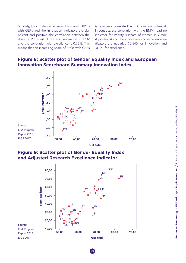Similarly, the correlation between the share of RPOs with GEPs and the innovation indicators are significant and positive (the correlation between the share of RPOs with GEPs and innovation is 0.732 and the correlation with excellence is 0.751). This means that an increasing share of RPOs with GEPs is positively correlated with innovation potential. In contrast, the correlation with the EMM headline indicator for Priority 4 (share of women in Grade A positions) and the innovation and excellence indicators are negative (-0.540 for innovation and -0.471 for excellence).

#### **Figure 8: Scatter plot of Gender Equality Index and European Innovation Scoreboard Summary Innovation Index**



**Figure 9: Scatter plot of Gender Equality Index and Adjusted Research Excellence Indicator**



**29**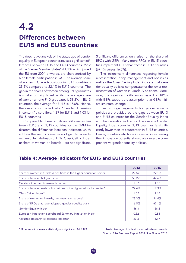## <span id="page-28-0"></span>**4.2**

## **Differences between EU15 and EU13 countries**

The descriptive analysis of the status quo of gender equality in European countries reveals significant differences between EU15 and EU13 countries. Most of the "newer Member States" (EU13), which joined the EU from 2004 onwards, are characterised by high female participation in R&I. The average share of women in Grade A positions in EU13 countries is 29.5% compared to 22.1% in EU15 countries. The gap in the shares of women among PhD graduates is smaller but significant: while the average share of women among PhD graduates is 53.2% in EU13 countries, the average for EU15 is 47.6%. Hence, the average for the indicator "Gender dimension in content" also differs: 1.37 for EU13 and 1.03 for EU15 countries.

Compared to these significant differences between EU13 and EU15 countries for the EMM indicators, the differences between indicators which address the second dimension of gender equality – share of female heads of HEIs, Glass Ceiling Index or share of women on boards – are not significant.

Significant differences only arise for the share of RPOs with GEPs. Many more RPOs in EU15 countries implement GEPs than those in EU13 countries (67.1% versus 16.5%).

The insignificant differences regarding female representation in top management and boards as well as the Glass Ceiling Index indicate that gender equality policies compensate for the lower representation of women in Grade A positions. Moreover, the significant differences regarding RPOs with GEPs support the assumption that GEPs initiate structural change.

Even stronger arguments for gender equality policies are provided by the gaps between EU13 and EU15 countries for the Gender Equality Index and the innovation indicators. The average Gender Equality Index score in EU13 countries is significantly lower than its counterpart in EU15 countries. Hence, countries which are interested in increasing their innovation potential should also invest in comprehensive gender equality policies.

#### **Table 4: Average indicators for EU15 and EU13 countries**

|                                                                       | <b>EU13</b> | <b>EU15</b> |
|-----------------------------------------------------------------------|-------------|-------------|
| Share of women in Grade A positions in the higher education sector    | 29.5%       | 22.1%       |
| Share of female PhD graduates                                         | 53.2%       | 47.6%       |
| Gender dimension in research content                                  | 1.37        | 1.03        |
| Share of female heads of institutions in the higher education sector* | 22.4%       | 19.3%       |
| Glass Ceiling Index*                                                  | 1.52        | 1.68        |
| Share of women on boards, members and leaders*                        | 28.3%       | 34.4%       |
| Share of RPOs that have adopted gender equality plans                 | 16.5%       | 67.1%       |
| <b>Gender Equality Index</b>                                          | 56.3        | 68.2        |
| European Innovation Scoreboard Summary Innovation Index               | 0.32        | 0.55        |
| Adjusted Research Excellence Indicator                                | 23.3        | 52.7        |

\* Difference in means statistically not significant (at 0.05). Note: Average of indicators, no adjustments made.

Source: ERA Progress Report 2018, She Figures 2018.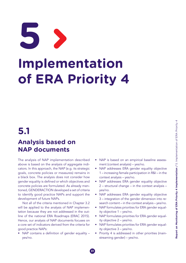<span id="page-29-0"></span>

## **5.1 Analysis based on NAP documents**

The analysis of NAP implementation described above is based on the analysis of aggregate indicators. In this approach, the NAP (e.g. its strategic goals, concrete policies or measures) remains in a black box. The analysis does not consider how gender equality is defined or which objectives and concrete policies are formulated. As already mentioned, GENDERACTION developed a set of criteria to identify good practice NAPs and support the development of future NAPs.

Not all of the criteria mentioned in Chapter 3.2 will be applied to the analysis of NAP implementation because they are not addressed in the outline of the national ERA Roadmaps (ERAC 2015). Hence, our analysis of NAP documents focuses on a core set of indicators derived from the criteria for good practice NAPs:

• NAP contains a definition of gender equality yes/no.

**31**

- NAP is based on an empirical baseline assessment (context analysis) – yes/no.
- NAP addresses ERA gender equality objective 1 – increasing female participation in R&I – in the context analysis – yes/no.
- NAP addresses ERA gender equality objective 2 – structural change – in the context analysis – yes/no.
- NAP addresses ERA gender equality objective 3 – integration of the gender dimension into research content – in the context analysis – yes/no.
- NAP formulates priorities for ERA gender equality objective 1 – yes/no.
- NAP formulates priorities for ERA gender equality objective 2 – yes/no.
- NAP formulates priorities for ERA gender equality objective 3 – yes/no.
- Priority 4 is addressed in other priorities (mainstreaming gender) – yes/no.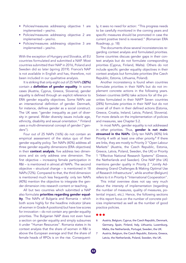- • Policies/measures addressing objective 1 are implemented – yes/no.
- Policies/measures addressing objective 2 are implemented – yes/no.
- Policies/measures addressing objective 3 are implemented – yes/no.

With the exception of Hungary and Slovakia, all EU countries formulated and submitted a NAP. Most countries submitted their NAP in 2016, Poland and Sweden did so later (spring 2019). France's NAP is not available in English and has, therefore, not been included in our qualitative analysis.

It is striking that only eight out of 25 NAPs (32%) contain a definition of gender equality. In some cases (Austria, Cyprus, Greece, Slovenia), gender equality is defined through an explicit reference to ERA gender equality objectives. Some NAPs use an intersectional definition of gender. Denmark, for instance, defines gender as a social construct. The UK sees "gender inequality as part of diversity in general. Wider diversity issues include age, ethnicity, disability and sexual orientation." Finland uses a multi-dimensional concept of gender ("genders").

Four out of 25 NAPs (16%) do not contain an empirical assessment of the status quo of their gender equality policy. Ten NAPs (40%) address all three gender equality dimensions (ERA objectives) in their **context analysis**, five address two dimensions and six only address one dimension. The first objective – increasing female participation in R&I – is mentioned in almost all NAPs. The second objective – structural change – is mentioned in 18 NAPs (72%). Compared to that, the third dimension is mentioned much less frequently: only ten NAPs (40%) mention the objective to integrate the gender dimension into research content or teaching.

All but two countries which submitted a NAP also formulate priorities regarding gender equality. The NAPs of Bulgaria and Romania - which both score highly for the headline indicator (share of women in Grade A positions) but have low scores for innovation – do not contain any gender equality priorities. The Bulgarian NAP does not even have a section on gender equality and simply subsumes it under "Human Resources". Romania states in its context analysis that the share of women in R&I is above the European average and that the share of female heads of RPOs is on the rise. Consequently, it sees no need for action: "This progress needs to be carefully monitored in the coming years and specific measures should be promoted in case the current positive trend is reversed." (Romanian ERA Roadmap, p. 18)

The documents show several inconsistencies regarding context analysis and formulated priorities. Some countries discuss gender gaps in their context analysis but do not formulate corresponding priorities (Cyprus, Finland, Malta). Others do not include specific gender equality objectives in their context analysis but formulate priorities (the Czech Republic, Estonia, Lithuania, Poland).

Another inconsistency is found when countries formulate priorities in their NAPs but do not implement concrete actions in the following years. Sixteen countries (64%) take actions for all the priorities formulated in their NAP.<sup>6</sup> Seven countries (28%) formulate priorities in their NAP but do not cover all of them in their defined actions (Estonia, Greece, Croatia, Ireland, Latvia, Poland, Slovenia). For more details on the implementation of policies and measures, see Chapter 5.2.

In most NAPs, gender equality is not addressed in other priorities. Thus, gender is not mainstreamed in the NAPs. Only ten NAPs (40%) link Priority 4 with at least one other priority.<sup>7</sup> If there are links, they are mostly to Priority 3 "Open Labour Markets" (Austria, the Czech Republic, Estonia, Greece, Latvia, Poland, Sweden, the UK) or Priority 1 "Effective National Research Systems" (Greece, the Netherlands and Sweden). One NAP (the UK) mentions gender quality in Priority 2 "Jointly Addressing Grand Challenges & Making Optimal Use of Research Infrastructure", while another (Belgium) refers to it in Priority 6 "International Cooperation".

This initial overview does not say very much about the intensity of implementation (regarding the number of measures, quality of measures, potential impact, etc.). Hence, the following sections in this report focus on the number of concrete policies implemented as well as the number of good practice policies.

- 6 Austria, Belgium, Cyprus, the Czech Republic, Denmark, Germany, Spain, Finland, Italy, Lithuania, Luxemburg, Malta, the Netherlands, Portugal, Sweden, the UK.
- 7 Austria, Belgium, the Czech Republic, Estonia, Greece, Latvia, the Netherlands, Poland, Sweden, the UK.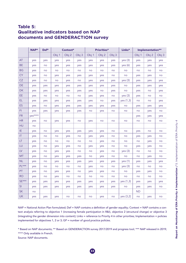#### **Table 5: Qualitative indicators based on NAP documents and GENDERACTION survey**

|                        | NAP*    | Def* | Context* |                  |       | Priorities*      |                  |       | Links*    | Implementation** |                  |                  |
|------------------------|---------|------|----------|------------------|-------|------------------|------------------|-------|-----------|------------------|------------------|------------------|
|                        |         |      | Obj 1    | Obj <sub>2</sub> | Obj 3 | Obj <sub>1</sub> | Obj <sub>2</sub> | Obj 3 |           | Obj 1            | Obj <sub>2</sub> | Obj <sub>3</sub> |
| AT                     | yes     | yes  | yes      | yes              | yes   | yes              | yes              | yes   | yes (3)   | yes              | yes              | yes              |
| <b>BE</b>              | yes     | no   | yes      | yes              | yes   | yes              | yes              | yes   | yes(6)    | yes              | yes              | yes              |
| <b>BG</b>              | yes     | no   | no       | no               | no    | no               | no               | no    | no        | no               | no               | no               |
| <b>CY</b>              | yes     | no   | yes      | yes              | yes   | yes              | yes              | no    | no        | yes              | yes              | no               |
| <b>CZ</b>              | yes     | no   | no       | yes              | no    | yes              | yes              | yes   | yes(3)    | yes              | yes              | yes              |
| DE                     | yes     | yes  | yes      | yes              | yes   | yes              | yes              | yes   | no        | yes              | yes              | yes              |
| <b>DK</b>              | yes     | yes  | yes      | yes              | yes   | yes              | no               | yes   | no        | yes              | no               | yes              |
| EE                     | yes     | no   | no       | no               | no    | yes              | yes              | no    | yes (3)   | yes              | no               | no               |
| EL.                    | yes     | yes  | yes      | yes              | yes   | yes              | no               | yes   | yes (1,3) | no               | no               | yes              |
| ES                     | yes     | no   | yes      | yes              | yes   | yes              | yes              | yes   | no        | yes              | yes              | yes              |
| FI.                    | yes     | yes  | yes      | yes              | yes   | no               | yes              | no    | no        | no               | yes              | no               |
| <b>FR</b>              | yes**** |      |          |                  |       |                  |                  |       |           | yes              | yes              | yes              |
| <b>HR</b>              | yes     | no   | yes      | yes              | no    | yes              | no               | no    | no        | no               | no               | no               |
| HU                     | no      |      |          |                  |       |                  |                  |       |           |                  |                  |                  |
| IE.                    | yes     | no   | yes      | yes              | yes   | yes              | yes              | no    | no        | yes              | no               | no               |
| $\mathsf{I}\mathsf{T}$ | yes     | no   | no       | yes              | no    | yes              | yes              | no    | no        | yes              | yes              | no               |
| LT                     | yes     | no   | no       | no               | no    | no               | yes              | no    | no        | no               | yes              | no               |
| LU                     | yes     | no   | yes      | yes              | no    | yes              | yes              | no    | no        | yes              | yes              | no               |
| LV                     | yes     | no   | yes      | yes              | no    | no               | yes              | no    | yes (3)   | no               | no               | no               |
| <b>MT</b>              | yes     | no   | yes      | yes              | yes   | no               | yes              | no    | no        | no               | yes              | no               |
| <b>NL</b>              | yes     | no   | yes      | yes              | yes   | yes              | yes              | yes   | yes(1)    | yes              | yes              | yes              |
| $PL***$                | yes     | no   | no       | no               | no    | yes              | no               | no    | yes (3)   | no               | no               | no               |
| PT                     | yes     | no   | yes      | yes              | no    | yes              | yes              | no    | no        | yes              | yes              | no               |
| <b>RO</b>              | yes     | no   | yes      | no               | no    | no               | no               | no    | no        | no               | no               | no               |
| <b>SE***</b>           | yes     | yes  | yes      | yes              | yes   | yes              | yes              | yes   | yes (1,3) | yes              | yes              | yes              |
| SI                     | yes     | yes  | yes      | yes              | yes   | yes              | yes              | yes   | no        | yes              | yes              | no               |
| <b>SK</b>              | no      |      |          |                  |       |                  |                  |       |           | <b>ND</b>        |                  |                  |
| <b>UK</b>              | yes     | yes  | yes      | no               | no    | no               | yes              | no    | yes (3,2) | no               | yes              | no               |

NAP = National Action Plan formulated; Def = NAP contains a definition of gender equality; Context = NAP contains a context analysis referring to objective 1 (increasing female participation in R&I), objective 2 (structural change) or objective 3 (integrating the gender dimension into content); Links = reference to Priority 4 in other priorities; Implementation = policies implemented for objectives 1, 2 or 3; GP = number of good practice policies.

\* Based on NAP documents; \*\* Based on GENDERACTION survey 2017/2019 and progress tool; \*\*\* NAP released in 2019; \*\*\*\* Only available in French.

Source: NAP documents.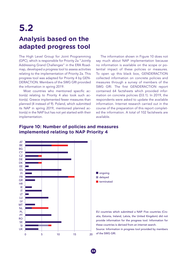## <span id="page-32-0"></span>**5.2**

## **Analysis based on the adapted progress tool**

The High Level Group for Joint Programming (GPC), which is responsible for Priority 2a "Jointly Addressing Grand Challenges" in the ERA Roadmap, developed a progress tool to assess activities relating to the implementation of Priority 2a. This progress tool was adapted for Priority 4 by GEN-DERACTION. Members of the SWG GRI provided the information in spring 2019.

Most countries who mentioned specific action(s) relating to Priority 4 also took such action(s). Greece implemented fewer measures than planned (4 instead of 9). Poland, which submitted its NAP in spring 2019, mentioned planned action(s) in the NAP but has not yet started with their implementation.

The information shown in Figure 10 does not say much about NAP implementation because no information is available on the scope or potential impact of these policies or measures. To open up this black box, GENDERACTION collected information on concrete policies and measures through a survey of members of the SWG GRI. The first GENDERACTION report contained 64 factsheets which provided information on concrete policies (D3.1). In 2019, the respondents were asked to update the available information. Internet research carried out in the course of the preparation of this report completed the information. A total of 102 factsheets are available.



#### **Figure 10: Number of policies and measures implemented relating to NAP Priority 4**

EU countries which submitted a NAP. Five countries (Croatia, Estonia, Ireland, Latvia, the United Kingdom) did not provide information for the progress tool. Information for these countries is derived from an internet search.

Source: Information in progress tool provided by members of the SWG GRI.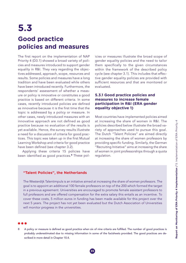## <span id="page-33-0"></span>**5.3**

## **Good practice policies and measures**

The first report on the implementation of NAP Priority 4 (D3.1) showed a broad variety of policies and measures introduced to support gender equality in R&I. They vary regarding the objectives addressed, approach, scope, resources and results. Some policies and measures have a long tradition and have been evaluated while others have been introduced recently. Furthermore, the respondents' assessment of whether a measure or policy is innovative or constitutes a good practice is based on different criteria. In some cases, recently introduced policies are defined as innovative because it is the first time that the topic is addressed by a policy or measure. In other cases, newly introduced measures with an innovative approach are not defined as good practice because no evaluation of the results is yet available. Hence, the survey results illustrate a need for a discussion of criteria for good practices. This topic was taken up in the first Mutual Learning Workshop and criteria for good practice have been defined (see chapter 3.2).

Applying these criteria 15 policies have been identified as good practices.<sup>8</sup> These policies or measures illustrate the broad scope of gender equality policies and the need to tailor them specifically to the given circumstances within the framework of the described policy cycle (see chapter 3.1). This includes that effective gender equality policies are provided with sufficient resources and that are monitored or evaluated.

#### **5.3.1 Good practice policies and measures to increase female participation in R&I (ERA gender equality objective 1)**

Most countries have implemented policies aimed at increasing the share of women in R&I. The policies described below illustrate the broad variety of approaches used to pursue this goal. The Dutch "Talent Policies" are aimed directly at increasing the share of women professors by providing specific funding. Similarly, the German "Recruiting Initiative" aims at increasing the share of women in joint professorships through a quota regulation.

#### **"Talent Policies", the Netherlands**

The Westerdijk Talentimpuls is an initiative aimed at increasing the share of women professors. The goal is to appoint an additional 100 female professors on top of the 200 which formed the target in a previous agreement. Universities are encouraged to promote female assistant professors to full professors and are offered compensation for the extra salary this entails as an incentive. To cover these costs, 5 million euros in funding has been made available for this project over the next 5 years. The project has not yet been evaluated but the Dutch Association of Universities will monitor progress in the universities.

8 A policy or measure is defined as good practice when six of nine criteria are fulfilled. The number of good practices is probably underestimated due to missing information in some of the factsheets provided. The good practices are described in more detail in Chapter 10.4.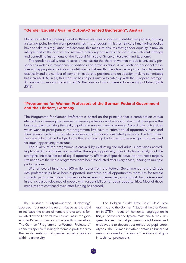#### **"Gender Equality Goal in Output-Oriented Budgeting", Austria**

Output-oriented budgeting describes the desired results of government-funded policies, forming a starting point for the work programmes in the federal ministries. Since all managing bodies have to take this regulation into account, this measure ensures that gender equality is now an integral part of the science and research policy agenda and is anchored in all relevant strategy and controlling instruments of the Federal Ministry of Science, Research and Economy.

The gender equality goal focuses on increasing the share of women in public university personnel as well as in management positions and professorships. A well-defined personnel structure and appropriate indicators contribute to first results: the glass ceiling index has decreased drastically and the number of women in leadership positions and on decision-making committees has increased. All in all, this measure has helped Austria to catch up with the European average. An evaluation was conducted in 2015, the results of which were subsequently published (BKA 2016).

#### **"Programme for Women Professors of the German Federal Government and the Länder", Germany**

The Programme for Women Professors is based on the principle that a combination of two elements – increasing the number of female professors and achieving structural change – is the best approach to fixing the leaky pipeline in research and academia. Accordingly, universities which want to participate in the programme first have to submit equal opportunity plans and then receive funding for female professorships if they are evaluated positively. The two objectives are linked, since budget funds that are freed up by funded professorships must be used for equal opportunity measures.

The quality of the programme is ensured by evaluating the individual submissions according to specific conditions, e.g. whether the equal opportunity plan includes an analysis of the strengths and weaknesses of equal opportunity efforts and specific equal opportunities targets. Evaluations of the whole programme have been conducted after every phase, leading to multiple prolongations.

With an overall funding of 500 million euros from the Federal Government and the Länder, 528 professorships have been supported, numerous equal opportunities measures for female students, junior scientists and professors have been implemented, and cultural change is evident in the increased relevance of people with responsibilities for equal opportunities. Most of these measures are continued even after funding has ceased.

The Austrian "Output-oriented Budgeting" approach is a more indirect initiative as the goal to increase the share of female professors is formulated at the Federal level as well as in the government's performance contracts with universities. The German "Programme for Women Professors" connects specific funding for female professors to the implementation of gender equality policies within a university.

 The Belgian "Girls' Day, Boys' Day" programme and the German "National Pact for Women in STEM" focus on horizontal segregation in R&I, in particular the typical male and female degree choices. The Belgian measure addresses and endeavours to deconstruct gendered pupil stereotypes. The German initiative contains a bundle of measures aimed at increasing the interest of girls in technical professions.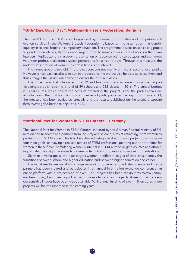#### **"Girls' Day, Boys' Day", Wallonia-Brussels Federation, Belgium**

The "Girls' Day, Boys' Day" project organised by the equal opportunities and compulsory education services in the Wallonia-Brussels Federation is based on the assumption that gender equality in science begins in compulsory education. The programme focuses on sensitising pupils to gender stereotypes, thereby encouraging them to make career choices based on their own interests. Pupils attend a classroom presentation on deconstructing stereotypes and then meet volunteer professionals from atypical professions for girls and boys. Through this measure, the underrepresentation of women in certain fields is countered.

The target group is twofold. The project concentrates mainly on first or second-level pupils. However, since teachers also take part in the sessions, the project also helps to sensitise them and thus changes the (structural) preconditions for their future classes.

The project was first introduced in 2012 and has continually increased its number of participating schools, reaching a total of 59 schools and 212 classes in 2016. The annual budget is 59,500 euros, which covers the costs of organising the project (since the professionals are all volunteers, the cost for the growing number of participants can be kept low). Since 2013, the measure has been evaluated annually and the results published on the project's website (http://www.gdbd.be/index.php?id=11472).

#### **"National Pact for Women in STEM Careers", Germany**

The National Pact for Women in STEM Careers, initiated by the German Federal Ministry of Education and Research and partners from industry and science, aims at attracting more women to professions in STEM areas. This is to be achieved using a vast number of projects that focus on four main goals: conveying a realistic picture of STEM professions, pointing out opportunities for women in these fields, stimulating women's interest in STEM-related degree courses and attracting female university graduates to careers in technical companies and research organisations.

Given its diverse goals, the pact targets women in different stages of their lives, namely the transitions between school and higher education and between higher education and career.

The initial results are manifold: a huge network of government, industry, science and media partners has been created and participates in an annual information exchange conference; an online platform with a project map of over 1,000 projects has been set up (http://www.kommmach-mint.de/); brochures, a podcast with role models and an image database containing gender-sensitive images have been made available. With annual funding of 3 to 4 million euros, more projects will be implemented in the coming years.

**37**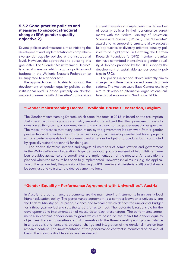## **5.3.2 Good practice policies and measures to support structural change (ERA gender equality objective 2)**

Several policies and measures aim at initiating the development and implementation of comprehensive gender equality policies at the institutional level. However, the approaches to pursuing this goal differ. The "Gender Mainstreaming Decree" is a legal measure which requires policies and budgets in the Wallonia-Brussels Federation to be subjected to a gender test.

The approach used in Austria to support the development of gender equality policies at the institutional level is based primarily on "Performance Agreements with Universities". Universities commit themselves to implementing a defined set of equality policies in their performance agreements with the Federal Ministry of Education, Science and Research (BMBWF). The "Diversitas" award and its supporting structure allow successful approaches to diversity-oriented equality policies to be highlighted. In Germany, the German Research Foundation's (DFG) member organisation have committed themselves to gender equality. A Toolbox provided by the DFG supports the development of sustainable gender equality policies in RPOs.

The policies described above indirectly aim to change the culture in science and research organisations. The Austrian Laura Bassi Centres explicitly aim to develop an alternative organisational culture to that encounter in 'traditional' RPOs.

## **"Gender Mainstreaming Decree", Wallonia-Brussels Federation, Belgium**

The Gender Mainstreaming Decree, which came into force in 2016, is based on the assumption that specific actions to promote equality are not sufficient and that the government needs to question all its systems, procedures, decisions and actions from a gender equality perspective. The measure foresees that every action taken by the government be reviewed from a gender perspective and provides specific innovative tools (e.g. a mandatory gender test for all projects with concrete proposals for improvement and a gender budgeting procedure; both conducted by specially trained personnel) for doing so.

The decree therefore involves and targets all members of administration and government in the Wallonia-Brussels Federation. A gender support group composed of two full-time members provides assistance and coordinates the implementation of the measure. An evaluation is planned when the measure has been fully implemented. However, initial results (e.g. the application of the gender test, the provision of training to 100 members of ministerial staff) could already be seen just one year after the decree came into force.

## **"Gender Equality – Performance Agreement with Universities", Austria**

In Austria, the performance agreements are the main steering instruments in university-level higher education policy. The performance agreement is a contract between a university and the Federal Ministry of Education, Science and Research which defines the university's budget for a three-year period and sets the targets it has to meet. The rectorate is responsible for the development and implementation of measures to reach these targets. The performance agreement also contains gender equality goals which are based on the main ERA gender equality objectives. Hence, universities commit themselves to the three overall goals: gender balance in all positions and functions, structural change and integration of the gender dimension into research content. The implementation of the performance contract is monitored on an annual basis. The measure itself has also been evaluated.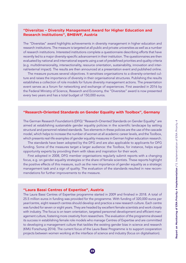## **"Diversitas – Diversity Management Award for Higher Education and Research Institutions", BMBWF, Austria**

The "Diversitas" award highlights achievements in diversity management in higher education and research institutions. The measure is targeted at all public and private universities as well as a number of research institutions. Interested institutions complete a questionnaire describing efforts that have recently led to a major diversity-specific advancement in their institution. The questionnaires are then evaluated by national and international experts using a set of predefined priorities and quality criteria (e.g. multidimensionality, intersectionality, resource orientation, sustainability, innovation and internal/external impact). The results are then announced at a presentation event and published online.

The measure pursues several objectives. It sensitises organisations to a diversity-oriented culture and raises the importance of diversity in their organisational structures. Publishing the results establishes a collection of role models for future diversity management actions. The presentation event serves as a forum for networking and exchange of experiences. First awarded in 2016 by the Federal Ministry of Science, Research and Economy, the "Diversitas" award is now presented every two years and has a total budget of 150,000 euros.

## **"Research-Oriented Standards on Gender Equality with Toolbox", Germany**

The German Research Foundation's (DFG) "Research-Oriented Standards on Gender Equality" are aimed at establishing sustainable gender equality policies in the scientific landscape by setting structural and personnel-related standards. Two elements in these policies are the use of the cascade model, which helps to increase the number of women at all academic career levels, and the Toolbox, which presents real-life examples of gender equality measures in German higher education research.

The standards have been adopted by the DFG and are also applicable to applicants for DFG funding. Some of the measures target a larger audience: the Toolbox, for instance, helps equal opportunity experts by providing them with ideas and inspiration for their work.

First adopted in 2008, DFG member organisations regularly submit reports with a changing focus, e.g. on gender equality strategies or the share of female scientists. These reports highlight the positive effects of this measure, such as the new importance of gender equality as a strategic management task and a sign of quality. The evaluation of the standards resulted in new recommendations for further improvements to the measure.

## **"Laura Bassi Centres of Expertise", Austria**

The Laura Bassi Centres of Expertise programme started in 2009 and finished in 2018. A total of 25.5 million euros in funding was provided for the programme. With funding of 320,000 euros per year/centre, eight research centres should develop and practice a new research culture. Each centre was funded for seven or eight years. They are headed by excellent female scientists and work closely with industry. The focus is on team orientation, targeted personnel development and efficient management culture, fostering more creativity from researchers. The evaluation of the programme showed its success in establishing female role models who manage Centres of Expertise and are committed to developing a management culture that tackles the existing gender bias in science and research (KMU Forschung 2014). The current focus of the Laura Bassi Programme is to support cooperation projects between women working at the interface of science and industry (focus on digitalisation).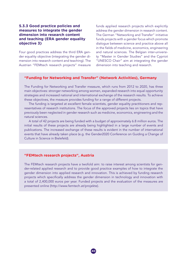## **5.3.3 Good practice policies and measures to integrate the gender dimension into research content and teaching (ERA gender equality objective 3)**

Four good practices address the third ERA gender equality objective (integrating the gender dimension into research content and teaching). The Austrian "FEMtech research projects" measure funds applied research projects which explicitly address the gender dimension in research content. The German "Networking and Transfer" initiative funds projects with a gender focus which promote dialogue between science and practice above all in the fields of medicine, economics, engineering and natural sciences. The Belgian inter-university "Master in Gender Studies" and the Cypriot "UNESCO Chair" aim at integrating the gender dimension into teaching and research.

## **"Funding for Networking and Transfer" (Network Activities), Germany**

The Funding for Networking and Transfer measure, which runs from 2012 to 2020, has three main objectives: stronger networking among women, expanded research into equal opportunity strategies and increased national and international exchange of the research results. To achieve these objectives, the measure provides funding for a range of different projects.

The funding is targeted at excellent female scientists, gender equality practitioners and representatives of research institutions. The focus of the approved projects lies on topics that have previously been neglected in gender research such as medicine, economics, engineering and the natural sciences.

A total of 42 projects are being funded with a budget of approximately 6.8 million euros. The initial results of these projects are already being highlighted in a large number of events and publications. The increased exchange of these results is evident in the number of international events that have already taken place (e.g. the Gender2020 Conference on Guiding a Change of Culture in Science in Bielefeld).

## **"FEMtech research projects", Austria**

The FEMtech research projects have a twofold aim: to raise interest among scientists for gender-related applied research and to provide good practice examples of how to integrate the gender dimension into applied research and innovation. This is achieved by funding research projects which specifically address the gender dimension in technology and innovation with a total of 2,400,000 euros per year. Funded projects and the evaluation of the measures are presented online (http://www.femtech.at/projekte).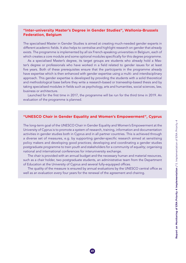## **"Inter-university Master's Degree in Gender Studies", Wallonia-Brussels Federation, Belgium**

The specialised Master in Gender Studies is aimed at creating much-needed gender experts in different academic fields. It also helps to centralise and highlight research on gender that already exists. The programme is implemented by all six French-speaking universities in Belgium, each of which creates a core module and some optional modules specifically for this degree programme.

As a specialised Master's degree, its target groups are students who already hold a Master's degree or professionals who have worked in a field related to gender issues for at least five years. Both of these prerequisites ensure that the participants in the programme already have expertise which is then enhanced with gender expertise using a multi- and interdisciplinary approach. This gender expertise is developed by providing the students with a solid theoretical and methodological base before they write a research-based or traineeship-based thesis and by taking specialised modules in fields such as psychology, arts and humanities, social sciences, law, business or architecture.

Launched for the first time in 2017, the programme will be run for the third time in 2019. An evaluation of the programme is planned.

## **"UNESCO Chair in Gender Equality and Women's Empowerment", Cyprus**

The long-term goal of the UNESCO Chair in Gender Equality and Women's Empowerment at the University of Cyprus is to promote a system of research, training, information and documentation activities in gender studies both in Cyprus and in all partner countries. This is achieved through a diverse set of measures, e.g. by supporting gender-specific research aimed at sensitising policy makers and developing good practices; developing and coordinating a gender studies postgraduate programme to train youth and stakeholders for a community of equality; organising national and international conferences for interuniversity exchange.

The chair is provided with an annual budget and the necessary human and material resources, such as a chair holder, two postgraduate students, an administrative team from the Department of Education at the University of Cyprus and several fully-equipped offices.

The quality of the measure is ensured by annual evaluations by the UNESCO central office as well as an evaluation every four years for the renewal of the agreement and chairing.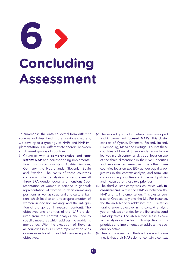# **Concluding Assessment 6**

To summarise the data collected from different sources and described in the previous chapters, we developed a typology of NAPs and NAP implementation. We differentiate therein between six different groups of countries:

- (1) Countries with a comprehensive and consistent NAP and corresponding implementation. This cluster consists of Austria, Belgium, Germany, the Netherlands, Slovenia, Spain and Sweden. The NAPs of these countries contain a context analysis which addresses all three ERA gender equality dimensions (representation of women in science in general; representation of women in decision-making positions as well as structural and cultural barriers which lead to an underrepresentation of women in decision making; and the integration of the gender in research content). The objectives and priorities of the NAP are derived from the context analysis and lead to specific measures which address the problems mentioned. With the exception of Slovenia, all countries in this cluster implement policies or measures for all three ERA gender equality objectives.
- (2) The second group of countries have developed and implemented **focused NAPs**. This cluster consists of Cyprus, Denmark, Finland, Ireland, Luxembourg, Malta and Portugal. Four of these countries address all three gender equality objectives in their context analysis but focus on two of the three dimensions in their NAP priorities and implemented measures. The other three countries focus on two ERA gender equality objectives in the context analysis, and formulate corresponding priorities and implement policies and measures for these two priorities.
- (3) The third cluster comprises countries with inconsistencies within the NAP or between the NAP and its implementation. This cluster consists of Greece, Italy and the UK. For instance, the Italian NAP only addresses the ERA structural change objective in its context analysis yet formulates priorities for the first and second ERA objectives. The UK NAP focuses in its context analysis on the first ERA objective but its priorities and implementation address the second objective.
- (4) The common feature in the fourth group of countries is that their NAPs do not contain a context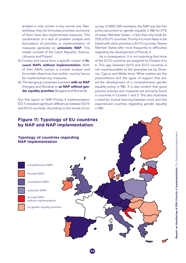analysis or only contain a very narrow one. Nevertheless, they do formulate priorities, and some of them have also implemented measures. This combination of a lack of problem analysis and formulation of priorities or implementation of measures generate an **actionistic NAP**. This cluster consists of the Czech Republic, Estonia, Lithuania and Poland.

- (5) Croatia and Latvia form a specific cluster of focused NAPs without implementation. Both of their NAPs contain a context analysis and formulate objectives but neither country has so far implemented any measures.
- (6) The last group comprises countries with no NAP (Hungary and Slovakia) or an NAP without gender equality priorities (Bulgaria and Romania).

Our first report on NAP Priority 4 implementation (D3.1) revealed significant differences between EU15 and EU13 countries. According to the results of our

## survey of SWG GRI members, the NAP was the first policy document on gender equality in R&I for 57% of newer Member States – a fact that only holds for 25% of EU15 countries. Priority 4 is more likely to be linked with other priorities in EU15 countries. Newer Member States refer more frequently to difficulties regarding the development of Priority 4.

As a consequence, it is not surprising that none of the EU15 countries are assigned to Clusters 4 to 6. This gap between EU15 and EU13 countries is not insurmountable as the examples set by Slovenia, Cyprus and Malta show. What matters are the preconditions and the types of support that aided the development of a comprehensive gender equality policy in R&I. It is also evident that good practice policies and measures are primarily found in countries in Clusters 1 and 2. This also illustrates a need for mutual learning between more and less experienced countries regarding gender equality in R&I.

## **Figure 11: Typology of EU countries by NAP and NAP implementation**

## **Typology of countries regarding NAP implementation**



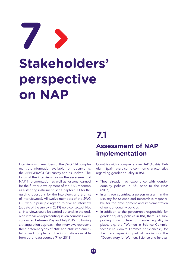# **Stakeholders' perspective on NAP 7**

Interviews with members of the SWG GRI complement the information available from documents, the GENDERACTION survey and its update. The focus of the interviews lay on the assessment of NAP implementation as well as lessons learned for the further development of the ERA roadmap as a steering instrument (see Chapter 10.1 for the guiding questions for the interviews and the list of interviewees). All twelve members of the SWG GRI who in principle agreed to give an interview (update of the survey in 2019) were contacted. Not all interviews could be carried out and, in the end, nine interviews representing seven countries were conducted between May and July 2019. Following a triangulation approach, the interviews represent three different types of NAP and NAP implementation and complement the information available from other data sources (Flick 2018).

## **7.1 Assessment of NAP implementation**

Countries with a comprehensive NAP (Austria, Belgium, Spain) share some common characteristics regarding gender equality in R&I.

- They already had experience with gender equality policies in R&I prior to the NAP (2016).
- In all three countries, a person or a unit in the Ministry for Science and Research is responsible for the development and implementation of gender equality policies.
- In addition to the person/unit responsible for gender equality policies in R&I, there is a supporting infrastructure for gender equality in place, e.g. the "Women in Science Committee"<sup>9</sup> ("Le Comité Femmes et Sciences") for the French-speaking part of Belgium or the "Observatory for Women, Science and Innova-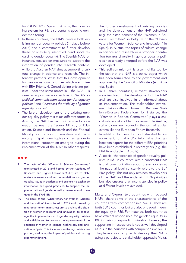tion" (OMCI)<sup>10</sup> in Spain. In Austria, the monitoring system for R&I also contains specific gender monitoring.

- In these countries, the NAPs contain both existing gender equality policies (in place before 2016) and a commitment to further develop these policies (e.g. identified blind spots regarding gender equality). The Spanish NAP, for instance, focuses on measures to support the integration of gender into research content, while the Austrian NAP aims at supporting cultural change in science and research. The interview partners stress that this development focuses on national priorities which are in line with ERA Priority 4. Consolidating existing policies under the same umbrella – the NAP – is seen as a positive approach as it "facilitates political communication about gender equality policies" and "increases the visibility of gender equality policies".
- The further development of the existing gender equality policy mix takes different forms: in Austria, the NAP has led to intensified cooperation between the Federal Ministry of Education, Science and Research and the Federal Ministry for Transport, Innovation and Technology. In Spain, new topics such as gender in international cooperation emerged during the implementation of the NAP. In other respects,

- 9 The tasks of the "Women in Science Committee" (constituted in 2016 and hosted by the Academy of Research and Higher Education/ARES) are to elaborate statements and recommendations on gender equality issues in academia and science, to exchange information and good practices, to support the implementation of gender equality measures and to engage in the SWG GRI.
- 10 The goals of the "Observatory for Women, Science and Innovation" (constituted in 2019 and formed by nine government ministries) are to analyse the situation of women in research and innovation, to encourage the implementation of gender equality policies and activities and to promote the improvement of the situation of women in science, technology and innovation in Spain. This includes monitoring policies, reporting, evaluating the impact of policies and making recommendations.

the further development of existing policies and the development of the NAP coincided (e.g. the establishment of the "Women in Science Committee" in Belgium or the "Observatory for Women, Science and Innovation" in Spain). In Austria, the topics of cultural change in science and research or a stronger orientation towards diversity in gender equality policies had already emerged before the NAP was developed.

- This self-commitment is also highlighted by the fact that the NAP is a policy paper which has been formulated by the government and approved by the Council of Ministers (e.g. Austria, Spain).
- In all three countries, relevant stakeholders were involved in the development of the NAP and are also involved in or informed about its implementation. This stakeholder involvement takes different forms. In Belgium (Wallonia-Brussels Federation), for instance, the "Women in Science Committee" plays a crucial role in stakeholder involvement. In Austria, stakeholders are involved in the form of regular events like the European Forum Research.
- In addition to these forms of stakeholder involvement, formal and/or informal exchanges between experts for the different ERA priorities have been established in recent years (e.g. the ERA Roundtable in Austria).
- • A special characteristic of gender equality policies in R&I in countries with a consistent NAP is that communication about these policies at the national level constantly refers to the EU/ ERA policy. This not only reminds stakeholders of the NAP and the underlying ERA priorities but also ensures that inconsistencies in policy at different levels are avoided.

Malta and Cyprus, two countries with focused NAPs, share some of the characteristics of the countries with comprehensive NAPs. They are both EU13 countries but are also engaged in gender equality in R&I. For instance, both countries have officers responsible for gender equality in R&I in their corresponding ministry. However, the supporting infrastructure is not as well developed as it is in the countries with comprehensive NAPs. They have also attempted to develop their NAPs using a participatory stakeholder approach: Malta,

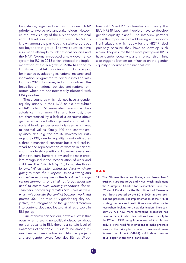for instance, organised a workshop for each NAP priority to involve relevant stakeholders. However, the low visibility of the NAP at both national and EU level is evidently a problem. The NAP is known among the participating stakeholders but not beyond that group. The two countries have also made attempts to link national policies and the NAP: Cyprus introduced a new governance system for R&I in 2018 which affected the implementation of the NAP, while Malta has tried to link its national R&I policies with EU strategies, for instance by adapting its national research and innovation programme to bring it into line with Horizon 2020. However, in both countries, the focus lies on national policies and national priorities which are not necessarily identical with ERA priorities.

Those countries which do not have a gender equality priority in their NAP or did not submit a NAP (Poland, Slovakia) also have some characteristics in common. First and foremost, they are characterised by a lack of a discourse about gender equality – both in general and in R&I. At societal level, gender equality is seen as a threat to societal values (family life) and contradictory discourses (e.g. the pro-life movement). With regard to R&I, gender equality is not defined as a three-dimensional construct but is reduced instead to the representation of women in science and in leadership positions. However, awareness of the structural barriers is low, and the main problem recognised is the reconciliation of work and childcare. The Polish NAP (p. 10) formulates this as follows: "When implementing standards which are going to make the European Union a strong and innovative economy using the latest technological developments, one shall not forget about the need to create such working conditions (for researchers, particularly females but males as well), which will alleviate the conflict between work and private life." The third ERA gender equality objective, the integration of the gender dimension into content, does not feature at all as a topic in R&I policy.

Our interview partners did, however, stress that even when there is no political discourse about gender equality in R&I, there is a certain level of awareness of the topic. This is found among researchers who are involved in EU-funded projects and are gender aware (see also Bührer, Wroblewski 2019) and RPOs interested in obtaining the EU's HRS4R label and therefore have to develop gender equality plans.<sup>11</sup> The interview partners stress the importance of addressing and supporting institutions which apply for the HRS4R label precisely because they have to develop such a plan. They assume that if more prestigious RPOs have gender equality plans in place, this might also trigger a bottom-up influence on the gender equality discourse at the national level.

11 The "Human Resources Strategy for Researchers" (HRS4R) supports RPOs and RFOs which implement the "European Charter for Researchers" and the "Code of Conduct for the Recruitment of Researchers" (both adopted by the EC in 2005) in their policies and practices. The implementation of the HRS4R strategy renders such institutions more attractive to researchers looking for a new destination. Since January 2017, a new, more demanding procedure has been in place, in which institutions have to apply to the EC for HRS4R recognition. A key point in this procedure is the need for institutions to make progress towards the principles of open, transparent, merit-based recruitment (OTM-R) which should ensure equal opportunities for all candidates.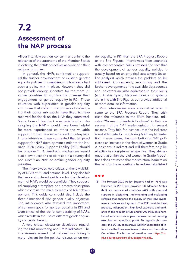## **7.2 Assessment of the NAP process**

All our interview partners concur in underlining the relevance of the autonomy of the Member States in defining their NAP objectives according to their national priorities.

In general, the NAPs confirmed or supported the further development of existing gender equality policies in countries which already had such a policy mix in place. However, they did not provide enough incentive for the more inactive countries to significantly increase their engagement for gender equality in R&I. Those countries with experience in gender equality and those that were in the process of developing their policy mix would have liked to have received feedback on the NAP they submitted. Some form of feedback – especially when developing the NAP – would have been helpful for more experienced countries and valuable support for their less experienced counterparts. In one interview, it was suggested that targeted support for NAP development similar to the Horizon 2020 Policy Support Facility (PSF) should be provided<sup>12</sup>. A feedback mechanism would also allow questions to be raised if a country did not submit an NAP or define gender equality priorities.

The interviewees were critical of the low visibility of NAPs at EU and national level. They also felt that more structured guidance for the development of NAPs would be beneficial. They suggested supplying a template or a process description which contains the main elements of NAP development. This guidance should also include the three-dimensional ERA gender quality objective. The interviewees also stressed the importance of common goals for gender equality in R&I and were critical of the lack of comparability of NAPs, which results in the use of different gender equality concepts therein.

A very critical discussion developed regarding the ERA monitoring and EMM indicators. The interviewees agreed that national monitoring is more relevant for the political discussion on gender equality in R&I than the ERA Progress Report or the She Figures. Interviewees from countries with comprehensive NAPs stressed the fact that the development of gender equality policies is usually based on an empirical assessment (baseline analysis) which defines the problem to be addressed. Consequently, monitoring and the further development of the available data sources and indicators are also addressed in their NAPs (e.g. Austria, Spain). National monitoring systems are in line with She Figures but provide additional or more detailed information.

Most interviewees were also critical when it came to the ERA Progress Report. They criticised the reference to the EMM headline indicator "Women in Grade A Positions" in their assessment of the NAP implementation for several reasons. They felt, for instance, that the indicator is not adequate for monitoring NAP implementation. In most cases, the contribution of NAP policies to an increase in the share of women in Grade A positions is indirect and will therefore only be effective in a long-term perspective. They also argued that a high share of women in Grade A positions does not mean that the structural barriers on the path to these positions have been abolished

12 The Horizon 2020 Policy Support Facility (PSF) was launched in 2015 and provides EU Member States (MS) and associated countries (AC) with practical support in designing, implementing and evaluating reforms that enhance the quality of their R&I investments, policies and systems. The PSF provides best practice, independent, high-level expertise and guidance at the request of MS and/or AC through a number of services such as peer reviews, mutual learning exercises and specific support. To organise this process, the EC issues an annual Call for Expression of Interest via the European Research Area and Innovation Committee. For further information, see: [https://rio.](https://rio.jrc.ec.europa.eu/en/policy-support-facility) [jrc.ec.europa.eu/en/policy-support-facility](https://rio.jrc.ec.europa.eu/en/policy-support-facility).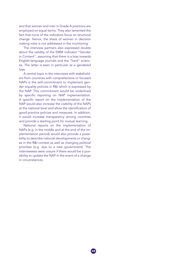and that women and men in Grade A positions are employed on equal terms. They also lamented the fact that none of the indicators focus on structural change. Hence, the share of women in decision making roles is not addressed in the monitoring.

The interview partners also expressed doubts about the validity of the EMM indicator "Gender in Content", assuming that there is a bias towards English-language journals and the "hard" sciences. The latter is seen in particular as a gendered bias.

A central topic in the interviews with stakeholders from countries with comprehensive or focused NAPs is the self-commitment to implement gender equality policies in R&I which is expressed by the NAP. This commitment would be underlined by specific reporting on NAP implementation. A specific report on the implementation of the NAP would also increase the visibility of the NAPs at the national level and allow the identification of good practice policies and measures. In addition, it would increase transparency among countries and provide a starting point for mutual learning.

National reports on the implementation of NAPs (e.g. in the middle and at the end of the implementation period) would also provide a possibility to describe national developments or changes in the R&I context as well as changing political priorities (e.g. due to a new government). The interviewees were unsure if there would be a possibility to update the NAP in the event of a change in circumstances.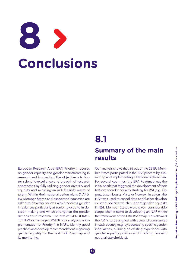# **Conclusions 8**

European Research Area (ERA) Priority 4 focuses on gender equality and gender mainstreaming in research and innovation. The objective is to foster scientific excellence and breadth of research approaches by fully utilising gender diversity and equality and avoiding an indefensible waste of talent. Within their national action plans (NAPs), EU Member States and associated countries are asked to develop policies which address gender imbalances particularly at senior levels and in decision making and which strengthen the gender dimension in research. The aim of GENDERAC-TION Work Package 3 (WP3) is to analyse the implementation of Priority 4 in NAPs, identify good practices and develop recommendations regarding gender equality for the next ERA Roadmap and its monitoring.

## **8.1 Summary of the main results**

Our analysis shows that 26 out of the 28 EU Member States participated in the ERA process by submitting and implementing a National Action Plan. For several countries, the ERA Roadmap was the initial spark that triggered the development of their first-ever gender equality strategy for R&I (e.g. Cyprus, Luxembourg, Malta or Norway). In others, the NAP was used to consolidate and further develop existing policies which support gender equality in R&I. Member States were given considerable scope when it came to developing an NAP within the framework of the ERA Roadmap. This allowed the NAPs to be aligned with actual circumstances in each country (e.g. by addressing specific gender inequalities, building on existing experience with gender equality policies and involving relevant national stakeholders).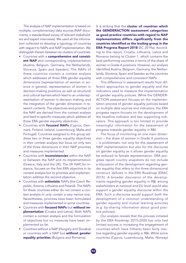The analysis of NAP implementation is based on multiple, complementary data sources (NAP documents, a standardised survey of relevant stakeholders and expert interviews). We used all the information collected to develop a typology of countries with respect to NAPs and NAP implementation. We distinguish therein between six clusters of countries:

- Countries with a comprehensive and consistent NAP and corresponding implementation (Austria, Belgium, Germany, the Netherlands, Slovenia, Spain and Sweden). The NAPs of these countries contain a context analysis which addresses all three ERA gender equality dimensions (representation of women in science in general; representation of women in decision-making positions as well as structural and cultural barriers which lead to an underrepresentation of women in decision making; and the integration of the gender dimension in research content). The objectives and priorities of the NAP are derived from the context analysis and lead to specific measures which address all three ERA gender equality objectives.
- Countries with focused NAPs (Cyprus, Denmark, Finland, Ireland, Luxembourg, Malta and Portugal). Countries assigned to this group address two or three gender equality objectives in their context analysis but focus on only two of the three dimensions in their NAP priorities and measures implemented.
- Countries with *inconsistencies* within the NAP or between the NAP and its implementation (Greece, Italy and the UK). The UK NAP, for instance, focuses on the first ERA objective in its context analysis but its priorities and implementation address the second objective.
- Countries with **actionistic** NAPs (the Czech Republic, Estonia, Lithuania and Poland). The NAPs for these countries either do not contain a context analysis or only contain a very narrow one. Nevertheless, priorities have been formulated and measures implemented in some countries.
- Countries with focused NAPs but without implementation (Croatia and Latvia). Both NAPs contain a context analysis and the formulation of objectives but no measures have been implemented so far.
- • Countries without a NAP (Hungary and Slovakia) or countries with a NAP but without gender equality priorities (Bulgaria and Romania).

It is striking that the cluster of countries which the GENDERACTION assessment categorises as good practice countries with regard to NAP implementation differs significantly from the countries identified as the leading group in the ERA Progress Report 2018 (EC 2019a). According to this report, Croatia, Lithuania, Latvia and Romania belong to Cluster 1, which contains the best-performing countries in terms of the share of women in Grade A positions. However, our analysis identified Austria, Belgium, Germany, the Netherlands, Slovenia, Spain and Sweden as the countries with comprehensive and consistent NAPs.

This difference in assessment results from different approaches to gender equality and the indicators used to measure the implementation of gender equality policies. While the GENDER-ACTION assessment focuses on the implementation process of gender equality policies based on multiple data sources and indicators, the ERA progress report focuses on the development of the headline indicator and two supporting indicators. This approach is too limited to provide meaningful information for the assessment of progress towards gender equality in R&I.

The focus of monitoring on one main dimension – the share of women in Grade A positions – is problematic not only for the assessment of NAP implementation but also for the discourse on gender equality as it allows gender equality be reduced to female representation. ERA progress report country snapshots do not include a discussion of the development regarding gender equality that refers to the three-dimensional construct defined in the ERA Roadmap (ERAC 2015). A broader discussion of the developments regarding gender equality in R&I among stakeholders at national and EU level would also support a gender equality discourse within the ERA. Such a discourse would support both the development of a common understanding of gender equality and mutual learning activities (e.g. by sharing information about good practice policies).

Our analysis reveals that the process initiated by the ERA Roadmap 2015-2020 has only had limited success in increasing the engagement of countries which have hitherto been fairly inactive regarding gender equality in R&I. While some countries (Cyprus, Luxembourg, Malta, Norway)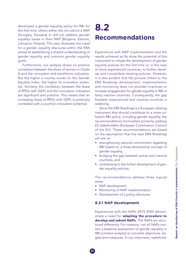developed a gender equality policy for R&I for the first time, others either did not submit a NAP (Hungary, Slovakia) or did not address gender equality issues in their NAP (Bulgaria, Estonia, Lithuania, Poland). This also illustrates the need for a gender equality discourse within the ERA aimed at establishing a shared understanding of gender equality and common gender equality goals.

Furthermore, our analysis shows no positive correlation between the share of women in Grade A and the innovation and excellence indicators. But the higher a country scores on the Gender Equality Index, the higher its innovation potential. Similarly, the correlation between the share of RPOs with GEPs and the innovation indicators are significant and positive. This means that an increasing share of RPOs with GEPs is positively correlated with a country's innovation potential.

## **8.2 Recommendations**

Experiences with NAP implementation and the results achieved so far show the potential of this instrument to initiate the development of gender equality policies for the first time or, in the case of more experienced countries, to further develop and consolidate existing policies. However, it is also evident that the process linked to the ERA Roadmap development, implementation and monitoring does not provide incentives to increase engagement for gender equality in R&I in fairly inactive countries. Consequently, the gap between experienced and inactive countries is widening.

Since the ERA Roadmap is a European steering instrument that should contribute to a more coherent R&I policy, including gender equality, the recommendations formulated primarily address EU stakeholders (European Commission, Council of the EU). These recommendations are based on the assumption that the next ERA Roadmap will aim at

- strengthening national commitment regarding R&I based on a three-dimensional concept of gender equality,
- bridging the gap between active and inactive countries, and
- contributing to the further development of gender equality policies.

The recommendations address three topical areas:

- NAP development
- Monitoring of NAP implementation
- Development of a policy discourse.

## **8.2.1 NAP development**

Experiences with the NAPs 2015-2020 demonstrate a need for adapting the procedure to develop and submit NAPs. The NAPs are structured differently. For instance, not all NAPs contain a baseline assessment of gender equality in R&I (context analysis) or concrete objectives, targets and measures. In our interviews, stakehold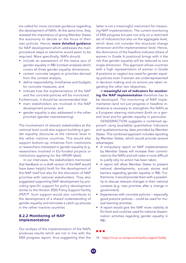ers called for more concrete guidance regarding the development of NAPs. At the same time, they stressed the importance of giving Member States the autonomy to decide on the focus of their own policies. Hence, more detailed guidance for NAP development which addresses the main procedural steps or elements would seem to be required. More specifically, NAPs should:

- include an assessment of the status quo of gender equality in R&I (context analysis) which covers all three gender equality dimensions,
- • contain concrete targets or priorities derived from the context analysis,
- define responsibility, timeframes and budgets for concrete measures, and
- indicate how the implementation of the NAP and the concrete policies will be monitored.

Furthermore, it should be recommended that

- main stakeholders are involved in the NAP development process, and
- • gender equality is also addressed in the other priorities (gender mainstreaming).

The involvement of relevant stakeholders at the national level could also support building a gender equality discourse at the national level in the rather inactive countries. This would also support bottom-up initiatives from institutions or researchers interested in gender equality (e.g. researchers involved in EU-funded projects or institutions applying for the HRS4R label).

In our interviews, the stakeholders mentioned that feedback on a draft version of the NAP would have been helpful both for the development of the NAP itself but also for the discussion of NAP priorities with national stakeholders. They also suggested supporting NAP development by providing specific support for policy development similar to the Horizon 2020 Policy Support Facility (PSF)<sup>13</sup>. Such support would also contribute to the development of a shared understanding of gender equality and stimulate a catch-up process in the rather inactive countries.

## **8.2.2 Monitoring of NAP implementation**

Our analysis of the implementation of the NAPs produces results which are not in line with the ERA progress report, thus suggesting that the latter is not a meaningful instrument for measuring NAP implementation. The current monitoring of ERA progress focuses not only on a restricted set of indicators but also on the aggregate level, which does not consider the structural change dimension and the implementation level. Hence, the dominance of the headline indicator (share of women in Grade A positions) brings with it the risk that gender equality will be reduced to one single dimension. This approach allows countries with a high representation of women in Grade A positions to neglect any need for gender equality policies even if women are underrepresented in decision making and no actions are taken regarding the other two objectives.

A meaningful set of indicators for monitoring the NAP implementation therefore has to be developed. The monitoring of NAP implementation (and not just progress in headline indicators) is necessary to strengthen the NAPs as a European steering instrument (both on a general level and for gender equality in particular).

GENDERACTION suggests a combined approach using (available) quantitative indicators and qualitative/survey data provided by Member States. This combined approach includes reporting by Member States, which would provide several advantages:

- A compulsory report on NAP implementation by Member States will increase their commitment to the NAPs and will make it more difficult to justify why no action has been taken.
- • A report will allow Member States to present national developments, success stories and barriers regarding gender equality in R&I. Furthermore, it would provide them with a possibility to discuss relevant changes in their national contexts (e.g. new priorities after a change in government).
- Experiences with concrete policies especially good practice policies – could be used for mutual learning activities.
- A report would give the NAP more visibility at EU level and could be used for national dissemination activities regarding gender equality in R&I.

<sup>13</sup> https://rio.jrc.ec.europa.eu/en/policy-support-facility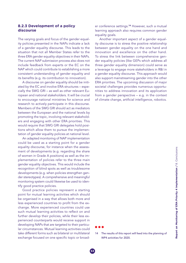## **8.2.3 Development of a policy discourse**

The varying goals and focus of the gender equality policies presented in the NAPs indicate a lack of a gender equality discourse. This leads to the situation that not all Member States refer to the three ERA gender equality objectives in their NAPs. The current NAP submission process also does not include feedback from experts or the EC on the NAP which could contribute to establishing a more consistent understanding of gender equality and its benefits (e.g. its contribution to innovation).

A discourse on gender equality should be initiated by the EC and involve ERA structures – especially the SWG GRI – as well as other relevant European and national stakeholders. It will be crucial to encourage national ministries for science and research to actively participate in this discourse. Members of the SWG GRI should act as mediators between the European and the national levels by promoting the topic, involving relevant stakeholders and engaging with other ERA priorities. This would require that SWG GRI delegates hold positions which allow them to pursue the implementation of gender equality policies at national level.

An adapted monitoring of NAP implementation could be used as a starting point for a gender equality discourse, for instance when the assessment of developments (e.g. regarding the share of women in Grade A positions) as well as the implementation of policies refer to the three main gender equality objectives. This would include the recognition of blind spots as well as troublesome developments (e.g. when policies strengthen gender stereotypes). A comprehensive and meaningful monitoring system could likewise be used to identify good practice policies.

Good practice policies represent a starting point for mutual learning activities which should be organised in a way that allows both more and less experienced countries to profit from the exchange. More experienced countries could use such mutual learning activities to reflect on and further develop their policies, while their less experienced counterparts would receive support in developing NAPs that are targeted to their particular circumstances. Mutual learning activities could take different forms such as bilateral or multilateral exchange focused on one specific topic or broader conference settings.<sup>14</sup> However, such a mutual learning approach also requires common gender equality goals.

Another important aspect of a gender equality discourse is to stress the positive relationship between gender equality on the one hand and innovation and excellence on the other hand. To stress the link between comprehensive gender equality policies (like GEPs which address all three gender equality dimension) could serve as a leverage to engage more stakeholders in R&I in a gender equality discourse. This approach would also support mainstreaming gender into the other ERA priorities. The upcoming discussion of major societal challenges provides numerous opportunities to address innovation and its application from a gender perspective – e.g. in the context of climate change, artificial intelligence, robotics.

14 The results of this report will feed into the planning of WP4 activities for 2020.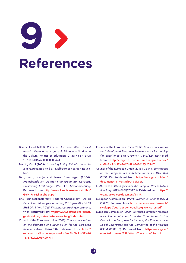# **References 9**

- Bacchi, Carol (2000): Policy as Discourse: What does it mean? Where does it get us?, Discourse: Studies in the Cultural Politics of Education, 21(1): 45-57, DOI: 10.1080/01596300050005493.
- Bacchi, Carol (2009): Analysing Policy: What's the problem represented to be?. Melbourne: Pearson Education.
- Bergmann, Nadja and Irene Pimminger (2004): Praxishandbuch Gender Mainstreaming. Konzept, Umsetzung, Erfahrungen. Wien: L&R Sozialforschung. Retrieved from: [http://www.lrsocialresearch.at/files/](http://www.lrsocialresearch.at/files/GeM_Praxishandbuch.pdf) [GeM\\_Praxishandbuch.pdf.](http://www.lrsocialresearch.at/files/GeM_Praxishandbuch.pdf)
- BKS [Bundeskanzleramt, Federal Chancellery] (2016): Bericht zur Wirkungsorientierung 2015 gemäß § 68 (5) BHG 2013 iVm. § 7 (5) Wirkungscontrollingverordnung, Wien. Retrieved from: [https://www.oeffentlicherdienst.](https://www.oeffentlicherdienst.gv.at/wirkungsorientierte_verwaltung/index.html) [gv.at/wirkungsorientierte\\_verwaltung/index.html.](https://www.oeffentlicherdienst.gv.at/wirkungsorientierte_verwaltung/index.html)
- Council of the European Union (2008): Council conclusions on the definition of a 2020 Vision for the European Research Area (16767/08). Retrieved from: [http://](http://register.consilium.europa.eu/doc/srv?l=EN&f=ST%2016767%202008%20INIT) [register.consilium.europa.eu/doc/srv?l=EN&f=ST%20](http://register.consilium.europa.eu/doc/srv?l=EN&f=ST%2016767%202008%20INIT) [16767%202008%20INIT.](http://register.consilium.europa.eu/doc/srv?l=EN&f=ST%2016767%202008%20INIT)
- Council of the European Union (2012): Council conclusions on A Reinforced European Research Area Partnership for Excellence and Growth (17649/12). Retrieved from: [http://register.consilium.europa.eu/doc/](http://register.consilium.europa.eu/doc/srv?l=EN&f=ST%2017649%202012%20INIT) [srv?l=EN&f=ST%2017649%202012%20INIT](http://register.consilium.europa.eu/doc/srv?l=EN&f=ST%2017649%202012%20INIT).
- Council of the European Union (2015): Council conclusions on the European Research Area Roadmap 2015-2020 (9351/15). Retrieved from: [https://era.gv.at/object/](https://era.gv.at/object/document/1817/attach/0_pdf.pdf) [document/1817/attach/0\\_pdf.pdf.](https://era.gv.at/object/document/1817/attach/0_pdf.pdf)
- ERAC (2015): ERAC Opinion on the European Research Area Roadmap 2015-2020 (1208/15). Retrieved from: [https://](https://era.gv.at/object/document/1845) [era.gv.at/object/document/1845](https://era.gv.at/object/document/1845).
- European Commission (1999): Women in Science (COM (99) 76). Retrieved from: [https://ec.europa.eu/research/](https://ec.europa.eu/research/swafs/pdf/pub_gender_equality/g_wo_co_en.pdf) [swafs/pdf/pub\\_gender\\_equality/g\\_wo\\_co\\_en.pdf](https://ec.europa.eu/research/swafs/pdf/pub_gender_equality/g_wo_co_en.pdf).
- European Commission (2000): Towards a European research area. Communication from the Commission to the Council, the European Parliament, the Economic and Social Committee and the Committee of the Regions (COM (2000) 6). Retrieved from: [https://era.gv.at/](https://era.gv.at/object/document/139/attach/Towards-a-ERA.pdf) [object/document/139/attach/Towards-a-ERA.pdf.](https://era.gv.at/object/document/139/attach/Towards-a-ERA.pdf)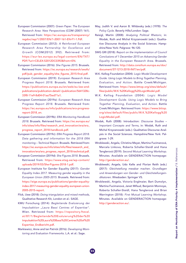- European Commission (2007): Green Paper. The European Research Area: New Perspectives (COM (2007) 161). Retrieved from: [https://ec.europa.eu/transparency/](https://ec.europa.eu/transparency/regdoc/rep/1/2007/EN/1-2007-161-EN-F1-1.Pdf) [regdoc/rep/1/2007/EN/1-2007-161-EN-F1-1.Pdf](https://ec.europa.eu/transparency/regdoc/rep/1/2007/EN/1-2007-161-EN-F1-1.Pdf).
- European Commission (2012): A Reinforced European Research Area Partnership for Excellence and Growth (COM(2012) 392). Retrieved from: [https://eur-lex.europa.eu/legal-content/EN/TXT/](https://eur-lex.europa.eu/legal-content/EN/TXT/PDF/?uri=CELEX:52012DC0392&from=EN) [PDF/?uri=CELEX:52012DC0392&from=EN](https://eur-lex.europa.eu/legal-content/EN/TXT/PDF/?uri=CELEX:52012DC0392&from=EN).
- European Commission (2016): She Figures 2015. Brussels. Retrieved from: [https://ec.europa.eu/research/swafs/](https://ec.europa.eu/research/swafs/pdf/pub_gender_equality/she_figures_2015-final.pdf) [pdf/pub\\_gender\\_equality/she\\_figures\\_2015-final.pdf](https://ec.europa.eu/research/swafs/pdf/pub_gender_equality/she_figures_2015-final.pdf).
- European Commission (2019): European Research Area Progress Report 2018. Brussels. Retrieved from: https://publications.europa.eu/en/web/eu-law-andpublications/publication-detail/-/publication/5641328c-33f8-11e9-8d04-01aa75ed71a1.
- European Commission (2019a): European Research Area Progress Report 2018. Brussels. Retrieved from: [https://ec.europa.eu/info/publications/era-progress](https://ec.europa.eu/info/publications/era-progress-report-2018_en)[report-2018\\_en](https://ec.europa.eu/info/publications/era-progress-report-2018_en).
- European Commission (2019b): ERA Monitoring Handbook 2018. Brussels. Retrieved from: [https://ec.europa.eu/](https://ec.europa.eu/info/sites/info/files/research_and_innovation/era/era_progress_report_2018-handbook.pdf) [info/sites/info/files/research\\_and\\_innovation/era/era\\_](https://ec.europa.eu/info/sites/info/files/research_and_innovation/era/era_progress_report_2018-handbook.pdf) [progress\\_report\\_2018-handbook.pdf](https://ec.europa.eu/info/sites/info/files/research_and_innovation/era/era_progress_report_2018-handbook.pdf).
- European Commission (2019c): ERA Progress Report 2018. Data gathering and information for the 2018 ERA monitoring – Technical Report. Brussels. Retrieved from: [https://ec.europa.eu/info/sites/info/files/research\\_and\\_](https://ec.europa.eu/info/sites/info/files/research_and_innovation/era/era_progress_report_2018-technical.pdf) [innovation/era/era\\_progress\\_report\\_2018-technical.pdf](https://ec.europa.eu/info/sites/info/files/research_and_innovation/era/era_progress_report_2018-technical.pdf).
- European Commission (2019d): She Figures 2018. Brussels. Retrieved from: [https://www.etag.ee/wp-content/](https://www.etag.ee/wp-content/uploads/2019/03/She-Figures-2018-1.pdf) [uploads/2019/03/She-Figures-2018-1.pdf](https://www.etag.ee/wp-content/uploads/2019/03/She-Figures-2018-1.pdf).
- European Institute for Gender Equality (2017): Gender Equality Index 2017. Measuring gender equality in the European Union 2005-2015. Brussels. Retrieved from: [https://eige.europa.eu/publications/gender-equality](https://eige.europa.eu/publications/gender-equality-index-2017-measuring-gender-equality-european-union-2005-2015-report)[index-2017-measuring-gender-equality-european-union-](https://eige.europa.eu/publications/gender-equality-index-2017-measuring-gender-equality-european-union-2005-2015-report)[2005-2015-report](https://eige.europa.eu/publications/gender-equality-index-2017-measuring-gender-equality-european-union-2005-2015-report).
- Flick, Uwe (2018): Doing triangulation and mixed methods, Qualitative Research Kit, London et al.: SAGE.
- KMU Forschung (2014): Begleitende Evaluierung der Impulsaktion "Laura Bassi Centres of Expertise". Wien. Retrieved from: [https://repository.fteval.](https://repository.fteval.at/87/1/Begleitende%20Evaluierung%20der%20Impulsaktion%20Laura%20Bassi%20Centres%20of%20Expertise_Endbericht.pdf) [at/87/1/Begleitende%20Evaluierung%20der%20](https://repository.fteval.at/87/1/Begleitende%20Evaluierung%20der%20Impulsaktion%20Laura%20Bassi%20Centres%20of%20Expertise_Endbericht.pdf) [Impulsaktion%20Laura%20Bassi%20Centres%20of%20](https://repository.fteval.at/87/1/Begleitende%20Evaluierung%20der%20Impulsaktion%20Laura%20Bassi%20Centres%20of%20Expertise_Endbericht.pdf) [Expertise\\_Endbericht.pdf](https://repository.fteval.at/87/1/Begleitende%20Evaluierung%20der%20Impulsaktion%20Laura%20Bassi%20Centres%20of%20Expertise_Endbericht.pdf).
- Markiewicz, Anne and Ian Patrick (2016): Developing Monitoring and Evaluation Frameworks. L.A. et al.: Sage.
- May, Judith V. and Aaron B. Wildavsky (eds.) (1978): The Policy Cycle. Beverly Hills/London: Sage.
- Reisigl, Martin (2008): Analyzing Political Rhetoric, in: Wodak, Ruth and Michal Krzyzanowski (eds.): Qualitative Discourse Analysis in the Social Sciences. Hampshire/New York: Palgrave: 96-120.
- SWG GRI (2018): Report on the implementation of Council Conclusions of 1 December 2015 on Advancing Gender Equality in the European Research Area. Brussels. Retrieved from: [http://data.consilium.europa.eu/doc/](http://data.consilium.europa.eu/doc/document/ST-1213-2018-INIT/en/pdf) [document/ST-1213-2018-INIT/en/pdf](http://data.consilium.europa.eu/doc/document/ST-1213-2018-INIT/en/pdf).
- W.K. Kellog Foundation (2004): Logic Model Development Guide. Using Logic Models to Bring Together Planning, Evaluation, and Action. Battle Creek/Michigan. Retrieved from: [https://www.bttop.org/sites/default/](https://www.bttop.org/sites/default/files/public/W.K.%20Kellogg%20LogicModel.pdf) [files/public/W.K.%20Kellogg%20LogicModel.pdf](https://www.bttop.org/sites/default/files/public/W.K.%20Kellogg%20LogicModel.pdf).
- W.K. Kellog Foundation (2004): Logic Model Development Guide. Using Logic Models to Bring Together Planning, Evaluation, and Action. Battle Creek/Michigan. Retrieved from: [https://www.bttop.](https://www.bttop.org/sites/default/files/public/W.K.%20Kellogg%20LogicModel.pdf) [org/sites/default/files/public/W.K.%20Kellogg%20](https://www.bttop.org/sites/default/files/public/W.K.%20Kellogg%20LogicModel.pdf) [LogicModel.pdf](https://www.bttop.org/sites/default/files/public/W.K.%20Kellogg%20LogicModel.pdf).
- Wodak, Ruth (2008): Introduction: Discourse Studies Important Concepts and Terms, in: Wodak, Ruth and Michal Krzyzanowski (eds.): Qualitative Discourse Analysis in the Social Sciences. Hampshire/New York: Palgrave: 1-29.
- Wroblewski, Angela, Christina Meyer, Martina Fucimanová, Marcela Linkova, Roberta Schaller-Steidl and Hana Tenglerová (2019): Second Mutual Learning Workshop. Minutes. Available on GENDERACTION homepage: <http://genderaction.eu/>.
- Wroblewski, Angela, Udo Kelle and Florian Reith (eds.) (2017): Gleichstellung messbar machen. Grundlagen und Anwendungen von Gender- und Gleichstellungsindikatoren. Wiesbaden: Springer VS.
- Wroblewski, Angela, Victoria Englmaier, Bart Dumolyn, Martina Fucimanová, Janet Mifsud, Benjamin Monnoye, Roberta Schaller-Steidl, Hana Tenglerová and Brian Warrington (2018): First Mutual Learning Workshop. Minutes. Available on GENDERACTION homepage: [http://genderaction.eu/.](http://genderaction.eu/)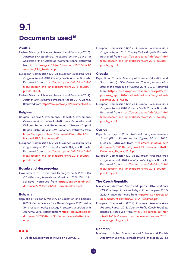# **9.1 Documents used15**

## **Austria**

- Federal Ministry of Science, Research and Economy (2016): Austrian ERA Roadmap. Accepted by the Council of Ministers of the Austrian government. Vienna. Retrieved from [https://era.gv.at/object/document/2581/attach/](https://era.gv.at/object/document/2581/attach/Austrian_ERA_Roadmap.pdf) [Austrian\\_ERA\\_Roadmap.pdf](https://era.gv.at/object/document/2581/attach/Austrian_ERA_Roadmap.pdf).
- European Commission (2019): European Research Area Progress Report 2018. Country Profile Austria. Brussels. Retrieved from [https://ec.europa.eu/info/sites/info/](https://ec.europa.eu/info/sites/info/files/research_and_innovation/era/era-2018_country_profile_at.pdf) [files/research\\_and\\_innovation/era/era-2018\\_country\\_](https://ec.europa.eu/info/sites/info/files/research_and_innovation/era/era-2018_country_profile_at.pdf) [profile\\_at.pdf.](https://ec.europa.eu/info/sites/info/files/research_and_innovation/era/era-2018_country_profile_at.pdf)
- Federal Ministry of Science, Research and Economy (2017): Austrian ERA Roadmap Progress Report 2017. Vienna. Retrieved from [https://era.gv.at/object/document/3358.](https://era.gv.at/object/document/3358)

## **Belgium**

- Belgian Federal Government, Flemish Government, Government of the Wallonia-Brussels Federation and Walloon Region and Government of Brussels-Capital Region (2016): Belgian ERA-Roadmap. Retrieved from [https://era.gv.at/object/document/2763/attach/BE\\_](https://era.gv.at/object/document/2763/attach/BE_National_ERA_Roadmap.pdf) [National\\_ERA\\_Roadmap.pdf.](https://era.gv.at/object/document/2763/attach/BE_National_ERA_Roadmap.pdf)
- European Commission (2019): European Research Area Progress Report 2018. Country Profile Belgium, Brussels. Retrieved from [https://ec.europa.eu/info/sites/info/](https://ec.europa.eu/info/sites/info/files/research_and_innovation/era/era-2018_country_profile_be.pdf) [files/research\\_and\\_innovation/era/era-2018\\_country\\_](https://ec.europa.eu/info/sites/info/files/research_and_innovation/era/era-2018_country_profile_be.pdf) [profile\\_be.pdf.](https://ec.europa.eu/info/sites/info/files/research_and_innovation/era/era-2018_country_profile_be.pdf)

## **Bosnia and Herzegovina**

Government of Bosnia and Herzegovina (2016): ERA Priorities - Implementation Roadmap 2017-2021 BiH. Sarajevo. Retrieved from [https://era.gv.at/object/](https://era.gv.at/object/document/2763/attach/BiH_ERA_Roadmap.pdf) [document/2763/attach/BiH\\_ERA\\_Roadmap.pdf.](https://era.gv.at/object/document/2763/attach/BiH_ERA_Roadmap.pdf)

## **Bulgaria**

Republic of Bulgaria, Ministry of Education and Science (2016): Better Science for a Better Bulgaria 2025. Vision for a research policy strategy in support of society and economy. Sofia. Retrieved from [https://era.gv.at/object/](https://era.gv.at/object/document/2763/attach/BG_Better_ScienceBetter-final_en.pdf) [document/2763/attach/BG\\_Better\\_ScienceBetter-final\\_](https://era.gv.at/object/document/2763/attach/BG_Better_ScienceBetter-final_en.pdf) [en.pdf](https://era.gv.at/object/document/2763/attach/BG_Better_ScienceBetter-final_en.pdf).

15 All documents were retrieved on 3 July 2019.

European Commission (2019): European Research Area Progress Report 2018. Country Profile Bulgaria. Brussels. Retrieved from [https://ec.europa.eu/info/sites/info/](https://ec.europa.eu/info/sites/info/files/research_and_innovation/era/era-2018_country_profile_bg.pdf) [files/research\\_and\\_innovation/era/era-2018\\_country\\_](https://ec.europa.eu/info/sites/info/files/research_and_innovation/era/era-2018_country_profile_bg.pdf) [profile\\_bg.pdf.](https://ec.europa.eu/info/sites/info/files/research_and_innovation/era/era-2018_country_profile_bg.pdf)

## **Croatia**

- Republic of Croatia, Ministry of Science, Education and Sports (n.d.): ERA Roadmap. The implementation plan of the Republic of Croatia 2016–2020. Retrieved from [https://ec.europa.eu/research/era/pdf/era\\_](https://ec.europa.eu/research/era/pdf/era_progress_report2016/nationalroadmaps/era_national-roadmap-2016_hr.pdf) [progress\\_report2016/nationalroadmaps/era\\_national](https://ec.europa.eu/research/era/pdf/era_progress_report2016/nationalroadmaps/era_national-roadmap-2016_hr.pdf)[roadmap-2016\\_hr.pdf](https://ec.europa.eu/research/era/pdf/era_progress_report2016/nationalroadmaps/era_national-roadmap-2016_hr.pdf).
- European Commission (2019): European Research Area Progress Report 2018. Country Profile Croatia, Brussels. Retrieved from [https://ec.europa.eu/info/sites/info/](https://ec.europa.eu/info/sites/info/files/research_and_innovation/era/era-2018_country_profile_hr.pdf) [files/research\\_and\\_innovation/era/era-2018\\_country\\_](https://ec.europa.eu/info/sites/info/files/research_and_innovation/era/era-2018_country_profile_hr.pdf) [profile\\_hr.pdf](https://ec.europa.eu/info/sites/info/files/research_and_innovation/era/era-2018_country_profile_hr.pdf).

## **Cyprus**

- Republic of Cyprus (2017): National 'European Research Area' (ERA). Roadmap for Cyprus 2016 - 2020. Nicosia. Retrieved from [https://era.gv.at/object/](https://era.gv.at/object/document/2763/attach/Cyprus_ERA_Roadmap_FINAL_Document_10_July_2017.pdf) [document/2763/attach/Cyprus\\_ERA\\_Roadmap\\_FINAL\\_](https://era.gv.at/object/document/2763/attach/Cyprus_ERA_Roadmap_FINAL_Document_10_July_2017.pdf) [Document\\_10\\_July\\_2017.pdf](https://era.gv.at/object/document/2763/attach/Cyprus_ERA_Roadmap_FINAL_Document_10_July_2017.pdf).
- European Commission (2019): European Research Area Progress Report 2018. Country Profile Cyprus. Brussels. Retrieved from [https://ec.europa.eu/info/sites/info/](https://ec.europa.eu/info/sites/info/files/research_and_innovation/era/era-2018_country_profile_cy.pdf) [files/research\\_and\\_innovation/era/era-2018\\_country\\_](https://ec.europa.eu/info/sites/info/files/research_and_innovation/era/era-2018_country_profile_cy.pdf) [profile\\_cy.pdf.](https://ec.europa.eu/info/sites/info/files/research_and_innovation/era/era-2018_country_profile_cy.pdf)

## **The Czech Republic**

- Ministry of Education, Youth and Sports (2016): National ERA Roadmap of the Czech Republic for the years 2016- 2020. Prague. Retrieved from [https://era.gv.at/object/](https://era.gv.at/object/document/2763/attach/CZ_ERA_Roadmap.pdf) [document/2763/attach/CZ\\_ERA\\_Roadmap.pdf](https://era.gv.at/object/document/2763/attach/CZ_ERA_Roadmap.pdf).
- European Commission (2019): European Research Area Progress Report 2018. Country Profile Czech Republic. Brussels. Retrieved from [https://ec.europa.eu/info/](https://ec.europa.eu/info/sites/info/files/research_and_innovation/era/era-2018_country_profile_cz.pdf) [sites/info/files/research\\_and\\_innovation/era/era-2018\\_](https://ec.europa.eu/info/sites/info/files/research_and_innovation/era/era-2018_country_profile_cz.pdf) [country\\_profile\\_cz.pdf.](https://ec.europa.eu/info/sites/info/files/research_and_innovation/era/era-2018_country_profile_cz.pdf)

## **Denmark**

Ministry of Higher Education and Science and Danish Agency for Science, Technology and Innovation (2016):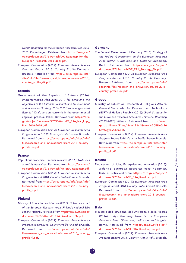Danish Roadmap for the European Research Area 2016- 2020. Copenhagen. Retrieved from [https://era.gv.at/](https://era.gv.at/object/document/2763/attach/DK_Roadmap_for_the_European_Research_Area_docx.pdf) [object/document/2763/attach/DK\\_Roadmap\\_for\\_the\\_](https://era.gv.at/object/document/2763/attach/DK_Roadmap_for_the_European_Research_Area_docx.pdf) [European\\_Research\\_Area\\_docx.pdf](https://era.gv.at/object/document/2763/attach/DK_Roadmap_for_the_European_Research_Area_docx.pdf).

European Commission (2019): European Research Area Progress Report 2018. Country Profile Denmark. Brussels. Retrieved from [https://ec.europa.eu/info/](https://ec.europa.eu/info/sites/info/files/research_and_innovation/era/era-2018_country_profile_dk.pdf) sites/info/files/research\_and\_innovation/era/era-2018 [country\\_profile\\_dk.pdf.](https://ec.europa.eu/info/sites/info/files/research_and_innovation/era/era-2018_country_profile_dk.pdf)

## **Estonia**

- Government of the Republic of Estonia (2016): Implementation Plan 2016-2019 for achieving the objectives of the Estonian Research and Development and Innovation Strategy 2014-2020 "Knowledge-based Estonia". Draft version, currently in the governmental approval process. Tallinn. Retrieved from [https://era.](https://era.gv.at/object/document/2763/attach/EE_ERA_Nat_Impl_Plan_2016-2019.pdf) [gv.at/object/document/2763/attach/EE\\_ERA\\_Nat\\_Impl\\_](https://era.gv.at/object/document/2763/attach/EE_ERA_Nat_Impl_Plan_2016-2019.pdf) [Plan\\_2016-2019.pdf](https://era.gv.at/object/document/2763/attach/EE_ERA_Nat_Impl_Plan_2016-2019.pdf).
- European Commission (2019): European Research Area Progress Report 2018. Country Profile Estonia. Brussels. Retrieved from [https://ec.europa.eu/info/sites/info/](https://ec.europa.eu/info/sites/info/files/research_and_innovation/era/era-2018_country_profile_ee.pdf) [files/research\\_and\\_innovation/era/era-2018\\_country\\_](https://ec.europa.eu/info/sites/info/files/research_and_innovation/era/era-2018_country_profile_ee.pdf) [profile\\_ee.pdf](https://ec.europa.eu/info/sites/info/files/research_and_innovation/era/era-2018_country_profile_ee.pdf).

## **France**

- République française. Premier ministre (2016): Note des autorités françaises. Retrieved from [https://era.gv.at/](https://era.gv.at/object/document/2763/attach/FR_ERA_Roadmap.pdf) [object/document/2763/attach/FR\\_ERA\\_Roadmap.pdf.](https://era.gv.at/object/document/2763/attach/FR_ERA_Roadmap.pdf)
- European Commission (2019): European Research Area Progress Report 2018. Country Profile France. Brussels. Retrieved from [https://ec.europa.eu/info/sites/info/](https://ec.europa.eu/info/sites/info/files/research_and_innovation/era/era-2018_country_profile_fr.pdf) [files/research\\_and\\_innovation/era/era-2018\\_country\\_](https://ec.europa.eu/info/sites/info/files/research_and_innovation/era/era-2018_country_profile_fr.pdf) [profile\\_fr.pdf.](https://ec.europa.eu/info/sites/info/files/research_and_innovation/era/era-2018_country_profile_fr.pdf)

## **Finland**

- Ministry of Education and Culture (2016): Finland as a part of the European Research Area. Finland's national ERA actions. Helsinki. Retrieved from [https://era.gv.at/object/](https://era.gv.at/object/document/2763/attach/FI_ERA_Roadmap_EN.pdf) [document/2763/attach/FI\\_ERA\\_Roadmap\\_EN.pdf](https://era.gv.at/object/document/2763/attach/FI_ERA_Roadmap_EN.pdf).
- European Commission (2019): European Research Area Progress Report 2018. Country Profile Finland. Brussels. Retrieved from [https://ec.europa.eu/info/sites/info/](https://ec.europa.eu/info/sites/info/files/research_and_innovation/era/era-2018_country_profile_fi.pdf) [files/research\\_and\\_innovation/era/era-2018\\_country\\_](https://ec.europa.eu/info/sites/info/files/research_and_innovation/era/era-2018_country_profile_fi.pdf) [profile\\_fi.pdf](https://ec.europa.eu/info/sites/info/files/research_and_innovation/era/era-2018_country_profile_fi.pdf).

## **Germany**

- The Federal Government of Germany (2016): Strategy of the Federal Government on the European Research Area (ERA). Guidelines and National Roadmap. Berlin. Retrieved from [https://era.gv.at/object/](https://era.gv.at/object/document/2763/attach/DE_ERA_Strategy_EN.pdf) [document/2763/attach/DE\\_ERA\\_Strategy\\_EN.pdf.](https://era.gv.at/object/document/2763/attach/DE_ERA_Strategy_EN.pdf)
- European Commission (2019): European Research Area Progress Report 2018. Country Profile Germany. Brussels. Retrieved from [https://ec.europa.eu/info/](https://ec.europa.eu/info/sites/info/files/research_and_innovation/era/era-2018_country_profile_de.pdf) [sites/info/files/research\\_and\\_innovation/era/era-2018\\_](https://ec.europa.eu/info/sites/info/files/research_and_innovation/era/era-2018_country_profile_de.pdf) [country\\_profile\\_de.pdf.](https://ec.europa.eu/info/sites/info/files/research_and_innovation/era/era-2018_country_profile_de.pdf)

## **Greece**

- Ministry of Education, Research & Religious Affairs, General Secretariat for Research and Technology (GSRT) of Hellenic Republic (2016): Greek Strategy for the European Research Area (ERA). National Roadmap (2015-2020). Athens. Retrieved from [http://www.](http://www.gsrt.gr/News/Files/New1234/Greek%20ERA%20Strategy%20EN.pdf) [gsrt.gr/News/Files/New1234/Greek%20ERA%20](http://www.gsrt.gr/News/Files/New1234/Greek%20ERA%20Strategy%20EN.pdf) [Strategy%20EN.pdf](http://www.gsrt.gr/News/Files/New1234/Greek%20ERA%20Strategy%20EN.pdf).
- European Commission (2019): European Research Area Progress Report 2018. Country Profile Greece. Brussels. Retrieved from [https://ec.europa.eu/info/sites/info/](https://ec.europa.eu/info/sites/info/files/research_and_innovation/era/era-2018_country_profile_el.pdf) [files/research\\_and\\_innovation/era/era-2018\\_country\\_](https://ec.europa.eu/info/sites/info/files/research_and_innovation/era/era-2018_country_profile_el.pdf) [profile\\_el.pdf](https://ec.europa.eu/info/sites/info/files/research_and_innovation/era/era-2018_country_profile_el.pdf).

## **Ireland**

- Department of Jobs, Enterprise and Innovation (2016): Ireland's European Research Area Roadmap. Dublin. Retrieved from [https://era.gv.at/object/](https://era.gv.at/object/document/2763/attach/IE_ERA_Roadmap.pdf) [document/2763/attach/IE\\_ERA\\_Roadmap.pdf.](https://era.gv.at/object/document/2763/attach/IE_ERA_Roadmap.pdf)
- European Commission (2019): European Research Area Progress Report 2018. Country Profile Ireland. Brussels. Retrieved from [https://ec.europa.eu/info/sites/info/](https://ec.europa.eu/info/sites/info/files/research_and_innovation/era/era-2018_country_profile_ie.pdf) [files/research\\_and\\_innovation/era/era-2018\\_country\\_](https://ec.europa.eu/info/sites/info/files/research_and_innovation/era/era-2018_country_profile_ie.pdf) [profile\\_ie.pdf](https://ec.europa.eu/info/sites/info/files/research_and_innovation/era/era-2018_country_profile_ie.pdf).

## **Italy**

- Ministero dell'Istruzione, dell'Università e della Ricerca (2016): Italy's Roadmap towards the European Research Area. Objectives, indicators and targets. Rome. Retrieved from [https://era.gv.at/object/](https://era.gv.at/object/document/2763/attach/IT_ERA_Roadmap_en.pdf) [document/2763/attach/IT\\_ERA\\_Roadmap\\_en.pdf](https://era.gv.at/object/document/2763/attach/IT_ERA_Roadmap_en.pdf).
- European Commission (2019): European Research Area Progress Report 2018. Country Profile Italy. Brussels.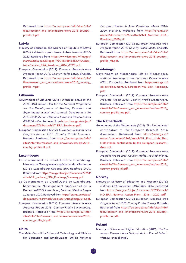Retrieved from [https://ec.europa.eu/info/sites/info/](https://ec.europa.eu/info/sites/info/files/research_and_innovation/era/era-2018_country_profile_it.pdf) files/research\_and\_innovation/era/era-2018\_country [profile\\_it.pdf.](https://ec.europa.eu/info/sites/info/files/research_and_innovation/era/era-2018_country_profile_it.pdf)

## **Latvia**

- Ministry of Education and Science of Republic of Latvia (2016): Latvian European Research Area Roadmap 2016- 2020. Retrieved from [https://www.izm.gov.lv/images/](https://www.izm.gov.lv/images/starptautiska_sad/Eiropas_P%C4%93tniec%C4%ABbas_telpa/Latvian_ERA_Roadmap_2016_-2020.pdf) [starptautiska\\_sad/Eiropas\\_P%C4%93tniec%C4%ABbas\\_](https://www.izm.gov.lv/images/starptautiska_sad/Eiropas_P%C4%93tniec%C4%ABbas_telpa/Latvian_ERA_Roadmap_2016_-2020.pdf) [telpa/Latvian\\_ERA\\_Roadmap\\_2016\\_-2020.pdf](https://www.izm.gov.lv/images/starptautiska_sad/Eiropas_P%C4%93tniec%C4%ABbas_telpa/Latvian_ERA_Roadmap_2016_-2020.pdf).
- European Commission (2019): European Research Area Progress Report 2018. Country Profile Latvia. Brussels. Retrieved from [https://ec.europa.eu/info/sites/info/](https://ec.europa.eu/info/sites/info/files/research_and_innovation/era/era-2018_country_profile_lv.pdf) [files/research\\_and\\_innovation/era/era-2018\\_country\\_](https://ec.europa.eu/info/sites/info/files/research_and_innovation/era/era-2018_country_profile_lv.pdf) [profile\\_lv.pdf](https://ec.europa.eu/info/sites/info/files/research_and_innovation/era/era-2018_country_profile_lv.pdf).

## **Lithuania**

- Government of Lithuania (2016): Interface between the 2016-2018 Action Plan for the National Programme for the Development of Studies, Research and Experimental (social and cultural). Development for 2013-2020 (Action Plan) and European Research Area (ERA) Priorities. Retrieved from [https://era.gv.at/object/](https://era.gv.at/object/document/2763/attach/LT_ERA_Roadmap.pdf) [document/2763/attach/LT\\_ERA\\_Roadmap.pdf](https://era.gv.at/object/document/2763/attach/LT_ERA_Roadmap.pdf).
- European Commission (2019): European Research Area Progress Report 2018. Country Profile Lithuania. Brussels. Retrieved from [https://ec.europa.eu/info/](https://ec.europa.eu/info/sites/info/files/research_and_innovation/era/era-2018_country_profile_lt.pdf) [sites/info/files/research\\_and\\_innovation/era/era-2018\\_](https://ec.europa.eu/info/sites/info/files/research_and_innovation/era/era-2018_country_profile_lt.pdf) [country\\_profile\\_lt.pdf](https://ec.europa.eu/info/sites/info/files/research_and_innovation/era/era-2018_country_profile_lt.pdf).

### **Luxembourg**

- Le Gouvernement du Grand-Duché de Luxembourg. Ministère de l'Enseignement supérieur et de la Recherche (2016): Luxembourg National ERA Roadmap 2020. Retrieved from [https://era.gv.at/object/document/2763/](https://era.gv.at/object/document/2763/attach/LU_national_ERA_Roadmap_Summary.pdf) [attach/LU\\_national\\_ERA\\_Roadmap\\_Summary.pdf](https://era.gv.at/object/document/2763/attach/LU_national_ERA_Roadmap_Summary.pdf).
- Le Gouvernement du Grand-Duché de Luxembourg. Ministère de l'Enseignement supérieur et de la Recherche (2018): Luxembourg National ERA Roadmap – LU targets 2020. Retrieved from [https://era.gv.at/object/](https://era.gv.at/object/document/2763/attach/LuxNatERARoadmap2018.pdf) [document/2763/attach/LuxNatERARoadmap2018.pdf](https://era.gv.at/object/document/2763/attach/LuxNatERARoadmap2018.pdf).
- European Commission (2019): European Research Area Progress Report 2018. Country Profile Luxembourg, Brussels. Retrieved from [https://ec.europa.eu/info/](https://ec.europa.eu/info/sites/info/files/research_and_innovation/era/era-2018_country_profile_lu.pdf) [sites/info/files/research\\_and\\_innovation/era/era-2018\\_](https://ec.europa.eu/info/sites/info/files/research_and_innovation/era/era-2018_country_profile_lu.pdf) [country\\_profile\\_lu.pdf](https://ec.europa.eu/info/sites/info/files/research_and_innovation/era/era-2018_country_profile_lu.pdf).

### **Malta**

The Malta Council for Science & Technology and Ministry for Education and Employment (2016): National European Research Area Roadmap. Malta 2016- 2020. Floriana. Retrieved from [https://era.gv.at/](https://era.gv.at/object/document/2763/attach/MT_National_ERA_Roadmap_2020.pdf) [object/document/2763/attach/MT\\_National\\_ERA\\_](https://era.gv.at/object/document/2763/attach/MT_National_ERA_Roadmap_2020.pdf) [Roadmap\\_2020.pdf](https://era.gv.at/object/document/2763/attach/MT_National_ERA_Roadmap_2020.pdf).

European Commission (2019): European Research Area Progress Report 2018. Country Profile Malta. Brussels. Retrieved from [https://ec.europa.eu/info/sites/info/](https://ec.europa.eu/info/sites/info/files/research_and_innovation/era/era-2018_country_profile_mt.pdf) files/research\_and\_innovation/era/era-2018\_country [profile\\_mt.pdf](https://ec.europa.eu/info/sites/info/files/research_and_innovation/era/era-2018_country_profile_mt.pdf).

## **Montenegro**

- Government of Montenegro (2016): Montenegro. National Roadmap on the European Research Area (ERA). Podgorica. Retrieved from [https://era.gv.at/](https://era.gv.at/object/document/2763/attach/ME_ERA_Roadmap.pdf) [object/document/2763/attach/ME\\_ERA\\_Roadmap.](https://era.gv.at/object/document/2763/attach/ME_ERA_Roadmap.pdf) [pdf](https://era.gv.at/object/document/2763/attach/ME_ERA_Roadmap.pdf).
- European Commission (2019): European Research Area Progress Report 2018. Country Profile Montenegro. Brussels. Retrieved from [https://ec.europa.eu/info/](https://ec.europa.eu/info/sites/info/files/research_and_innovation/era/era-2018_country_profile_me.pdf) [sites/info/files/research\\_and\\_innovation/era/era-2018\\_](https://ec.europa.eu/info/sites/info/files/research_and_innovation/era/era-2018_country_profile_me.pdf) [country\\_profile\\_me.pdf](https://ec.europa.eu/info/sites/info/files/research_and_innovation/era/era-2018_country_profile_me.pdf).

## **The Netherlands**

- Government of the Netherlands (2016): The Netherlands' contribution to the European Research Area. Amsterdam. Retrieved from [https://era.gv.at/](https://era.gv.at/object/document/2763/attach/NL_Final_draft_The_Netherlands_contribution_to_the_European_Research_Area.pdf) [object/document/2763/attach/NL\\_Final\\_draft\\_The\\_](https://era.gv.at/object/document/2763/attach/NL_Final_draft_The_Netherlands_contribution_to_the_European_Research_Area.pdf) [Netherlands\\_contribution\\_to\\_the\\_European\\_Research\\_](https://era.gv.at/object/document/2763/attach/NL_Final_draft_The_Netherlands_contribution_to_the_European_Research_Area.pdf) [Area.pdf](https://era.gv.at/object/document/2763/attach/NL_Final_draft_The_Netherlands_contribution_to_the_European_Research_Area.pdf).
- European Commission (2019): European Research Area Progress Report 2018. Country Profile The Netherlands. Brussels. Retrieved from [https://ec.europa.eu/info/](https://ec.europa.eu/info/sites/info/files/research_and_innovation/era/era-2018_country_profile_nl.pdf) [sites/info/files/research\\_and\\_innovation/era/era-2018\\_](https://ec.europa.eu/info/sites/info/files/research_and_innovation/era/era-2018_country_profile_nl.pdf) [country\\_profile\\_nl.pdf](https://ec.europa.eu/info/sites/info/files/research_and_innovation/era/era-2018_country_profile_nl.pdf).

### **Norway**

- Norwegian Ministry of Education and Research (2016): National ERA Roadmap, 2016-2020. Oslo. Retrieved from [https://era.gv.at/object/document/2763/attach/](https://era.gv.at/object/document/2763/attach/NO_ERA_National_Action_Plans__2016_-_2020_.pdf) [NO\\_ERA\\_National\\_Action\\_Plans\\_\\_2016\\_-\\_2020\\_.pdf](https://era.gv.at/object/document/2763/attach/NO_ERA_National_Action_Plans__2016_-_2020_.pdf).
- European Commission (2019): European Research Area Progress Report 2018. Country Profile Norway. Brussels. Retrieved from [https://ec.europa.eu/info/sites/info/](https://ec.europa.eu/info/sites/info/files/research_and_innovation/era/era-2018_country_profile_no.pdf) [files/research\\_and\\_innovation/era/era-2018\\_country\\_](https://ec.europa.eu/info/sites/info/files/research_and_innovation/era/era-2018_country_profile_no.pdf) [profile\\_no.pdf](https://ec.europa.eu/info/sites/info/files/research_and_innovation/era/era-2018_country_profile_no.pdf).

## **Poland**

Ministry of Science and Higher Education (2019), The European Research Area National Action Plan of Poland. Warsaw (unpublished).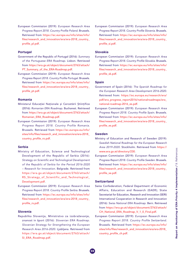European Commission (2019): European Research Area Progress Report 2018. Country Profile Poland. Brussels. Retrieved from [https://ec.europa.eu/info/sites/info/](https://ec.europa.eu/info/sites/info/files/research_and_innovation/era/era-2018_country_profile_pl.pdf) [files/research\\_and\\_innovation/era/era-2018\\_country\\_](https://ec.europa.eu/info/sites/info/files/research_and_innovation/era/era-2018_country_profile_pl.pdf) [profile\\_pl.pdf](https://ec.europa.eu/info/sites/info/files/research_and_innovation/era/era-2018_country_profile_pl.pdf).

## **Portugal**

- Government of the Republic of Portugal (2016): Summary of the Portuguese ERA Roadmap. Lisbon. Retrieved from [https://era.gv.at/object/document/2763/attach/](https://era.gv.at/object/document/2763/attach/PT_Summary_of_the_ERA-Roadmap.pdf) [PT\\_Summary\\_of\\_the\\_ERA-Roadmap.pdf](https://era.gv.at/object/document/2763/attach/PT_Summary_of_the_ERA-Roadmap.pdf).
- European Commission (2019): European Research Area Progress Report 2018. Country Profile Portugal. Brussels. Retrieved from [https://ec.europa.eu/info/sites/info/](https://ec.europa.eu/info/sites/info/files/research_and_innovation/era/era-2018_country_profile_pt.pdf) [files/research\\_and\\_innovation/era/era-2018\\_country\\_](https://ec.europa.eu/info/sites/info/files/research_and_innovation/era/era-2018_country_profile_pt.pdf) [profile\\_pt.pdf](https://ec.europa.eu/info/sites/info/files/research_and_innovation/era/era-2018_country_profile_pt.pdf).

## **Romania**

- Ministerul Educației Naționale și Cercetării Științifice (2016): Romanian ERA Roadmap. Bucharest. Retrieved from [https://era.gv.at/object/document/2763/attach/](https://era.gv.at/object/document/2763/attach/Romanian_ERA_Roadmap.pdf) [Romanian\\_ERA\\_Roadmap.pdf](https://era.gv.at/object/document/2763/attach/Romanian_ERA_Roadmap.pdf).
- European Commission (2019): European Research Area Progress Report 2018. Country Profile Romania. Brussels. Retrieved from [https://ec.europa.eu/info/](https://ec.europa.eu/info/sites/info/files/research_and_innovation/era/era-2018_country_profile_ro.pdf) [sites/info/files/research\\_and\\_innovation/era/era-2018\\_](https://ec.europa.eu/info/sites/info/files/research_and_innovation/era/era-2018_country_profile_ro.pdf) [country\\_profile\\_ro.pdf](https://ec.europa.eu/info/sites/info/files/research_and_innovation/era/era-2018_country_profile_ro.pdf).

## **Serbia**

- Ministry of Education, Science and Technological Development of the Republic of Serbia (2016): Strategy on Scientific and Technological Development of the Republic of Serbia for the Period 2016-2020 – Research for Innovation. Belgrade. Retrieved from [https://era.gv.at/object/document/2763/attach/](https://era.gv.at/object/document/2763/attach/RS_Strategy_of_Scientific_and_Technological_Development.pdf) [RS\\_Strategy\\_of\\_Scientific\\_and\\_Technological\\_](https://era.gv.at/object/document/2763/attach/RS_Strategy_of_Scientific_and_Technological_Development.pdf) [Development.pdf](https://era.gv.at/object/document/2763/attach/RS_Strategy_of_Scientific_and_Technological_Development.pdf).
- European Commission (2019): European Research Area Progress Report 2018. Country Profile Serbia. Brussels. Retrieved from [https://ec.europa.eu/info/sites/info/](https://ec.europa.eu/info/sites/info/files/research_and_innovation/era/era-2018_country_profile_rs.pdf) [files/research\\_and\\_innovation/era/era-2018\\_country\\_](https://ec.europa.eu/info/sites/info/files/research_and_innovation/era/era-2018_country_profile_rs.pdf) [profile\\_rs.pdf](https://ec.europa.eu/info/sites/info/files/research_and_innovation/era/era-2018_country_profile_rs.pdf).

## **Slovenia**

Republika Slovenija, Ministrstvo za izobraževanje, znanost in šport (2016): Slovenian ERA Roadmap. Slovenian Strategy for Strengthening the European Research Area 2016-2020. Ljubljana. Retrieved from [https://era.gv.at/object/document/2763/attach/](https://era.gv.at/object/document/2763/attach/SI_ERA_Roadmap.pdf) [SI\\_ERA\\_Roadmap.pdf](https://era.gv.at/object/document/2763/attach/SI_ERA_Roadmap.pdf).

European Commission (2019): European Research Area Progress Report 2018. Country Profile Slovenia. Brussels. Retrieved from [https://ec.europa.eu/info/sites/info/](https://ec.europa.eu/info/sites/info/files/research_and_innovation/era/era-2018_country_profile_si.pdf) [files/research\\_and\\_innovation/era/era-2018\\_country\\_](https://ec.europa.eu/info/sites/info/files/research_and_innovation/era/era-2018_country_profile_si.pdf) [profile\\_si.pdf](https://ec.europa.eu/info/sites/info/files/research_and_innovation/era/era-2018_country_profile_si.pdf).

## **Slovakia**

European Commission (2019): European Research Area Progress Report 2018. Country Profile Slovakia. Brussels. Retrieved from [https://ec.europa.eu/info/sites/info/](https://ec.europa.eu/info/sites/info/files/research_and_innovation/era/era-2018_country_profile_sk.pdf) [files/research\\_and\\_innovation/era/era-2018\\_country\\_](https://ec.europa.eu/info/sites/info/files/research_and_innovation/era/era-2018_country_profile_sk.pdf) [profile\\_sk.pdf](https://ec.europa.eu/info/sites/info/files/research_and_innovation/era/era-2018_country_profile_sk.pdf).

## **Spain**

Government of Spain (2016): The Spanish Roadmap for the European Research Area Development 2016-2020. Retrieved from: [https://ec.europa.eu/research/era/](https://ec.europa.eu/research/era/pdf/era_progress_report2016/nationalroadmaps/era_national-roadmap-2016_es.pdf) [pdf/era\\_progress\\_report2016/nationalroadmaps/era\\_](https://ec.europa.eu/research/era/pdf/era_progress_report2016/nationalroadmaps/era_national-roadmap-2016_es.pdf) [national-roadmap-2016\\_es.pdf](https://ec.europa.eu/research/era/pdf/era_progress_report2016/nationalroadmaps/era_national-roadmap-2016_es.pdf).

European Commission (2019): European Research Area Progress Report 2018. Country Profile Spain. Brussels. Retrieved from [https://ec.europa.eu/info/sites/info/](https://ec.europa.eu/info/sites/info/files/research_and_innovation/era/era-2018_country_profile_es.pdf) [files/research\\_and\\_innovation/era/era-2018\\_country\\_](https://ec.europa.eu/info/sites/info/files/research_and_innovation/era/era-2018_country_profile_es.pdf) [profile\\_es.pdf](https://ec.europa.eu/info/sites/info/files/research_and_innovation/era/era-2018_country_profile_es.pdf).

### **Sweden**

- Ministry of Education and Research of Sweden (2019): Swedish National Roadmap for the European Research Area 2019-2020. Stockholm. Retrieved from [https://](https://www.era.gv.at/directory/230) [www.era.gv.at/directory/230](https://www.era.gv.at/directory/230).
- European Commission (2019): European Research Area Progress Report 2018. Country Profile Sweden. Brussels. Retrieved from [https://ec.europa.eu/info/sites/info/](https://ec.europa.eu/info/sites/info/files/research_and_innovation/era/era-2018_country_profile_se.pdf) [files/research\\_and\\_innovation/era/era-2018\\_country\\_](https://ec.europa.eu/info/sites/info/files/research_and_innovation/era/era-2018_country_profile_se.pdf) [profile\\_se.pdf](https://ec.europa.eu/info/sites/info/files/research_and_innovation/era/era-2018_country_profile_se.pdf).

## **Switzerland**

- Swiss Confederation; Federal Department of Economic Affairs, Education and Research (EAER); State Secretariat for Education, Research and Innovation (SERI) International Cooperation in Research and Innovation (2016): Swiss National ERA Roadmap. Bern. Retrieved from [https://era.gv.at/object/document/2763/attach/](https://era.gv.at/object/document/2763/attach/CH_National_ERA_Roadmap_V_1_0_Final.pdf) [CH\\_National\\_ERA\\_Roadmap\\_V\\_1\\_0\\_Final.pdf](https://era.gv.at/object/document/2763/attach/CH_National_ERA_Roadmap_V_1_0_Final.pdf).
- European Commission (2019): European Research Area Progress Report 2018. Country Profile Switzerland. Brussels. Retrieved from [https://ec.europa.eu/info/](https://ec.europa.eu/info/sites/info/files/research_and_innovation/era/era-2018_country_profile_ch.pdf) [sites/info/files/research\\_and\\_innovation/era/era-2018\\_](https://ec.europa.eu/info/sites/info/files/research_and_innovation/era/era-2018_country_profile_ch.pdf) [country\\_profile\\_ch.pdf](https://ec.europa.eu/info/sites/info/files/research_and_innovation/era/era-2018_country_profile_ch.pdf).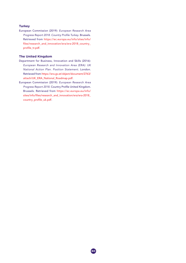## **Turkey**

European Commission (2019): European Research Area Progress Report 2018. Country Profile Turkey. Brussels. Retrieved from [https://ec.europa.eu/info/sites/info/](https://ec.europa.eu/info/sites/info/files/research_and_innovation/era/era-2018_country_profile_tr.pdf) [files/research\\_and\\_innovation/era/era-2018\\_country\\_](https://ec.europa.eu/info/sites/info/files/research_and_innovation/era/era-2018_country_profile_tr.pdf) [profile\\_tr.pdf](https://ec.europa.eu/info/sites/info/files/research_and_innovation/era/era-2018_country_profile_tr.pdf).

## **The United Kingdom**

- Department for Business, Innovation and Skills (2016): European Research and Innovation Area (ERA): UK National Action Plan. Position Statement. London. Retrieved from [https://era.gv.at/object/document/2763/](https://era.gv.at/object/document/2763/attach/UK_ERA_National_Roadmap.pdf) [attach/UK\\_ERA\\_National\\_Roadmap.pdf](https://era.gv.at/object/document/2763/attach/UK_ERA_National_Roadmap.pdf).
- European Commission (2019): European Research Area Progress Report 2018. Country Profile United Kingdom. Brussels. Retrieved from [https://ec.europa.eu/info/](https://ec.europa.eu/info/sites/info/files/research_and_innovation/era/era-2018_country_profile_uk.pdf) [sites/info/files/research\\_and\\_innovation/era/era-2018\\_](https://ec.europa.eu/info/sites/info/files/research_and_innovation/era/era-2018_country_profile_uk.pdf) [country\\_profile\\_uk.pdf](https://ec.europa.eu/info/sites/info/files/research_and_innovation/era/era-2018_country_profile_uk.pdf).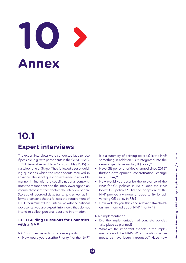# **Annex 10**

# **10.1 Expert interviews**

The expert interviews were conducted face to face if possible (e.g. with participants in the GENDERAC-TION General Assembly in Cyprus in May 2019) or via telephone or Skype. They followed a set of guiding questions which the respondents received in advance. The set of questions was used in a flexible manner in line with the specific national contexts. Both the respondent and the interviewer signed an informed consent sheet before the interview began. Storage of recorded data, transcripts as well as informed consent sheets follows the requirement of D1 H Requirement No 1. Interviews with the national representatives are expert interviews that do not intend to collect personal data and information.

## **10.1.1 Guiding Questions for Countries with a NAP**

NAP priorities regarding gender equality

• How would you describe Priority 4 of the NAP?

Is it a summary of existing policies? Is the NAP something in addition? Is it integrated into the general gender equality (GE) policy?

- Have GE policy priorities changed since 2016? (further development, concretisation, change in priorities)?
- How would you describe the relevance of the NAP for GE policies in R&I? Does the NAP boost GE policies? Did the adoption of the NAP provide a window of opportunity for advancing GE policy in R&I?
- How well do you think the relevant stakeholders are informed about NAP Priority 4?

## NAP implementation

- Did the implementation of concrete policies take place as planned?
- What are the important aspects in the implementation of the NAP? Which new/innovative measures have been introduced? Have new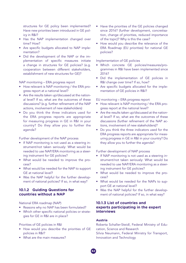structures for GE policy been implemented? Have new priorities been introduced in GE policy in R&I?

- Has the NAP implementation changed over time? How?
- Are specific budgets allocated to NAP implementation?
- Did the development of the NAP or the implementation of specific measures initiate a change in structures for GE policies? (e.g. cooperation between different stakeholders, establishment of new structures for GE)?

## NAP monitoring – ERA progress report

- How relevant is NAP monitoring / the ERA progress report at a national level?
- Are the results taken up/discussed at the national level? If so, what are the outcomes of these discussions? (e.g. further refinement of the NAP actions, involvement of new stakeholders)
- • Do you think the three indicators used for the ERA progress reports are appropriate for measuring progress in GE in R&I in your country? Do they allow you to further the agenda?

## Further development of the NAP process

- If NAP monitoring is not used as a steering instrument/not taken seriously: What would be needed to use NAP/ERA monitoring as a steering instrument for GE policies?
- • What would be needed to improve the process?
- What would be needed for the NAP to support GE at national level?
- Was the NAP helpful for the further development of national policies? If so, in what way?

## **10.1.2 Guiding Questions for countries without a NAP**

National ERA roadmap (NAP)

- Reasons why no NAP has been formulated?
- Which other specific national policies or strategies for GE in R&I are in place?

## Priorities of GE policies in R&I

- • How would you describe the priorities of GE policies in R&I?
- What are the main measures?
- Have the priorities of the GE policies changed since 2016? (further development, concretisation, change of priorities, reduced importance of the topic)? Why is this the case?
- • How would you describe the relevance of the ERA Roadmap (EU priorities) for national GE policies?

## Implementation of GE policies

- • Which concrete GE policies/measures/programmes in R&I have been implemented since 2016?
- • Did the implementation of GE policies in R&I change over time? If so, how?
- Are specific budgets allocated for the implementation of GE policies in R&I?

## EU monitoring – ERA progress report

- How relevant is NAP monitoring / the ERA progress report at the national level?
- Are the results taken up/discussed at the national level? If so, what are the outcomes of these discussions (further refinement of the NAP actions, involvement of new stakeholders)?
- Do you think the three indicators used for the ERA progress reports are appropriate for measuring progress in GE in R&I in your country? Do they allow you to further the agenda?

## Further development of NAP process

- If NAP monitoring is not used as a steering instrument/not taken seriously: What would be needed to use NAP/ERA monitoring as a steering instrument for GE policies?
- • What would be needed to improve the process?
- What would be needed for the NAPs to support GE at national level?
- Was the NAP helpful for the further development of national policies? If so, in what way?

## **10.1.3 List of countries and experts participating in the expert interviews**

## **Austria**

Roberta Schaller-Steidl, Federal Ministry of Education, Science and Research Silvia Neumann, Federal Ministry for Transport, Innovation and Technology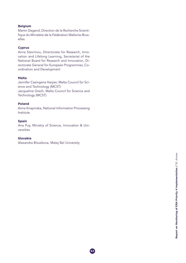## **Belgium**

Martin Degand, Direction de la Recherche Scienti fique du Ministère de la Fédération Wallonie-Brux elles

## **Cyprus**

Anna Stavrinou, Directorate for Research, Inno vation and Lifelong Learning, Secretariat of the National Board for Research and Innovation, Di rectorate General for European Programmes, Co ordination and Development

## **Malta**

Jennifer Casingena Harper, Malta Council for Sci ence and Technology (MCST) Jacqueline Grech, Malta Council for Science and Technology (MCST)

## **Poland**

Anna Knapinska, National Information Processing Institute

## **Spain**

Ana Puy, Ministry of Science, Innovation & Uni versities

## **Slovakia**

Alexandra Bitusikova, Matej Bel University

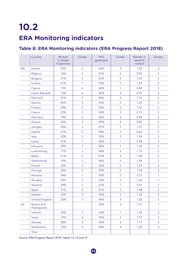# **10.2 ERA Monitoring indicators**

## **Table 6: ERA Monitoring indicators (ERA Progress Report 2018)**

|           | Country                   | Women<br>in Grade<br>A positions | Cluster        | PhD<br>graduates | Cluster        | Gender in<br>research<br>content | Cluster        |
|-----------|---------------------------|----------------------------------|----------------|------------------|----------------|----------------------------------|----------------|
| <b>MS</b> | Austria                   | 23%                              | 3              | 42%              | $\overline{4}$ | 1.02                             | 3              |
|           | Belgium                   | 18%                              | 3              | 47%              | 3              | 0.95                             | 3              |
|           | <b>Bulgaria</b>           | 37%                              | $\overline{2}$ | 53%              | $\overline{2}$ | 1.07                             | $\overline{2}$ |
|           | Croatia                   | 41%                              | $\mathbf{1}$   | 55%              | $\overline{2}$ | 1.24                             | $\overline{2}$ |
|           | Cyprus                    | 13%                              | $\overline{4}$ | 60%              | $\mathbf{1}$   | 0.88                             | 3              |
|           | Czech Republic            | 15%                              | $\overline{4}$ | 43%              | $\overline{4}$ | 0.91                             | 3              |
|           | Denmark                   | 21%                              | 3              | 48%              | 3              | 1.10                             | $\overline{2}$ |
|           | Estonia                   | 24%                              | 3              | 54%              | $\overline{2}$ | 1.27                             | $\overline{2}$ |
|           | Finland                   | 29%                              | $\overline{2}$ | 52%              | $\overline{2}$ | 1.16                             | $\overline{2}$ |
|           | France                    | 22%                              | 3              | 45%              | 3              | 0.73                             | 3              |
|           | Germany                   | 19%                              | 3              | 45%              | 3              | 0.89                             | 3              |
|           | Greece                    | 22%                              | 3              | 49%              | 3              | 0.92                             | 3              |
|           | Hungary                   | 20%                              | 3              | 47%              | 3              | 1.51                             | $\overline{2}$ |
|           | Ireland                   | 21%                              | 3              | 48%              | 3              | 0.62                             | 3              |
|           | Italy                     | 22%                              | 3              | 52%              | $\overline{2}$ | 1.04                             | 3              |
|           | Latvia                    | 41%                              | $\mathbf{1}$   | 58%              | 1              | 0.98                             | 3              |
|           | Lithuania                 | 39%                              | 1              | 58%              | 1              | 1.26                             | $\overline{2}$ |
|           | Luxembourg                | 17%                              | 3              | 40%              | $\overline{4}$ | 1.10                             | $\overline{2}$ |
|           | Malta                     | 21%                              | 3              | 41%              | $\overline{4}$ | 1.08                             | $\overline{2}$ |
|           | <b>Netherlands</b>        | 19%                              | 3              | 49%              | 3              | 1.05                             | 3              |
|           | Poland                    | 24%                              | 3              | 54%              | $\overline{2}$ | 1.01                             | 3              |
|           | Portugal                  | 26%                              | 3              | 55%              | $\overline{2}$ | 1.50                             | $\overline{2}$ |
|           | Romania                   | 54%                              | $\mathbf{1}$   | 55%              | $\overline{2}$ | 2.72                             | 1              |
|           | Slovakia                  | 25%                              | 3              | 52%              | $\overline{2}$ | 1.65                             | 1              |
|           | Slovenia                  | 29%                              | $\overline{2}$ | 61%              | 1              | 2.21                             | $\mathbf{1}$   |
|           | Spain                     | 21%                              | 3              | 51%              | 3              | 1.08                             | $\overline{2}$ |
|           | Sweden                    | 25%                              | 3              | 45%              | 3              | 1.25                             | $\overline{2}$ |
|           | <b>United Kingdom</b>     | 26%                              | $\overline{3}$ | 46%              | 3              | 1.03                             | 3              |
| <b>AC</b> | Bosnia and<br>Herzegovina |                                  |                | 45%              | 3              | 1.91                             | $\mathbf{1}$   |
|           | Iceland                   | 26%                              | 3              | 64%              | 1              | 1.45                             | $\overline{2}$ |
|           | Israel                    | 14%                              | $\overline{4}$ | 50%              | 3              | 1.10                             | $\overline{2}$ |
|           | Norway                    | 28%                              | $\overline{2}$ | 50%              | 3              | 1.17                             | $\overline{2}$ |
|           | Switzerland               | 23%                              | 3              | 44%              | $\overline{4}$ | 1.04                             | 3              |
|           | Total                     |                                  |                |                  |                |                                  |                |

Source: ERA Progress Report 2018, Tables 12, 13 and 14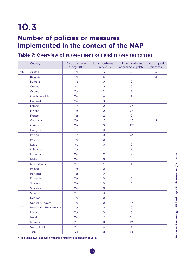## **Number of policies or measures implemented in the context of the NAP**

## **Table 7: Overview of surveys sent out and survey responses**

|           | Country                | Participation in<br>survey 2017 | No. of factsheets in<br>survey 2017 | No. of factsheets<br>after survey update | No. of good<br>practices |
|-----------|------------------------|---------------------------------|-------------------------------------|------------------------------------------|--------------------------|
| <b>MS</b> | Austria                | Yes                             | 17                                  | 20                                       | 5                        |
|           | <b>Belgium</b>         | Yes                             | 6                                   | 6                                        | 3                        |
|           | <b>Bulgaria</b>        | <b>No</b>                       | 0                                   | $\overline{0}$                           |                          |
|           | Croatia                | <b>No</b>                       | $\mathsf{O}$                        | $\overline{0}$                           |                          |
|           | Cyprus                 | Yes                             | $\overline{2}$                      | $\overline{2}$                           | 1                        |
|           | Czech Republic         | Yes                             | 4                                   | 4                                        |                          |
|           | Denmark                | Yes                             | $\mathbf{0}$                        | 0                                        |                          |
|           | Estonia                | <b>No</b>                       | $\overline{0}$                      | $3*$                                     |                          |
|           | Finland                | Yes                             | $\overline{0}$                      | $2*$                                     |                          |
|           | France                 | Yes                             | $\overline{2}$                      | $\overline{2}$                           |                          |
|           | Germany                | Yes                             | 13                                  | 16                                       | 5                        |
|           | Greece                 | Yes                             | $\overline{0}$                      | $4***$                                   |                          |
|           | Hungary                | <b>No</b>                       | $\overline{0}$                      | $\overline{0}$                           |                          |
|           | Ireland                | <b>No</b>                       | 0                                   | $6*$                                     |                          |
|           | Italy                  | Yes                             | 0                                   | $\mathbf 0$                              |                          |
|           | Latvia                 | <b>No</b>                       | 0                                   | $\mathbf{0}$                             |                          |
|           | Lithuania              | Yes                             | 1                                   | 1                                        |                          |
|           | Luxembourg             | Yes                             | $\overline{2}$                      | $\overline{2}$                           |                          |
|           | Malta                  | Yes                             | $\overline{0}$                      | $\mathbf 0$                              |                          |
|           | <b>Netherlands</b>     | Yes                             | 1                                   | 1                                        | 1                        |
|           | Poland                 | Yes                             | $\overline{O}$                      | $\mathbf{0}$                             |                          |
|           | Portugal               | Yes                             | 0                                   | 4                                        |                          |
|           | Romania                | Yes                             | $\overline{0}$                      | $\overline{0}$                           |                          |
|           | Slovakia               | Yes                             | 0                                   | $\mathbf 0$                              |                          |
|           | Slovenia               | Yes                             | 0                                   | $\mathbf 0$                              |                          |
|           | Spain                  | Yes                             | 3                                   | 3                                        |                          |
|           | Sweden                 | Yes                             | 0                                   | $\mathbf 0$                              |                          |
|           | <b>United Kingdom</b>  | Yes                             | 0                                   | $4*$                                     |                          |
| <b>AC</b> | Bosnia and Herzegovina | Yes                             | 0                                   | $\mathbf 0$                              |                          |
|           | Iceland                | Yes                             | 0                                   | $\mathbf 0$                              |                          |
|           | Israel                 | Yes                             | 10                                  | 10                                       |                          |
|           | Norway                 | Yes                             | 0                                   | $2*$                                     |                          |
|           | Switzerland            | Yes                             | $\overline{4}$                      | 4                                        |                          |
|           | Total                  | 28                              | 65                                  | 96                                       |                          |

\*\* Including two measures without a reference to gender equality.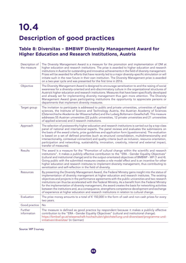# **10.4 Description of good practices**

## **Table 8: Diversitas – BMBWF Diversity Management Award for Higher Education and Research Institutions, Austria**

| Description of<br>the measure | The Diversity Management Award is a measure for the promotion and implementation of DM at<br>higher education and research institutions. The prize is awarded to higher education and research<br>institutions in Austria for outstanding and innovative achievements in the field of diversity management.<br>Prizes will be awarded for efforts that have recently led to a major diversity-specific stimulation or will<br>initiate such in the near future in their own institution. The Diversity Management prize is awarded<br>on a two-year cycle and was presented for the first time in 2016.                                                                                                                             |
|-------------------------------|-------------------------------------------------------------------------------------------------------------------------------------------------------------------------------------------------------------------------------------------------------------------------------------------------------------------------------------------------------------------------------------------------------------------------------------------------------------------------------------------------------------------------------------------------------------------------------------------------------------------------------------------------------------------------------------------------------------------------------------|
| Objective                     | The Diversity Management Award is designed to encourage sensitization to and the raising of social<br>awareness for a diversity-oriented and anti-discriminatory culture in the organizational structures of<br>Austria's higher education and research institutions. Measures that have been specifically developed<br>and already set for implementing diversity management thus gain more attention. The Diversity<br>Management Award gives participating institutions the opportunity to appreciate persons or<br>departments that implement diversity measures.                                                                                                                                                               |
| Target group                  | The invitation to participate is addressed to public and private universities, universities of applied<br>sciences, the Institute of Science and Technology Austria, the Austrian Academy of Sciences<br>(Österreichische Akademie der Wissenschaften) and the Ludwig Boltzmann-Gesellschaft. This measure<br>addresses 55 Austrian universities (22 public universities, 12 private universities and 21 universities<br>of applied sciences) and 3 research institutions.                                                                                                                                                                                                                                                          |
| Approach                      | The selection of praiseworthy higher education and research institutions is carried out by a top-class<br>panel of national and international experts. The panel reviews and evaluates the submissions on<br>the basis of the award criteria, prize guidelines and application form (questionnaire). The evaluation<br>is based on a set of defined priorities (such as structural consolidation, multidimensionality and<br>intersectionality, contextual connection) and quality criteria (such as inclusion, resource orientation,<br>participation and networking, sustainability, innovation, creativity, internal and external impact,<br>transfer of measures).                                                              |
| <b>Results</b>                | The award is a measure for the "Promotion of cultural change within the scientific and research<br>institutions". It makes a publicly effective contribution to the "ERA - Gender Equality Objectives"<br>(cultural and institutional change) and to the output-orientated objectives of BMBWF - WF (1 and 4).<br>Going public with the submitted measures creates a role model effect and is an incentive for other<br>higher education and research institutes to implement diversity management, thus contributing to<br>sensitization and self-reflection in the field of diversity.                                                                                                                                            |
| <b>Resources</b>              | By presenting the Diversity Management Award, the Federal Ministry gains insight into the status of<br>implementation of diversity management at higher education and research institutes. The existing<br>objectives and projects in the performance agreements with the public universities and two research<br>institutions can thus be accelerated with the Federal Ministry. As a benefit from the Federal Ministry<br>for the implementation of diversity management, the award creates the basis for networking activities<br>between the institutions and, as a consequence, strengthens competence development and exchange<br>of experience at higher education and research institutions in relation to cultural change. |
| Evaluation                    | The prize money amounts to a total of $\epsilon$ 150,000 in the form of cash and non-cash prizes for every<br>two years.                                                                                                                                                                                                                                                                                                                                                                                                                                                                                                                                                                                                            |
| Good practice                 | No                                                                                                                                                                                                                                                                                                                                                                                                                                                                                                                                                                                                                                                                                                                                  |
| Further<br>information        | The measure is defined as good practice by respondent because it makes a publicly effective<br>contribution to the "ERA - Gender Equality Objectives" (cultural and institutional change).<br>https://bmbwf.gv.at/wissenschaft-hochschulen/gleichstellung-und-diversitaet/programme-und-<br>initiativen/diversitas/ (in German)                                                                                                                                                                                                                                                                                                                                                                                                     |

Source: WP 3 survey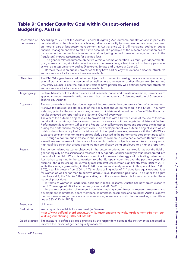## **Table 9: Gender Equality Goal within Output-oriented Budgeting, Austria**

| Description of<br>the measure | According to § 2(1) of the Austrian Federal Budgeting Act, outcome orientation and in particular<br>consideration of the objective of achieving effective equality between women and men has been<br>an integral part of budgetary management in Austria since 2013. All managing bodies in public<br>financial management have to take it into account. The principle of the outcome orientation has to<br>be respected in the medium term and annual budgeting, in performance management and in the<br>(regulatory) impact assessment for planned laws.<br>The gender-related outcome objective within outcome orientation is a multi-year departmental<br>goal, whose main target is to increase the share of women among scientific/artistic university personnel<br>as well as in top university bodies (Rectorate, Senate and University Council).<br>Its main focus is on public universities as they have particularly well-defined personnel structures<br>and appropriate indicators are therefore available.                                                                                                                                                                                                                                                                                                                                                                                                                                                        |
|-------------------------------|---------------------------------------------------------------------------------------------------------------------------------------------------------------------------------------------------------------------------------------------------------------------------------------------------------------------------------------------------------------------------------------------------------------------------------------------------------------------------------------------------------------------------------------------------------------------------------------------------------------------------------------------------------------------------------------------------------------------------------------------------------------------------------------------------------------------------------------------------------------------------------------------------------------------------------------------------------------------------------------------------------------------------------------------------------------------------------------------------------------------------------------------------------------------------------------------------------------------------------------------------------------------------------------------------------------------------------------------------------------------------------------------------------------------------------------------------------------------------------|
| Objective                     | The BMBWF's gender-related outcome objective focuses on increasing the share of women among<br>scientific/artistic university personnel as well as in top university bodies (Rectorate, Senate and<br>University Council) since the public universities have particularly well-defined personnel structures<br>and appropriate indicators are therefore available.                                                                                                                                                                                                                                                                                                                                                                                                                                                                                                                                                                                                                                                                                                                                                                                                                                                                                                                                                                                                                                                                                                              |
| Target group                  | Federal Ministry of Education, Science and Research, public and private universities, universities of<br>applied sciences, research institutions (e.g. Austrian Academy of Sciences, Institute of Science and<br>Technology Austria).                                                                                                                                                                                                                                                                                                                                                                                                                                                                                                                                                                                                                                                                                                                                                                                                                                                                                                                                                                                                                                                                                                                                                                                                                                           |
| Approach                      | The outcome objectives describe an aspired, future state in the competency field of a department.<br>It shows the desired societal results of the policy that should be reached in the future. They form<br>a starting point for the annual work programme in ministries and departments. Since 2014, the actual<br>results achieved are reported to the National Council every year.<br>The aim of the outcome objectives is to provide citizens with a better picture of the use of their tax<br>contributions. In future, citizens can also demand observance of those targets by ministers. A Federal<br>Performance Management Office in the Federal Chancellery coordinates and supports the ministries<br>during the performance management cycle. The development of key outcome objectives to which<br>public universities are required to contribute within their performance agreements with the BMBFW are<br>subject to constant monitoring and are regularly discussed in the performance agreement trace talks.<br>Through a continuous increase in the share of women in sustainable careers (tenure track),<br>a medium-term increase in the share of women in professorships is ensured. As a consequence,<br>high-qualified scientific/ artistic young women are already being employed to a higher proportion.                                                                                                                                               |
| <b>Results</b>                | The gender-related outcome objective in the outcome orientation framework has put the field of<br>gender equality on the science and research policy agenda. Gender equality is thus incorporated into<br>the work of the BMBFW and is also anchored in all its relevant strategy and controlling instruments.<br>Austria has caught up in the comparison to other European countries over the past few years. For<br>example, the glass ceiling on university research staff was lowered significantly from 2010 to 2013:<br>while the average glass ceiling in the EU28 countries was barely reduced in this period (from 1.8 to<br>1.75), it sank in Austria from 2.04 to 1.76. A glass ceiling index of "1" signalises equal opportunities<br>for women as well as for men to achieve grade A-level leadership positions. The higher the figure<br>rises beyond 1, the "thicker" the glass ceiling and the more unlikely it is for women to enter these<br>leadership positions.<br>In terms of women in leadership positions in (basic) research, Austria has now drawn closer to<br>the EU28 average of 20.9% and currently stands at 20.3% (2013).<br>In the representation of women in decision-making committees in research (research and<br>development committees, board members, committees, assemblies and councils), Austria is above<br>the European average: the share of women among members of such decision-making committees<br>lies at 38% (27% in EU28). |
| Resources                     | Unknown                                                                                                                                                                                                                                                                                                                                                                                                                                                                                                                                                                                                                                                                                                                                                                                                                                                                                                                                                                                                                                                                                                                                                                                                                                                                                                                                                                                                                                                                         |
| Evaluation                    | Yes, a report is available for download (in German)<br>https://www.oeffentlicherdienst.gv.at/wirkungsorientierte_verwaltung/dokumente/Bericht_zur_<br>Wirkungsorientierung_2015.pdf?5te1dr                                                                                                                                                                                                                                                                                                                                                                                                                                                                                                                                                                                                                                                                                                                                                                                                                                                                                                                                                                                                                                                                                                                                                                                                                                                                                      |
| Good practice                 | The measure is defined as good practice by the respondent because the instrument is expected to<br>improve the impact of gender equality measures.                                                                                                                                                                                                                                                                                                                                                                                                                                                                                                                                                                                                                                                                                                                                                                                                                                                                                                                                                                                                                                                                                                                                                                                                                                                                                                                              |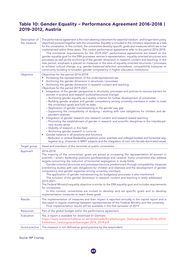## **Table 10: Gender Equality – Performance Agreement 2016-2018 | 2019-2012, Austria**

| Description of<br>the measure | The performance agreement is the main steering instrument for essential medium- and longer-term policy<br>objectives pursued together with the universities. Equality is included in the ministry's objectives as a task<br>for the universities. In this context, the universities develop specific goals and measures which are to be<br>implemented within three years. The current performance agreements refer to the period 2016-2018.<br>The ministerial requirements for the 2019-2021 performance agreements are based on the<br>gender equality goal for the ERA processes: women's representation, equality-oriented structures and<br>processes as well as the anchoring of the gender dimension in research content and teaching. In the<br>new period, emphasis is placed on measures in the area of equality-oriented structures / processes<br>to achieve cultural change, e.g. gender-balanced selection procedures, compatibility measures or<br>community building to broaden gender competency in higher education institutions.                                                                                                                                                                                                                                                                                                                                                                                                                        |
|-------------------------------|-----------------------------------------------------------------------------------------------------------------------------------------------------------------------------------------------------------------------------------------------------------------------------------------------------------------------------------------------------------------------------------------------------------------------------------------------------------------------------------------------------------------------------------------------------------------------------------------------------------------------------------------------------------------------------------------------------------------------------------------------------------------------------------------------------------------------------------------------------------------------------------------------------------------------------------------------------------------------------------------------------------------------------------------------------------------------------------------------------------------------------------------------------------------------------------------------------------------------------------------------------------------------------------------------------------------------------------------------------------------------------------------------------------------------------------------------------------------------------|
| Objective                     | Objectives for the period 2016-2018:<br>Increasing the representation of the underrepresented sex<br>٠<br>Anchoring the gender dimension in structures / processes<br>Anchoring the gender dimension in research content and teaching<br>٠<br>Objectives for the period 2019-2021:<br>Integration of the gender perspective in structures, processes and policies to remove barriers for<br>women in science and research (cultural/structural change)<br>- Anchoring gender equality as a quality criterion for further development of universities<br>- Building gender analysis and gender competency among university members in order to meet<br>the university's goals and fulfil its tasks<br>- Application of gender mainstreaming to the gender pay gap<br>-Supporting the compatibility of studying / working with care obligations for children and de-<br>pendent relatives<br>٠<br>Integration of gender research into research content and research-based teaching<br>- Promoting the establishment of gender in research and scientific disciplines in the interdiscipli-<br>nary access sense<br>- Visibility of research in this field<br>- Anchoring gender research in curricula<br>Gender balance in all positions and functions<br>٠<br>- Reduction in vertical (leadership positions, junior scientists and collegial bodies) and horizontal seg-<br>regation (e.g. of women in MINT subjects and the integration of men into female-dominated areas) |
| Target group                  | Head and members of the rectorate at public universities                                                                                                                                                                                                                                                                                                                                                                                                                                                                                                                                                                                                                                                                                                                                                                                                                                                                                                                                                                                                                                                                                                                                                                                                                                                                                                                                                                                                                    |
| Approach                      | 2016-2018:<br>The majority of the universities' goals are aimed at increasing the representation of women in<br>scientific / artistic leadership positions (professorships and careers). Some universities also address<br>targets concerning the reduction of horizontal segregation in study fields.<br>Gender-oriented structures and processes become predominant through compatibility measures<br>(combining studies with care obligations for children and relatives) and the development of gender<br>competency and gender expertise among university members.<br>The application of gender mainstreaming (to budgetary) processes is also mentioned.<br>The inclusion of the gender dimension in research content and teaching is rarely addressed.<br>2019-2021:<br>The Federal Ministry's equality objective is similar to the ERA equality goal and includes requirements<br>for universities.<br>In this context, universities are invited to develop and set specific goals and to develop<br>implementation measures to reach these goals.                                                                                                                                                                                                                                                                                                                                                                                                                  |
| Results                       | The implementation of measures and their impact is reported annually in the capital report and is<br>discussed in regular meetings between representatives of the Federal Ministry and the university.<br>Final implementation results will be available in the first semester of 2019.                                                                                                                                                                                                                                                                                                                                                                                                                                                                                                                                                                                                                                                                                                                                                                                                                                                                                                                                                                                                                                                                                                                                                                                     |
| Resources                     | Part of the global budget within the performance agreement.                                                                                                                                                                                                                                                                                                                                                                                                                                                                                                                                                                                                                                                                                                                                                                                                                                                                                                                                                                                                                                                                                                                                                                                                                                                                                                                                                                                                                 |
| Evaluation                    | Yes, a report is available for download (in German)<br>https://www.wissenschaftsrat.ac.at/downloads/Empfehlungen_Stellungnahmen/2018_2016/<br>Endversion_Leistungsvereinbarungen-2016_2018.pdf                                                                                                                                                                                                                                                                                                                                                                                                                                                                                                                                                                                                                                                                                                                                                                                                                                                                                                                                                                                                                                                                                                                                                                                                                                                                              |
| Good practice                 | The measure is not defined as good practice by the respondent.                                                                                                                                                                                                                                                                                                                                                                                                                                                                                                                                                                                                                                                                                                                                                                                                                                                                                                                                                                                                                                                                                                                                                                                                                                                                                                                                                                                                              |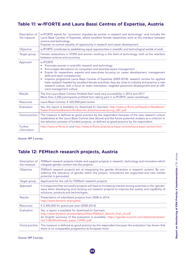## **Table 11: w-fFORTE and Laura Bassi Centres of Expertise, Austria**

| Description of<br>the measure | w-fFORTE stands for "economic impulses by women in research and technology" and includes the<br>Laura Bassi Centres of Expertise, where excellent female researchers work at the interface between<br>science and technology.<br>Purpose: to nurture equality of opportunity in research and career development.                                                                                                                                                                                                                                                                                               |
|-------------------------------|----------------------------------------------------------------------------------------------------------------------------------------------------------------------------------------------------------------------------------------------------------------------------------------------------------------------------------------------------------------------------------------------------------------------------------------------------------------------------------------------------------------------------------------------------------------------------------------------------------------|
| Objective                     | w-fFORTE contributes to establishing equal opportunities in scientific and technological worlds of work.                                                                                                                                                                                                                                                                                                                                                                                                                                                                                                       |
| Target group                  | Female researchers in STEM and women working in the field of technology, both at the interface<br>between science and economy.                                                                                                                                                                                                                                                                                                                                                                                                                                                                                 |
| Approach                      | w-fFORTF<br>Promotes women in scientific research and technology<br>Encourages discussions on competent and diversity-aware management<br>Events for researchers, experts and executives focusing on career development, management<br>skills and team competences<br>Impetus programme Laura Bassi Centres of Expertise (2009-2018): research centres for applied<br>۰<br>basic research headed by excellent female scientists; they are close to industry and practice a new<br>research culture, with a focus on team orientation, targeted personnel development and an effi-<br>cient management culture. |
| Results                       | The first Laura Bassi Centres finished their work very successfully in 2016 and 2017.<br>More than 2,200 participants profited from taking part in w-fFORTE career workshops.                                                                                                                                                                                                                                                                                                                                                                                                                                  |
| Resources                     | Laura Bassi Centres: € 320,000/year/centre                                                                                                                                                                                                                                                                                                                                                                                                                                                                                                                                                                     |
| Evaluation                    | Yes, the report is available for download (in German): http://www.w-fforte.at/fileadmin/Redaktion/<br>Daten/Downloadbereich/Endbericht_Zwischenevaluierung_LBC.pdf                                                                                                                                                                                                                                                                                                                                                                                                                                             |
| Good practice                 | The measure is defined as good practice by the respondent because of the new research culture<br>established at the Laura Bassi Centres (see above) and the future potential analysis as a criterion in<br>the selection process of funded projects, ot defined as good practice by the respondent.                                                                                                                                                                                                                                                                                                            |
| Further<br>information        | http://www.w-fforte.at and http://www.w-fforte.at/at/laura-bassi-centres/laura-bassi-centres.html                                                                                                                                                                                                                                                                                                                                                                                                                                                                                                              |

Source: WP 3 survey

## **Table 12: FEMtech research projects, Austria**

| Description of<br>the measure | FEMtech research projects initiate and support projects in research, technology and innovation which<br>integrate gender content into the projects.                                                                                                                     |
|-------------------------------|-------------------------------------------------------------------------------------------------------------------------------------------------------------------------------------------------------------------------------------------------------------------------|
| Objective                     | FEMtech research projects aim at integrating the gender dimension in research content. By con-<br>sidering the relevance of gender within the project, innovations are supported and new market<br>potential is generated.                                              |
| Target group                  | Applicants for the call for FEMtech research projects                                                                                                                                                                                                                   |
| Approach                      | It is expected that successful projects will lead to increasing interest among scientists in the 'gender'<br>issue when developing and carrying out research projects to improve the quality and capability of<br>solutions, products and technologies.                 |
| Results                       | Presentation of subsidized projects from 2008 to 2014:<br>http://www.femtech.at/projekte                                                                                                                                                                                |
| <b>Resources</b>              | € 2,400,000 for grants per year (2008-2014)                                                                                                                                                                                                                             |
| Evaluation                    | Yes, a report is available for download (in German).<br>http://www.femtech.at/sites/default/files/FEMtech_Bericht_final_v2.pdf<br>An English summary of the evaluation is available: https://gender-summit.com/attachments/arti-<br>cle/1346/Wroblewski_paper_GS9Eu.pdf |
| Good practice                 | The measure is defined as good practice by the respondent because the evaluation has shown that<br>there is no comparable programme at European level.                                                                                                                  |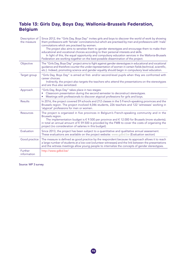## **Table 13: Girls Day, Boys Day, Wallonia-Brussels Federation, Belgium**

| Description of<br>the measure | Since 2012, the "Girls Day, Boys Day" invites girls and boys to discover the world of work by showing<br>them professions with 'female' connotations but which are practised by men and professions with 'male'<br>connotations which are practised by women.<br>The project also aims to sensitize them to gender stereotypes and encourage them to make their<br>educational and vocational choices according to their personal interests and skills.<br>In light of this, the equal opportunity and compulsory education services in the Wallonia-Brussels<br>Federation are working together on the best-possible dissemination of the project. |
|-------------------------------|-----------------------------------------------------------------------------------------------------------------------------------------------------------------------------------------------------------------------------------------------------------------------------------------------------------------------------------------------------------------------------------------------------------------------------------------------------------------------------------------------------------------------------------------------------------------------------------------------------------------------------------------------------|
| Objective                     | The "Girls Day, Boys Day" project aims to fight against gender stereotypes in educational and vocational<br>guidance and therefore counter the under-representation of women in certain fields (technical, scientific,<br>etc.). Indeed, promoting science and gender equality should begin in compulsory level education.                                                                                                                                                                                                                                                                                                                          |
| Target group                  | "Girls Day, Boys Day" is aimed at first- and/or second-level pupils when they are confronted with<br>career choices.<br>Indirectly, the project also targets the teachers who attend the presentations on the stereotypes<br>and are thus also sensitized.                                                                                                                                                                                                                                                                                                                                                                                          |
| Approach                      | "Girls Day, Boys Day" takes place in two stages:<br>Classroom presentation during the second semester to deconstruct stereotypes.<br>٠<br>Meetings with professionals to discover atypical professions for girls and boys.                                                                                                                                                                                                                                                                                                                                                                                                                          |
| <b>Results</b>                | In 2016, the project covered 59 schools and 212 classes in the 5 French-speaking provinces and the<br>Brussels region. The project involved 4,046 students, 226 teachers and 122 'witnesses' working in<br>'atypical' professions for men or women.                                                                                                                                                                                                                                                                                                                                                                                                 |
| <b>Resources</b>              | The project is organized in five provinces in Belgium's French-speaking community and in the<br>Brussels region.<br>The implementation budget is $\epsilon$ 9.500 per province and $\epsilon$ 12.000 for Brussels (more students);<br>in total an annual amount of $\epsilon$ 59.500 is provided by the FWB to cover the costs of organizing the<br>project (no consideration of salaries in this budget).                                                                                                                                                                                                                                          |
| Evaluation                    | Since 2013, the project has been subject to a quantitative and qualitative annual assessment.<br>These evaluations are available on the project website: www.qdbd.be (Evaluation section)                                                                                                                                                                                                                                                                                                                                                                                                                                                           |
| Good practice                 | The measure is defined as good practice by the respondent because its approach allows it to reach<br>a large number of students at a low cost (volunteer witnesses) and the link between the presentations<br>and the witness meetings allow young people to internalize the concepts of gender stereotypes.                                                                                                                                                                                                                                                                                                                                        |
| Further<br>information        | http://www.gdbd.be/                                                                                                                                                                                                                                                                                                                                                                                                                                                                                                                                                                                                                                 |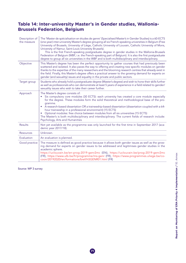## **Table 14: Inter-university Master's in Gender studies, Wallonia-Brussels Federation, Belgium**

| Description of<br>the measure | The 'Master de spécialisation en études de genre' (Specialised Master's in Gender Studies) is a 60-ECTS<br>(one-year) inter-university Master's degree grouping all six French-speaking universities in Belgium (Free<br>University of Brussels, University of Liège, Catholic University of Louvain, Catholic University of Mons,<br>University of Namur, Saint-Louis University Brussels).<br>This is the first French-speaking postgraduate degree in gender studies in the Wallonia-Brussels<br>Federation of Belgium (WBF, i.e. the French-speaking part of Belgium). It is also the first postgraduate<br>degree to group all six universities in the WBF and is both multidisciplinary and interdisciplinary. |
|-------------------------------|----------------------------------------------------------------------------------------------------------------------------------------------------------------------------------------------------------------------------------------------------------------------------------------------------------------------------------------------------------------------------------------------------------------------------------------------------------------------------------------------------------------------------------------------------------------------------------------------------------------------------------------------------------------------------------------------------------------------|
| Objective                     | This Master's degree has been the perfect opportunity to gather courses that had previously been<br>scattered and isolated. It also paves the way to offering and creating new specific modules on gender<br>thanks to the expertise of the many researchers and the blooming research centres that already exist in<br>the field. Finally, this Master's degree offers a practical answer to the growing demand for experts on<br>gender (and sexuality) issues and equality in the private and public sectors.                                                                                                                                                                                                     |
| Target group                  | Students who already hold a postgraduate degree (Master's degree) and wish to hone their skills further<br>as well as professionals who can demonstrate at least 5 years of experience in a field related to gender/<br>sexuality issues who wish to take their career further.                                                                                                                                                                                                                                                                                                                                                                                                                                      |
| Approach                      | The Master's degree consists of:<br>Six compulsory core modules (30 ECTS): each university has created a core module especially<br>for the degree. These modules form the solid theoretical and methodological base of the pro-<br>qramme.<br>• A research-based dissertation OR a traineeship-based dissertation (dissertation coupled with a 64-<br>hour traineeship in a professional environment) (15 ECTS)<br>Optional modules: free choice between modules from all six universities (15 ECTS)<br>$\bullet$<br>The Master's is both multidisciplinary and interdisciplinary. The current fields of research include:<br>Psychology, Arts and Humanities                                                        |
| <b>Results</b>                | Not yet available as the programme was only launched for the first time in September 2017 (aca-<br>demic year 2017/18).                                                                                                                                                                                                                                                                                                                                                                                                                                                                                                                                                                                              |
| <b>Resources</b>              | Unknown.                                                                                                                                                                                                                                                                                                                                                                                                                                                                                                                                                                                                                                                                                                             |
| Evaluation                    | An evaluation is planned.                                                                                                                                                                                                                                                                                                                                                                                                                                                                                                                                                                                                                                                                                            |
| Good practice                 | The measure is defined as good practice because it allows both gender issues as well as the grow-<br>ing demand for experts on gender issues to be addressed and legitimises gender studies in the<br>academic sphere.<br>https://uclouvain.be/en-prog-2019-genr2mc (EN), https://uclouvain.be/prog-2019-genr2mc<br>(FR), https://www.ulb.be/fr/programme/ms-genr (FR), https://www.programmes.uliege.be/co-<br>coon/20192020/en/formations/bref/H3GENR01.html (FR)                                                                                                                                                                                                                                                  |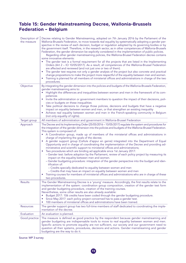## **Table 15: Gender Mainstreaming Decree, Wallonia-Brussels Federation – Belgium**

| Description of<br>the measure | Decree relating to Gender Mainstreaming, adopted on 7th January 2016 by the Parliament of the<br>Wallonia-Brussels Federation, to move towards real equality by systematically adopting a gender per-<br>spective in the review of each decision, budget or regulation adopted by its governing bodies or by<br>the government itself. Therefore, in the research sector, as in other competences of Wallonia-Brussels<br>Federation, the gender dimension be explicitly considered in the implementation of public policies.<br>Regarding other gender mainstreaming policies, the Wallonia-Brussel Federation decree contains<br>some innovative elements:<br>The gender test is a formal requirement for all the projects that are listed in the Implementing<br>Orders (Art 2 - IO 10/05/2017). As a result, all competences of the Wallonia-Brussel Federation<br>are affected and reviewed (and not just one or two of them).<br>The gender test requires not only a gender analysis of the project but also concrete and practical<br>٠<br>change propositions to make the project more respectful of the equality between men and women.<br>Training is planned for all members of ministerial offices and administrations in charge of the two<br>٠<br>procedures.                                           |
|-------------------------------|-----------------------------------------------------------------------------------------------------------------------------------------------------------------------------------------------------------------------------------------------------------------------------------------------------------------------------------------------------------------------------------------------------------------------------------------------------------------------------------------------------------------------------------------------------------------------------------------------------------------------------------------------------------------------------------------------------------------------------------------------------------------------------------------------------------------------------------------------------------------------------------------------------------------------------------------------------------------------------------------------------------------------------------------------------------------------------------------------------------------------------------------------------------------------------------------------------------------------------------------------------------------------------------------------------------------------|
| Objective                     | By integrating the gender dimension into the policies and budgets of the Wallonia-Brussels Federation,                                                                                                                                                                                                                                                                                                                                                                                                                                                                                                                                                                                                                                                                                                                                                                                                                                                                                                                                                                                                                                                                                                                                                                                                                |
|                               | gender mainstreaming aims to:<br>Highlight the differences and inequalities between women and men in the framework of its com-<br>٠                                                                                                                                                                                                                                                                                                                                                                                                                                                                                                                                                                                                                                                                                                                                                                                                                                                                                                                                                                                                                                                                                                                                                                                   |
|                               | petences<br>Invite the administration or government members to question the impact of their decisions, poli-<br>٠                                                                                                                                                                                                                                                                                                                                                                                                                                                                                                                                                                                                                                                                                                                                                                                                                                                                                                                                                                                                                                                                                                                                                                                                     |
|                               | cies or budgets on these inequalities                                                                                                                                                                                                                                                                                                                                                                                                                                                                                                                                                                                                                                                                                                                                                                                                                                                                                                                                                                                                                                                                                                                                                                                                                                                                                 |
|                               | Take political decisions to change those policies, decisions and budgets that have a negative<br>٠<br>impact on equality between women and men, or that strengthen an existing inequality                                                                                                                                                                                                                                                                                                                                                                                                                                                                                                                                                                                                                                                                                                                                                                                                                                                                                                                                                                                                                                                                                                                             |
|                               | Achieve real equality between women and men in the French-speaking community in Belgium<br>٠<br>(not only equality of rights).                                                                                                                                                                                                                                                                                                                                                                                                                                                                                                                                                                                                                                                                                                                                                                                                                                                                                                                                                                                                                                                                                                                                                                                        |
| Target group                  | All members of administration and government in Wallonia-Brussel Federation                                                                                                                                                                                                                                                                                                                                                                                                                                                                                                                                                                                                                                                                                                                                                                                                                                                                                                                                                                                                                                                                                                                                                                                                                                           |
| Approach                      | The Decree and its Implementing Order (25/05/2016 – 10/05/2017) regulate the system and procedures for<br>the integration of the gender dimension into the policies and budgets of the Wallonia-Brussel Federation.<br>This system is composed of:<br>A Coordination group, made up of members of the ministerial offices and administrations in<br>charge of implanting the goals of the decree;<br>A gender support group (Cellule d'appui en genre) integrated into the Department of Equal<br>٠<br>Opportunity and in charge of coordinating the implementation of the Decree and providing ad-<br>ministrative and scientific support to ministerial offices and administrations;<br>Two procedures which are binding ad applicable since 1st January 2017:<br>٠<br>- Gender test: before adoption by the Parliament, review of each policy project by measuring its<br>impact on the equality between men and women.<br>- Gender budgeting procedure: integration of the gender perspective into the budget and iden-<br>tification of:<br>- Credits specially dedicated to equality between women and men<br>- Credits that may have an impact on equality between women and men<br>Training courses for members of ministerial offices and administrations who are in charge of these<br>٠<br>two procedures. |
| Results                       | The Gender Mainstreaming Decree is a 'young' measure. Accordingly, the first results relate to the<br>implementation of the system: coordination group composition, creation of the gender test form<br>and gender budgeting procedure, creation of the training courses.<br>Nevertheless, some other results are also already available:<br>Budget 2017: 106 credits have been coded through the gender budgeting procedure.<br>Since May 2017: each policy project concerned has to pass a gender test.<br>100 members of ministerial offices and administrations have been trained.                                                                                                                                                                                                                                                                                                                                                                                                                                                                                                                                                                                                                                                                                                                                |
| Resources                     | The gender support group has two full-time members of staff dedicated to coordinating the imple-<br>mentation of the decree.                                                                                                                                                                                                                                                                                                                                                                                                                                                                                                                                                                                                                                                                                                                                                                                                                                                                                                                                                                                                                                                                                                                                                                                          |
| Evaluation                    | An evaluation is planned.                                                                                                                                                                                                                                                                                                                                                                                                                                                                                                                                                                                                                                                                                                                                                                                                                                                                                                                                                                                                                                                                                                                                                                                                                                                                                             |
| Good practice                 | The measure is defined as good practice by the respondent because gender mainstreaming and<br>gender budgeting are indispensable tools to move to real equality between women and men.<br>Specific actions to promote equality are not sufficient, our society and our government need to<br>question all their systems, procedures, decisions and actions. Gender mainstreaming and gender<br>budgeting are the way to do it.                                                                                                                                                                                                                                                                                                                                                                                                                                                                                                                                                                                                                                                                                                                                                                                                                                                                                        |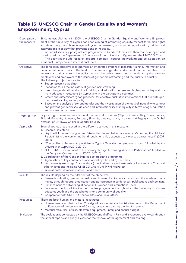## **Table 16: UNESCO Chair in Gender Equality and Women's Empowerment, Cyprus**

| Description of<br>the measure | Since its establishment in 2009, the UNESCO Chair in Gender Equality and Women's Empower-<br>ment of the University of Cyprus has been aiming at promoting equality, respect for human rights<br>and democracy through an integrated system of research, documentation, education, training and<br>interventions in society that prevents gender inequality.<br>An interdisciplinary postgraduate programme in Gender Studies was therefore developed and<br>coordinated by the Department of Education of the University of Cyprus and the UNESCO Chair.<br>The activities include research, reports, seminars, lectures, networking and collaboration on<br>a national, European and international level.                                                                                                                                                                                                                                                                                                                                                                                                |
|-------------------------------|------------------------------------------------------------------------------------------------------------------------------------------------------------------------------------------------------------------------------------------------------------------------------------------------------------------------------------------------------------------------------------------------------------------------------------------------------------------------------------------------------------------------------------------------------------------------------------------------------------------------------------------------------------------------------------------------------------------------------------------------------------------------------------------------------------------------------------------------------------------------------------------------------------------------------------------------------------------------------------------------------------------------------------------------------------------------------------------------------------|
| Objective                     | The long-term objective is to promote an integrated system of research, training, information and<br>documentation activities in the field of women's and gender studies in all partner countries. The<br>measure also aims to sensitize policy makers, the public, mass media, public and private sector<br>employees and employers to the issues of gender mainstreaming and the quality in equality.<br>The follow-up objectives are to:<br>• Set up research guidelines<br>Standards for all the indicators of gender mainstreaming<br>Insert the gender dimension in all training and education centres and higher, secondary and pri-<br>mary education institutions (in Cyprus and in the participating countries)<br>Create and disseminate 'good practices' for effective qualitative interventions that promote gen-<br>der mainstreaming and equality<br>Based on the analysis of sex and gender and the investigation of the roots of inequality to combat<br>٠<br>and prevent gender-based violence and intersectionality of inequality in terms of age, education<br>and socioeconomic level |
| Target group                  | Boys and girls, men and women in all the network countries (Cyprus, Greece, Italy, Spain, France,<br>Finland, Romania, Lithuania, Portugal, Slovenia, Ukraine, Latvia, Lebanon and Egypt) and the Global<br>Network of UNESCO Chairs in Gender Equality                                                                                                                                                                                                                                                                                                                                                                                                                                                                                                                                                                                                                                                                                                                                                                                                                                                    |
| Approach                      | Several approaches are used in the different activities in this measure:<br>1. Research (selected):<br>Daphne III European programme: "An indirect harmful effect of violence: Victimizing the child and<br>Re-victimizing the woman-mother through her child's exposure to violence against herself" (2009-<br>$2011$ ).<br>"The profile of the woman politician in Cypriot Television. A gendered analysis" funded by the<br>٠<br>University of Cyprus (2010-2012).<br>• "CODE-IWP, Commitment to Democracy through Increasing Women's Participation" funded by<br>the European Commission, JUST (2016-2017).<br>2. Coordination of the Gender Studies postgraduate programme.<br>3. Organisation of key conferences and workshops hosted by the Chair.<br>4. Interuniversity exchanges/partnerships (principal exchanges/partnerships between the Chair and<br>other institutions including UNESCO Chairs/UNITWIN networks).<br>5. Publications/multimedia materials and other.                                                                                                                         |
| <b>Results</b>                | The results depend on the fulfilment of the objectives:<br>Research indicating gender inequality and intervention to policy makers and the academic com-<br>munity through reports, organisation and participation in conferences, publications and seminars.<br>Enhancement of networking at national, European and international level.<br>Successful running of the Gender Studies programme through which the University of Cyprus<br>educates youth and the stakeholders for a community of equality.<br>Cooperation with UNESCO Headquarters and Field Offices.                                                                                                                                                                                                                                                                                                                                                                                                                                                                                                                                      |
| Resources                     | There are both human and material resources:<br>Human resources: chair holder, 2 postgraduate students, administrative team of the Department<br>of Education of the University of Cyprus, researchers paid by the funding agent.<br>Material resources: offices, electronic equipment, library and annual budget.                                                                                                                                                                                                                                                                                                                                                                                                                                                                                                                                                                                                                                                                                                                                                                                         |
| Evaluation                    | The evaluation is conducted by the UNESCO central office in Paris and is repeated every year through<br>the annual reports and every 4 years for the renewal of the agreement and chairing.                                                                                                                                                                                                                                                                                                                                                                                                                                                                                                                                                                                                                                                                                                                                                                                                                                                                                                                |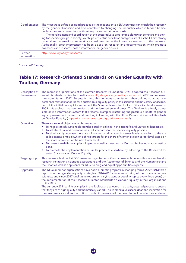| Good practice          | The measure is defined as good practice by the respondent as ERA countries can enrich their research<br>by the gender dimension and also contribute to changing the inequality which is hidden behind<br>declarations and conventions without any implementation in praxis.<br>The development and coordination of the postgraduate programme along with seminars and train-<br>ing for specific groups in society, youth, parents, students, boys and girls as well as the Chair's strong<br>national and international network are considered to be the innovative elements of this measure.<br>Additionally, great importance has been placed on research and documentation which promote<br>awareness and research-based information on gender issues. |
|------------------------|------------------------------------------------------------------------------------------------------------------------------------------------------------------------------------------------------------------------------------------------------------------------------------------------------------------------------------------------------------------------------------------------------------------------------------------------------------------------------------------------------------------------------------------------------------------------------------------------------------------------------------------------------------------------------------------------------------------------------------------------------------|
| Further<br>information | http://www.ucy.ac.cy/unesco/en                                                                                                                                                                                                                                                                                                                                                                                                                                                                                                                                                                                                                                                                                                                             |

Source: WP 3 survey

# **Table 17: Research-Oriented Standards on Gender Equality with Toolbox, Germany**

| The member organisations of the German Research Foundation (DFG) adopted the Research-Ori-<br>ented Standards on Gender Equality (www.dfg.de/gender_equality_standards) in 2008 and renewed<br>their commitment 2017. By entering into this voluntary commitment, they defined structural and<br>personnel-related standards for a sustainable equality policy in the scientific and university landscape.<br>Part of the initial concept to implement the Standards was the Toolbox. Since its development in<br>2009, this toolbox has been revised and modernised several times. The Toolbox is a freely acces-<br>sible online information system that presents examples illustrating the possible breadth of gender<br>equality measures in research and teaching in keeping with the DFG's Research-Oriented Standards<br>on Gender Equality (https://instrumentenkasten.dfg.de/index en.html). |
|-------------------------------------------------------------------------------------------------------------------------------------------------------------------------------------------------------------------------------------------------------------------------------------------------------------------------------------------------------------------------------------------------------------------------------------------------------------------------------------------------------------------------------------------------------------------------------------------------------------------------------------------------------------------------------------------------------------------------------------------------------------------------------------------------------------------------------------------------------------------------------------------------------|
| There are several objectives of this measure:<br>To help establish sustainable gender equality policies in the scientific and university landscape.<br>To set structural and personnel-related standards for the specific equality policies.<br>٠<br>To significantly increase the share of women at all academic career levels according to the so-<br>called cascade model (which defines targets for the share of women at each career level based on<br>the share of women at the next lower level).<br>To present real-life examples of gender equality measures in German higher education institu-<br>tions.<br>To promote the implementation of similar practices elsewhere by adhering to the Research-Ori-<br>ented Standards on Gender Equality.                                                                                                                                           |
| This measure is aimed at DFG member organisations (German research universities, non-university<br>research institutions, scientific associations and the Academies of Science and the Humanities) and<br>their staff as well as applicants for DFG funding and equal opportunities experts.                                                                                                                                                                                                                                                                                                                                                                                                                                                                                                                                                                                                          |
| The DFG's member organisations have been submitting reports in changing forms (2009-2013 three<br>reports on their gender equality strategies, 2014-2016 annual monitoring of their share of female<br>scientists and since 2017 qualitative reports on varying gender equality topics every three years) on<br>the implementation of the Research-Oriented Standards on Gender Equality in their organisations<br>to the DFG.<br>The currently 275 real-life examples in the Toolbox are selected in a quality-assured process to ensure<br>that they are of high quality and thematically varied. The Toolbox gives users ideas and inspiration for<br>their own work as well as the option to submit measures of their own for inclusion in the database.                                                                                                                                          |
|                                                                                                                                                                                                                                                                                                                                                                                                                                                                                                                                                                                                                                                                                                                                                                                                                                                                                                       |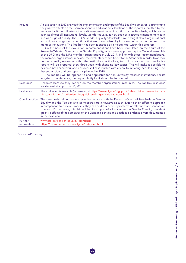| Results                | An evaluation in 2017 analysed the implementation and impact of the Equality Standards, documenting<br>the positive effects on the German scientific and academic landscape. The reports submitted by the<br>member institutions illustrate the positive momentum set in motion by the Standards, which can be<br>seen at almost all institutional levels. Gender equality is now seen as a strategic management task<br>and as a sign of quality. The DFG's Gender Equality Standards have brought about organisational<br>and cultural changes and conditions that are characterised by increased equal opportunities in the<br>member institutions. The Toolbox has been identified as a helpful tool within this progress.<br>On the basis of this evaluation, recommendations have been formulated on the future of the<br>Research-Oriented Standards on Gender Equality, which were approved by the General Assembly<br>of the DFG and the DFG member organisations in July 2017. In line with these recommendations,<br>the member organisations renewed their voluntary commitment to the Standards in order to anchor<br>gender equality measures within the institutions in the long term. It is planned that qualitative<br>reports will be prepared every three years with changing key topics. This will make it possible to<br>examine both successful and unsuccessful case studies with a view to initiating peer learning. The<br>first submission of these reports is planned in 2019.<br>The Toolbox will be opened to and applicable for non-university research institutions. For its<br>long-term maintenance, the responsibility for it should be transferred. |
|------------------------|----------------------------------------------------------------------------------------------------------------------------------------------------------------------------------------------------------------------------------------------------------------------------------------------------------------------------------------------------------------------------------------------------------------------------------------------------------------------------------------------------------------------------------------------------------------------------------------------------------------------------------------------------------------------------------------------------------------------------------------------------------------------------------------------------------------------------------------------------------------------------------------------------------------------------------------------------------------------------------------------------------------------------------------------------------------------------------------------------------------------------------------------------------------------------------------------------------------------------------------------------------------------------------------------------------------------------------------------------------------------------------------------------------------------------------------------------------------------------------------------------------------------------------------------------------------------------------------------------------------------------------------------------------------------------------------|
| <b>Resources</b>       | Unknown because they depend on the member organisations' resources. The Toolbox resources<br>are defined at approx. € 50,000.                                                                                                                                                                                                                                                                                                                                                                                                                                                                                                                                                                                                                                                                                                                                                                                                                                                                                                                                                                                                                                                                                                                                                                                                                                                                                                                                                                                                                                                                                                                                                          |
| Evaluation             | The evaluation is available (in German) at https://www.dfg.de/dfg_profil/zahlen_fakten/evaluation_stu-<br>dien_monitoring/studien/studie_gleichsstellungsstandards/index.html                                                                                                                                                                                                                                                                                                                                                                                                                                                                                                                                                                                                                                                                                                                                                                                                                                                                                                                                                                                                                                                                                                                                                                                                                                                                                                                                                                                                                                                                                                          |
| Good practice          | The measure is defined as good practice because both the Research-Oriented Standards on Gender<br>Equality and the Toolbox and its measures are innovative as such. Due to their different approach<br>in comparison to previous models, they can address current problems or offer new and innovative<br>solutions. Furthermore, it is claimed that its support of advancements in Gender Equality is evident<br>(positive effects of the Standards on the German scientific and academic landscape were documented<br>in the evaluation).                                                                                                                                                                                                                                                                                                                                                                                                                                                                                                                                                                                                                                                                                                                                                                                                                                                                                                                                                                                                                                                                                                                                            |
| Further<br>information | www.dfg.de/gender_equality_standards<br>https://instrumentenkasten.dfg.de/index_en.html                                                                                                                                                                                                                                                                                                                                                                                                                                                                                                                                                                                                                                                                                                                                                                                                                                                                                                                                                                                                                                                                                                                                                                                                                                                                                                                                                                                                                                                                                                                                                                                                |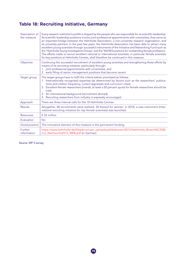# **Table 18: Recruiting Initiative, Germany**

| Description of<br>the measure | Every research institution's profile is shaped by the people who are responsible for its scientific leadership.<br>As scientific leadership positions involve joint professorial appointments with universities, they serve as<br>an important bridge between the Helmholtz Association, a non-university research organisation, and<br>its university partners. In the past few years, the Helmholtz Association has been able to attract many<br>excellent young scientists through successful instruments of the Initiative and Networking Fund such as<br>the 'Helmholtz Young Investigators Groups' and the 'W2/W3 positions for outstanding female professors'.<br>The efforts made to recruit excellent national or international scientists, in particular female scientists<br>for key positions at Helmholtz Centres, shall therefore be continued in this measure. |
|-------------------------------|-------------------------------------------------------------------------------------------------------------------------------------------------------------------------------------------------------------------------------------------------------------------------------------------------------------------------------------------------------------------------------------------------------------------------------------------------------------------------------------------------------------------------------------------------------------------------------------------------------------------------------------------------------------------------------------------------------------------------------------------------------------------------------------------------------------------------------------------------------------------------------|
| Objective                     | Continuing the successful recruitment of excellent young scientists and strengthening these efforts by<br>means of its recruiting initiative, particularly through:<br>1. joint professorial appointments with universities, and<br>2. early filling of senior management positions that become vacant.                                                                                                                                                                                                                                                                                                                                                                                                                                                                                                                                                                       |
| Target group                  | The target groups have to fulfil the criteria below, prioritised as follows:<br>1. Internationally recognised expertise (as determined by factors such as the researchers' publica-<br>tions and citation frequency, current appraisals and curriculum vitae).<br>2. Excellent female researchers (overall, at least a 50 percent quota for female researchers should be<br>met).<br>3. An international background (recruitment abroad).<br>4. Recruiting researchers from industry is expressly encouraged.                                                                                                                                                                                                                                                                                                                                                                 |
| Approach                      | There are three internal calls for the 18 Helmholtz Centres.                                                                                                                                                                                                                                                                                                                                                                                                                                                                                                                                                                                                                                                                                                                                                                                                                  |
| Results                       | Altogether, 48 recruitments were realized, 30 thereof for women. In 2018, a new instrument (inter-<br>national recruiting initiative for top female scientists) was launched.                                                                                                                                                                                                                                                                                                                                                                                                                                                                                                                                                                                                                                                                                                 |
| Resources                     | $£$ 32 million                                                                                                                                                                                                                                                                                                                                                                                                                                                                                                                                                                                                                                                                                                                                                                                                                                                                |
| Evaluation                    | <b>No</b>                                                                                                                                                                                                                                                                                                                                                                                                                                                                                                                                                                                                                                                                                                                                                                                                                                                                     |
| Good practice                 | The innovative element of this measure is the permanent funding.                                                                                                                                                                                                                                                                                                                                                                                                                                                                                                                                                                                                                                                                                                                                                                                                              |
| Further<br>information        | https://www.helmholtz.de/fileadmin/user_upload/publikationen/2013/Helmholtz_Brosch%C3%B-<br>Cre_Nachwuchs2012_WEB.pdf (in German)                                                                                                                                                                                                                                                                                                                                                                                                                                                                                                                                                                                                                                                                                                                                             |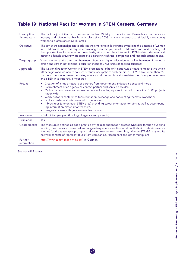# **Table 19: National Pact for Women in STEM Careers, Germany**

| Description of<br>the measure | The pact is a joint initiative of the German Federal Ministry of Education and Research and partners from<br>industry and science that has been in place since 2008. Its aim is to attract considerably more young<br>women to professions in STEM areas.                                                                                                                                                                                                                                                                                                                                                                                                                                        |
|-------------------------------|--------------------------------------------------------------------------------------------------------------------------------------------------------------------------------------------------------------------------------------------------------------------------------------------------------------------------------------------------------------------------------------------------------------------------------------------------------------------------------------------------------------------------------------------------------------------------------------------------------------------------------------------------------------------------------------------------|
| Objective                     | The aim of the national pact is to address the emerging skills shortage by utilising the potential of women<br>in STEM professions. This requires conveying a realistic picture of STEM professions and pointing out<br>the opportunities for women in these fields, stimulating their interest in STEM-related degrees and<br>attracting female university graduates to a career in technical companies and research organisations.                                                                                                                                                                                                                                                             |
| Target group                  | Young women at the transition between school and higher education as well as between higher edu-<br>cation and career (note: higher education includes universities of applied sciences).                                                                                                                                                                                                                                                                                                                                                                                                                                                                                                        |
| Approach                      | The National Pact for Women in STEM professions is the only nationwide networking initiative which<br>attracts girls and women to courses of study, occupations and careers in STEM. It links more than 250<br>partners from government, industry, science and the media and translates the dialogue on women<br>and STEM into innovative measures.                                                                                                                                                                                                                                                                                                                                              |
| Results                       | Creation of a huge network of partners from government, industry, science and media.<br>$\bullet$<br>Establishment of an agency as contact partner and service provider.<br>٠<br>Online platform www.komm-mach-mint.de, including a project map with more than 1000 projects<br>$\bullet$<br>nationwide.<br>Yearly network conference for information exchange and conducting thematic workshops.<br>$\bullet$<br>Podcast series and interviews with role models.<br>$\bullet$<br>4 brochures (one on each STEM area) providing career orientation for girls as well as accompany-<br>$\bullet$<br>ing information material for teachers.<br>Image database with gender-sensitive pictures.<br>٠ |
| <b>Resources</b>              | $\epsilon$ 3-4 million per year (funding of agency and projects).                                                                                                                                                                                                                                                                                                                                                                                                                                                                                                                                                                                                                                |
| Evaluation                    | Yes                                                                                                                                                                                                                                                                                                                                                                                                                                                                                                                                                                                                                                                                                              |
| Good practice                 | The measure is defined as good practice by the respondent as it creates synergies through bundling<br>existing measures and increased exchange of experience and information. It also includes innovative<br>formats for the target group of girls and young women (e.g. Meet.Me; Women-STEM-Slam) and its<br>network consists of representatives from companies, researchers and other multipliers.                                                                                                                                                                                                                                                                                             |
| Further<br>information        | http://www.komm-mach-mint.de/ (in German)                                                                                                                                                                                                                                                                                                                                                                                                                                                                                                                                                                                                                                                        |

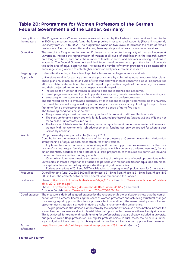### **Table 20: Programme for Women Professors of the German Federal Government and the Länder, Germany**

| Description of<br>the measure | The Programme for Women Professors was introduced by the Federal Government and the Länder<br>in 2008 as a measure towards fixing the leaky pipeline in research and academia (Phase III is currently<br>underway from 2018 to 2022). The programme works on two levels: It increases the share of female<br>professors at German universities and strengthens equal opportunities structures at universities.                                                                                                                                                                                                                                                                                                                                                                                                                                                                                                                                                                                                                                                                                                                                                                                                                                                                                                                                                                                                                                |
|-------------------------------|-----------------------------------------------------------------------------------------------------------------------------------------------------------------------------------------------------------------------------------------------------------------------------------------------------------------------------------------------------------------------------------------------------------------------------------------------------------------------------------------------------------------------------------------------------------------------------------------------------------------------------------------------------------------------------------------------------------------------------------------------------------------------------------------------------------------------------------------------------------------------------------------------------------------------------------------------------------------------------------------------------------------------------------------------------------------------------------------------------------------------------------------------------------------------------------------------------------------------------------------------------------------------------------------------------------------------------------------------------------------------------------------------------------------------------------------------|
| Objective                     | The aim of the Programme for Women Professors is to promote the equality of men and women at<br>universities, increase the representation of women at all levels of qualification in the research system<br>on a long-term basis, and boost the number of female scientists and scholars in leading positions in<br>academia. The Federal Government and the Länder therefore want to support the efforts of universi-<br>ties in the area of equal opportunities. Increasing the number of women professors is also intended to<br>encourage young women to enter higher education and pursue careers in research.                                                                                                                                                                                                                                                                                                                                                                                                                                                                                                                                                                                                                                                                                                                                                                                                                           |
| Target group                  | Universities (including universities of applied sciences and colleges of music and art).                                                                                                                                                                                                                                                                                                                                                                                                                                                                                                                                                                                                                                                                                                                                                                                                                                                                                                                                                                                                                                                                                                                                                                                                                                                                                                                                                      |
| Approach                      | Universities qualify for participation in the programme by submitting equal opportunities plans.<br>These plans must include an analysis of strengths and weaknesses concerning equal opportunities<br>efforts to date, statements on the specific equal opportunities targets of the university concerned<br>and their projected implementation, especially with regard to:<br>increasing the number of women in leading positions in science and academia,<br>developing career and employment opportunities for young female researchers and academics, and<br>attracting female students to subjects in which women are underrepresented.<br>The submitted plans are evaluated externally by an independent expert committee. Each university<br>that provides a convincing equal opportunities plan can receive start-up funding for up to three<br>first-time female professorship appointments over a period of up to five years.<br>The following conditions must be met:<br>The professorships must be permanent positions/civil servant positions/life-time posts.<br>The start-up funding is provided only for fully tenured professorships (grades W2 and W3) and not<br>$\bullet$<br>for so-called Juniorprofessuren (W1).<br>The best candidate is selected following a normal appointment procedure open to both men and<br>٠<br>women (with no 'women only' job advertisements); funding can only be applied for where a post |
|                               | is filled by a woman.                                                                                                                                                                                                                                                                                                                                                                                                                                                                                                                                                                                                                                                                                                                                                                                                                                                                                                                                                                                                                                                                                                                                                                                                                                                                                                                                                                                                                         |
| <b>Results</b>                | 528 professorships supported so far (January 2018).<br>Contribution to the increase in the share of female professors at German universities. Nationwide<br>strengthening of equal opportunities structures at universities.<br>Implementation of numerous university-specific equal opportunities measures for the pro-<br>gramme's target groups: female students (in subjects in which women are underrepresented), female<br>junior scientists, academics and professors; a large proportion of measures are continued beyond<br>the end of their respective funding periods.<br>Change in culture: re-evaluation and strengthening of the importance of equal opportunities within<br>universities, increased importance attached to persons with responsibilities for equal opportunities,<br>conceptual advancement of equal opportunities policy at universities.<br>Positive evaluations in 2012 and 2017 (each leading to the programme's prolongation for 5 more years).                                                                                                                                                                                                                                                                                                                                                                                                                                                           |
| Resources                     | Overall funding (until 2022): € 500 million (Phase I: € 150 million, Phase II: € 150 million, Phase III: €<br>200 million) shared 50% between the Federal Government and the Länder.                                                                                                                                                                                                                                                                                                                                                                                                                                                                                                                                                                                                                                                                                                                                                                                                                                                                                                                                                                                                                                                                                                                                                                                                                                                          |
| Evaluation                    | Phase I: http://www.hof.uni-halle.de/dateien/ab_6_2012.pdf and http://www.hof.uni-halle.de/dateien/<br>ab_6_2012_anhang.pdf;<br>Phase II: http://nbn-resolving.de/urn:nbn:de:0168-ssoar-54112-9 (in German)<br>Article in English: https://www.mdpi.com/2076-0760/8/4/116                                                                                                                                                                                                                                                                                                                                                                                                                                                                                                                                                                                                                                                                                                                                                                                                                                                                                                                                                                                                                                                                                                                                                                     |
| Good practice                 | The measure is defined as good practice by the respondent b the evaluations show that the combi-<br>nation of two elements (increasing the share of women professors and achieving structural changes<br>concerning equal opportunities) has a proven effect. In addition, the mere development of equal<br>opportunities strategies is already initiating a cultural change within universities.<br>The programme is also defined as innovative by the respondent because it aims both to increase the<br>share of women professors and to firmly establish equal opportunities measures within university structures.<br>This is achieved, for example, through funding for professorships that are already included in university<br>budgets (so-called Regelprofessuren, i.e. regular professorships). In such cases, the funds in a univer-<br>sity's budget which are freed up in this way must be used for additional equal opportunities measures.                                                                                                                                                                                                                                                                                                                                                                                                                                                                                    |
| Further<br>information        | https://www.bmbf.de/de/das-professorinnenprogramm-236.html (in German)                                                                                                                                                                                                                                                                                                                                                                                                                                                                                                                                                                                                                                                                                                                                                                                                                                                                                                                                                                                                                                                                                                                                                                                                                                                                                                                                                                        |

**78**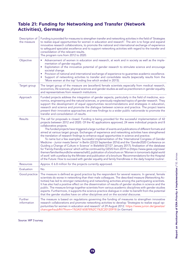## **Table 21: Funding for Networking and Transfer (Network Activities), Germany**

| Description of<br>the measure | Funding is provided for measures to strengthen transfer and networking activities in the field of 'Strategies<br>to realize equal opportunities for women in education and research'. The aim is to forge and expand<br>innovative research collaborations, to promote the national and international exchange of experience<br>to safeguard specialist excellence and to support networking activities with regard to the transfer and<br>consolidation of the relevant results.<br>The program runs from 2012 to 2020.                                                                                                                                                                                                                                                                                                                                                                                                                                                                                                                                                                                                                                                                                                                                                                                                   |
|-------------------------------|----------------------------------------------------------------------------------------------------------------------------------------------------------------------------------------------------------------------------------------------------------------------------------------------------------------------------------------------------------------------------------------------------------------------------------------------------------------------------------------------------------------------------------------------------------------------------------------------------------------------------------------------------------------------------------------------------------------------------------------------------------------------------------------------------------------------------------------------------------------------------------------------------------------------------------------------------------------------------------------------------------------------------------------------------------------------------------------------------------------------------------------------------------------------------------------------------------------------------------------------------------------------------------------------------------------------------|
| Objective                     | Advancement of women in education and research, at work and in society as well as the imple-<br>mentation of gender equality.<br>Exploitation of the innovative potential of gender research to stimulate science and encourage<br>$\bullet$<br>societal change.<br>Provision of national and international exchange of experience to guarantee academic excellence.<br>Support of networking activities to transfer and consolidate results (especially results from the<br>'More women at the top' funding line which ended in 2015).                                                                                                                                                                                                                                                                                                                                                                                                                                                                                                                                                                                                                                                                                                                                                                                    |
| Target group                  | The target group of the measure are (excellent) female scientists especially from medical research,<br>economics, life sciences, physical sciences and gender studies as well as practitioners in gender equality<br>and representatives from research institutions.                                                                                                                                                                                                                                                                                                                                                                                                                                                                                                                                                                                                                                                                                                                                                                                                                                                                                                                                                                                                                                                       |
| Approach                      | Funded projects address the integration of gender aspects, particularly in the field of medicine, eco-<br>nomics, engineering and the natural sciences, or previously neglected topics of gender research. They<br>support the development of equal opportunities recommendations and strategies in education,<br>research and science and promote the dialogue between science and practice. The project teams<br>present their innovative approaches and new findings to a wider public nationwide to promote the<br>transfer and consolidation of results.                                                                                                                                                                                                                                                                                                                                                                                                                                                                                                                                                                                                                                                                                                                                                              |
| <b>Results</b>                | The call for proposals is closed. Funding is being provided for the successful implementation of 42<br>projects between 2012 and 2020. Of the 42 applications approved, 24 were individual projects and 8<br>collaborative projects.<br>The funded projects have triggered a large number of events and publications of different formats and<br>aimed at various target groups. Exchanges of experience and networking activities have strengthened<br>the translation of research findings to enhance equal opportunities in science and practice.<br>To name but a few examples: Successful implementation of the 'International Congress of Gender<br>Medicine - Junior meets Senior' in Berlin (22/23 September 2016) and the 'Gender2020 Conference on<br>Guiding a Change of Culture in Science' in Bielefeld (27/27 January 2017); finalization of the database<br>for 'Family-friendly science' which will be continued by GESIS from 2019 on (https://www.gesis.org/cews/<br>themen/familienfreundliche-wissenschaft/); publication of a brochure on 'Women in tomorrow's digital world<br>of work' with a preface by the Minister and publication of a brochure 'Recommendations for the Hospital<br>of the Future: How to succeed with gender equality and family friendliness in the daily hospital routine'. |
| <b>Resources</b>              | Approx. $\epsilon$ 6.8 million for the projects currently approved.                                                                                                                                                                                                                                                                                                                                                                                                                                                                                                                                                                                                                                                                                                                                                                                                                                                                                                                                                                                                                                                                                                                                                                                                                                                        |
| Evaluation                    | No.                                                                                                                                                                                                                                                                                                                                                                                                                                                                                                                                                                                                                                                                                                                                                                                                                                                                                                                                                                                                                                                                                                                                                                                                                                                                                                                        |
| Good practice                 | The measure is defined as good practice by the respondent for several reasons. In general, female<br>scientists do worse in networking than their male colleagues. The described measure (Networking Ac-<br>tivities) has led to stronger networking and networking activities among the participating scientists.<br>It has also had a positive effect on the dissemination of results of gender studies in science and the<br>public. The measure brings together scientists from various academic disciplines with gender studies<br>experts. Furthermore, it supports the science-practice dialogue in order to benefit from the potential<br>that the gender studies have on other disciplines and on the societal discourse.                                                                                                                                                                                                                                                                                                                                                                                                                                                                                                                                                                                         |
| Further<br>information        | The measure is based on regulations governing the funding of measures to strengthen innovative<br>research collaborations and promote networking activities to develop 'Strategies to realize equal op-<br>portunities for women in education and research' of 29 August 2012. https://www.jurion.de/gesetze/<br>chancgerfraubffrl/?from=1%3A5165878%2C1%2C20120918 (in German)                                                                                                                                                                                                                                                                                                                                                                                                                                                                                                                                                                                                                                                                                                                                                                                                                                                                                                                                            |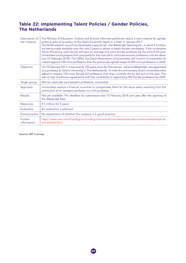## **Table 22: Implementing Talent Policies / Gender Policies, The Netherlands**

| Description of<br>the measure | The Ministry of Education, Culture and Science informed parliament about a new initiative for gender<br>policy as part of its policy on the field of scientific talent in a letter in January 2017.<br>The NOW research council has developed a special call – the Westerdijk Talentimpuls – in which $\epsilon$ 5 million<br>are being made available over the next 5 years to attract suitable female candidates. If the universities<br>follow this policy, each faculty will have on average one extra female professor by the end of the year.<br>Universities could prepare their proposals for the now call to nominate women professors until the dead-<br>line (10 February 2018). The VSNU, the Dutch Association of Universities, will monitor if universities do<br>indeed appoint 100 more professors than the previously agreed target of 200 more professors in 2020. |
|-------------------------------|--------------------------------------------------------------------------------------------------------------------------------------------------------------------------------------------------------------------------------------------------------------------------------------------------------------------------------------------------------------------------------------------------------------------------------------------------------------------------------------------------------------------------------------------------------------------------------------------------------------------------------------------------------------------------------------------------------------------------------------------------------------------------------------------------------------------------------------------------------------------------------------|
| Objective                     | On 10 February 2017, it was exactly 100 years since the first woman, Johanna Westerdijk, was appointed<br>as a professor at Utrecht University in The Netherlands. To mark this anniversary, Dutch universities were<br>asked to employ 100 more female full professors than they currently did by the end of the year. This<br>was on top of previous agreements with the universities on appointing 200 female professors by 2020.                                                                                                                                                                                                                                                                                                                                                                                                                                                 |
| Target group                  | Women associate and assistant professors; universities.                                                                                                                                                                                                                                                                                                                                                                                                                                                                                                                                                                                                                                                                                                                                                                                                                              |
| Approach                      | Universities receive a financial incentive to compensate them for the extra salary resulting from the<br>promotion of an assistant professor to a full professor.                                                                                                                                                                                                                                                                                                                                                                                                                                                                                                                                                                                                                                                                                                                    |
| <b>Results</b>                | Not yet available. The deadline for submissions was 10 February 2018 (one year after the opening of<br>the Westerdijk Year).                                                                                                                                                                                                                                                                                                                                                                                                                                                                                                                                                                                                                                                                                                                                                         |
| <b>Resources</b>              | $\epsilon$ 5 million for 5 years.                                                                                                                                                                                                                                                                                                                                                                                                                                                                                                                                                                                                                                                                                                                                                                                                                                                    |
| Evaluation                    | An evaluation is planned.                                                                                                                                                                                                                                                                                                                                                                                                                                                                                                                                                                                                                                                                                                                                                                                                                                                            |
| Good practice                 | No assessment of whether the measure is a good practice.                                                                                                                                                                                                                                                                                                                                                                                                                                                                                                                                                                                                                                                                                                                                                                                                                             |
| Further<br>information        | https://www.nwo.nl/en/funding/our-funding-instruments/nwo/westerdijk-talent-scheme/westerdijk-tal-<br>ent-scheme.html                                                                                                                                                                                                                                                                                                                                                                                                                                                                                                                                                                                                                                                                                                                                                                |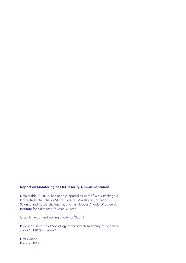#### **Report on Monitoring of ERA Priority 4 Implementation**

Deliverable 3.2 (D 5) has been prepared as part of Work Package 3 led by Roberta Schaller-Steidl, Federal Ministry of Education, Science and Research, Austria, and task leader Angela Wroblewski, Institute for Advanced Studies, Austria.

Graphic layout and setting: Hedvika Člupná

Publisher: Institute of Sociology of the Czech Academy of Sciences Jilská 1, 110 00 Prague 1

First edition. Prague 2020